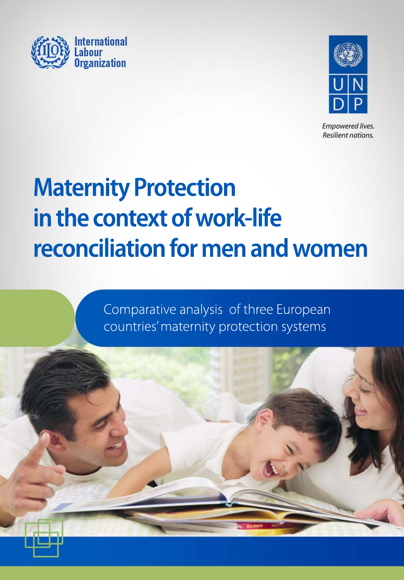



**Empowered lives.** Resilient nations.

# **Maternity Protection** in the context of work-life reconciliation for men and women

Comparative analysis of three European countries' maternity protection systems

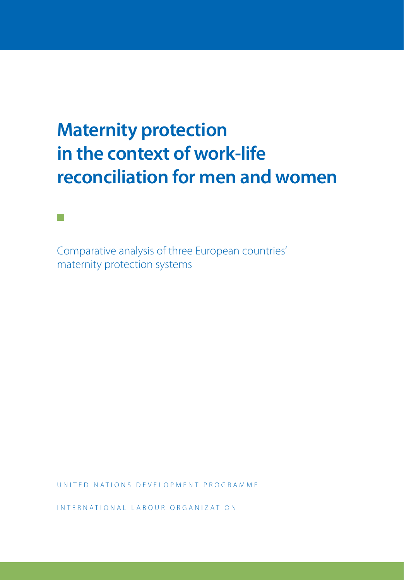## **Maternity protection in the context of work-life reconciliation for men and women**

Comparative analysis of three European countries' maternity protection systems

**Tara** 

UNITED NATIONS DEVELOPMENT PROGRAMME

INTERNATIONAL LABOUR ORGANIZATION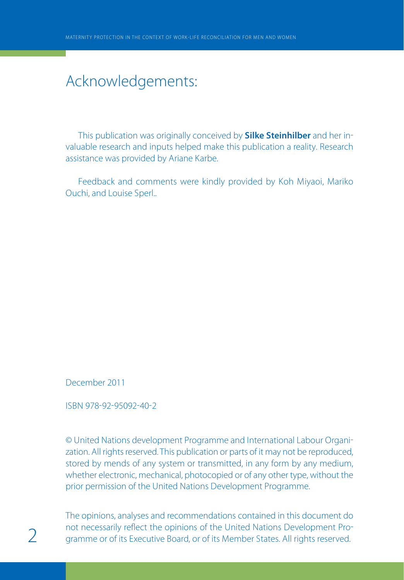## Acknowledgements:

This publication was originally conceived by **Silke Steinhilber** and her in valuable research and inputs helped make this publication a reality. Research assistance was provided by Ariane Karbe.

Feedback and comments were kindly provided by Koh Miyaoi, Mariko Ouchi, and Louise Sperl..

December 2011

ISBN 978-92-95092-40-2

© United Nations development Programme and International Labour Organi zation. All rights reserved. This publication or parts of it may not be reproduced, stored by mends of any system or transmitted, in any form by any medium, whether electronic, mechanical, photocopied or of any other type, without the prior permission of the United Nations Development Programme.

The opinions, analyses and recommendations contained in this document do not necessarily reflect the opinions of the United Nations Development Pro-<br>
gramme or of its Executive Board, or of its Member States. All rights reserved.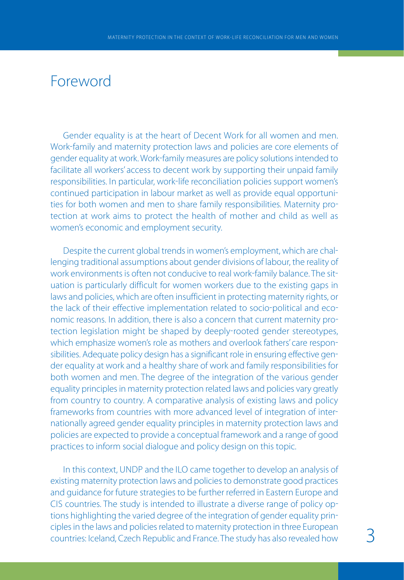## Foreword

Gender equality is at the heart of Decent Work for all women and men. Work-family and maternity protection laws and policies are core elements of gender equality at work. Work-family measures are policy solutions intended to facilitate all workers' access to decent work by supporting their unpaid family responsibilities. In particular, work-life reconciliation policies support women's continued participation in labour market as well as provide equal opportuni ties for both women and men to share family responsibilities. Maternity pro tection at work aims to protect the health of mother and child as well as women's economic and employment security.

Despite the current global trends in women's employment, which are chal lenging traditional assumptions about gender divisions of labour, the reality of work environments is often not conducive to real work-family balance. The situation is particularly difficult for women workers due to the existing gaps in laws and policies, which are often insufficient in protecting maternity rights, or the lack of their effective implementation related to socio-political and economic reasons. In addition, there is also a concern that current maternity pro tection legislation might be shaped by deeply-rooted gender stereotypes, which emphasize women's role as mothers and overlook fathers' care responsibilities. Adequate policy design has a significant role in ensuring effective gen der equality at work and a healthy share of work and family responsibilities for both women and men. The degree of the integration of the various gender equality principles in maternity protection related laws and policies vary greatly from country to country. A comparative analysis of existing laws and policy frameworks from countries with more advanced level of integration of inter nationally agreed gender equality principles in maternity protection laws and policies are expected to provide a conceptual framework and a range of good practices to inform social dialogue and policy design on this topic.

In this context, UNDP and the ILO came together to develop an analysis of existing maternity protection laws and policies to demonstrate good practices and guidance for future strategies to be further referred in Eastern Europe and CIS countries. The study is intended to illustrate a diverse range of policy op tions highlighting the varied degree of the integration of gender equality prin ciples in the laws and policies related to maternity protection in three European countries: Iceland, Czech Republic and France. The study has also revealed how 3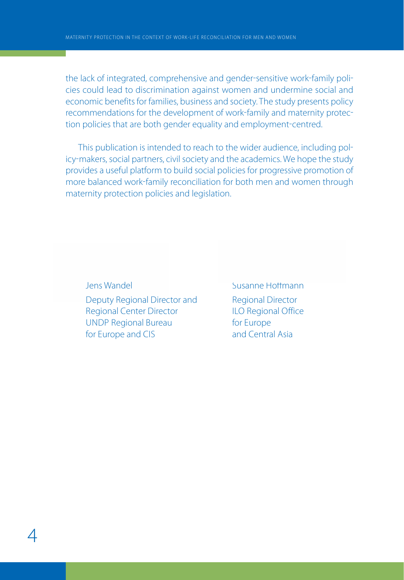the lack of integrated, comprehensive and gender-sensitive work-family policies could lead to discrimination against women and undermine social and economic benefits for families, business and society. The study presents policy recommendations for the development of work-family and maternity protection policies that are both gender equality and employment-centred.

This publication is intended to reach to the wider audience, including pol icy-makers, social partners, civil society and the academics. We hope the study provides a useful platform to build social policies for progressive promotion of more balanced work-family reconciliation for both men and women through maternity protection policies and legislation.

Jens Wandel Susanne Hoffmann Deputy Regional Director and Regional Director Regional Center Director **ILO Regional Office** UNDP Regional Bureau for Europe for Europe and CIS and Central Asia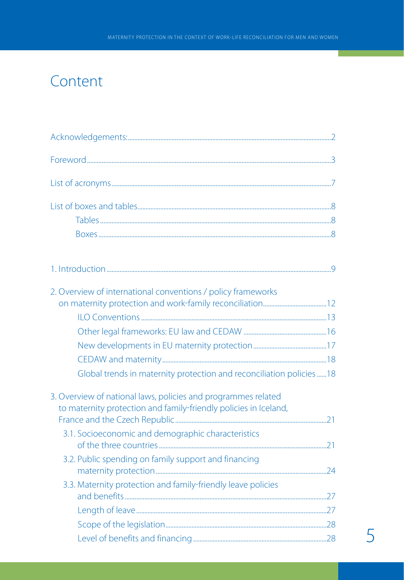## Content

| 2. Overview of international conventions / policy frameworks        |  |
|---------------------------------------------------------------------|--|
|                                                                     |  |
|                                                                     |  |
|                                                                     |  |
|                                                                     |  |
|                                                                     |  |
| Global trends in maternity protection and reconciliation policies18 |  |
| 3. Overview of national laws, policies and programmes related       |  |
| to maternity protection and family-friendly policies in Iceland,    |  |
| 3.1. Socioeconomic and demographic characteristics                  |  |
|                                                                     |  |
| 3.2. Public spending on family support and financing                |  |
|                                                                     |  |
| 3.3. Maternity protection and family-friendly leave policies        |  |
|                                                                     |  |
|                                                                     |  |
|                                                                     |  |
|                                                                     |  |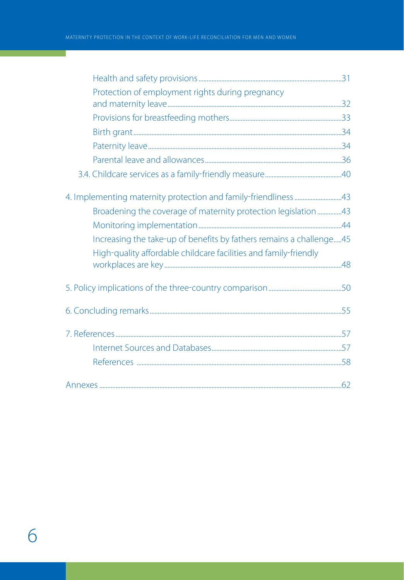т

| Protection of employment rights during pregnancy                    |  |
|---------------------------------------------------------------------|--|
|                                                                     |  |
|                                                                     |  |
|                                                                     |  |
|                                                                     |  |
|                                                                     |  |
|                                                                     |  |
|                                                                     |  |
| Broadening the coverage of maternity protection legislation 43      |  |
|                                                                     |  |
| Increasing the take-up of benefits by fathers remains a challenge45 |  |
| High-quality affordable childcare facilities and family-friendly    |  |
|                                                                     |  |
|                                                                     |  |
|                                                                     |  |
|                                                                     |  |
|                                                                     |  |
|                                                                     |  |
|                                                                     |  |
|                                                                     |  |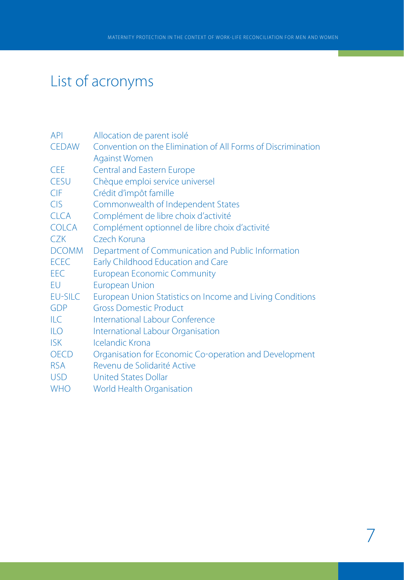## List of acronyms

| Allocation de parent isolé                                   |
|--------------------------------------------------------------|
| Convention on the Elimination of All Forms of Discrimination |
| <b>Against Women</b>                                         |
| <b>Central and Eastern Europe</b>                            |
| Chèque emploi service universel                              |
| Crédit d'impôt famille                                       |
| Commonwealth of Independent States                           |
| Complément de libre choix d'activité                         |
| Complément optionnel de libre choix d'activité               |
| Czech Koruna                                                 |
| Department of Communication and Public Information           |
| <b>Early Childhood Education and Care</b>                    |
| <b>European Economic Community</b>                           |
| <b>European Union</b>                                        |
| European Union Statistics on Income and Living Conditions    |
| <b>Gross Domestic Product</b>                                |
| <b>International Labour Conference</b>                       |
| International Labour Organisation                            |
| Icelandic Krona                                              |
| Organisation for Economic Co-operation and Development       |
| Revenu de Solidarité Active                                  |
| <b>United States Dollar</b>                                  |
| World Health Organisation                                    |
|                                                              |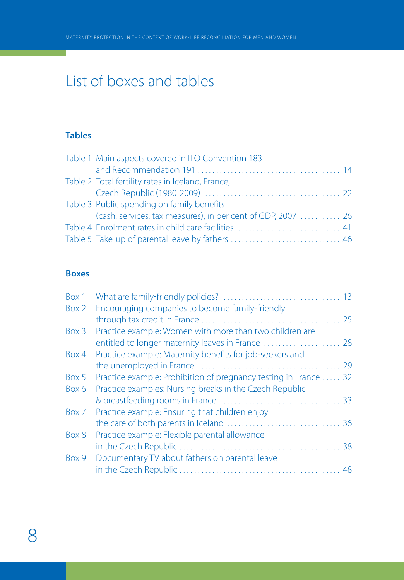## List of boxes and tables

## **Tables**

| Table 1 Main aspects covered in ILO Convention 183          |
|-------------------------------------------------------------|
|                                                             |
| Table 2 Total fertility rates in Iceland, France,           |
|                                                             |
| Table 3 Public spending on family benefits                  |
| (cash, services, tax measures), in per cent of GDP, 2007 26 |
| Table 4 Enrolment rates in child care facilities 41         |
|                                                             |

## **Boxes**

| Box 1 |                                                                 |  |
|-------|-----------------------------------------------------------------|--|
| Box 2 | Encouraging companies to become family-friendly                 |  |
|       |                                                                 |  |
| Box 3 | Practice example: Women with more than two children are         |  |
|       | entitled to longer maternity leaves in France 28                |  |
| Box 4 | Practice example: Maternity benefits for job-seekers and        |  |
|       |                                                                 |  |
| Box 5 | Practice example: Prohibition of pregnancy testing in France 32 |  |
| Box 6 | Practice examples: Nursing breaks in the Czech Republic         |  |
|       |                                                                 |  |
| Box 7 | Practice example: Ensuring that children enjoy                  |  |
|       |                                                                 |  |
| Box 8 | Practice example: Flexible parental allowance                   |  |
|       |                                                                 |  |
| Box 9 | Documentary TV about fathers on parental leave                  |  |
|       |                                                                 |  |
|       |                                                                 |  |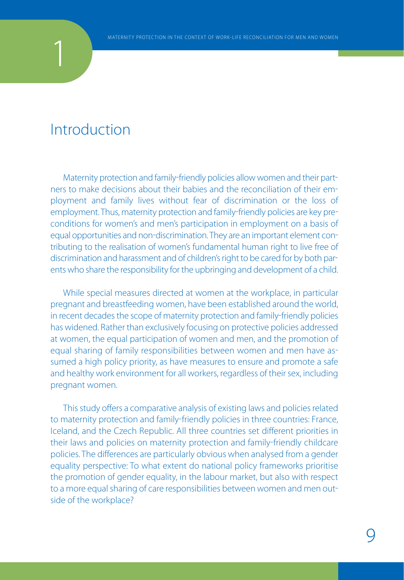## Introduction

1

Maternity protection and family-friendly policies allow women and their partners to make decisions about their babies and the reconciliation of their em ployment and family lives without fear of discrimination or the loss of employment. Thus, maternity protection and family-friendly policies are key preconditions for women's and men's participation in employment on a basis of equal opportunities and non-discrimination. They are an important element contributing to the realisation of women's fundamental human right to live free of discrimination and harassment and of children's right to be cared for by both par ents who share the responsibility for the upbringing and development of a child.

While special measures directed at women at the workplace, in particular pregnant and breastfeeding women, have been established around the world, in recent decades the scope of maternity protection and family-friendly policies has widened. Rather than exclusively focusing on protective policies addressed at women, the equal participation of women and men, and the promotion of equal sharing of family responsibilities between women and men have as sumed a high policy priority, as have measures to ensure and promote a safe and healthy work environment for all workers, regardless of their sex, including pregnant women.

This study offers a comparative analysis of existing laws and policies related to maternity protection and family-friendly policies in three countries: France, Iceland, and the Czech Republic. All three countries set different priorities in their laws and policies on maternity protection and family-friendly childcare policies. The differences are particularly obvious when analysed from a gender equality perspective: To what extent do national policy frameworks prioritise the promotion of gender equality, in the labour market, but also with respect to a more equal sharing of care responsibilities between women and men out side of the workplace?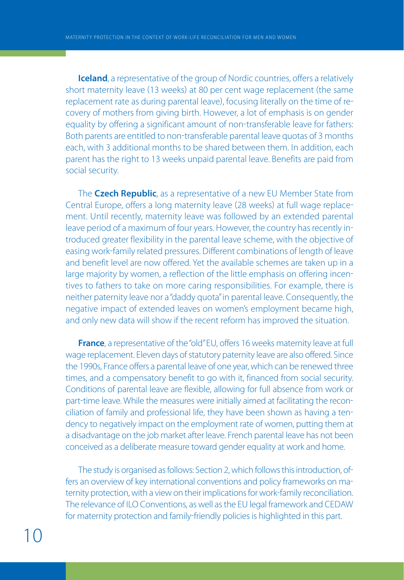**Iceland**, a representative of the group of Nordic countries, offers a relatively short maternity leave (13 weeks) at 80 per cent wage replacement (the same replacement rate as during parental leave), focusing literally on the time of recovery of mothers from giving birth. However, a lot of emphasis is on gender equality by offering a significant amount of non-transferable leave for fathers: Both parents are entitled to non-transferable parental leave quotas of 3 months each, with 3 additional months to be shared between them. In addition, each parent has the right to 13 weeks unpaid parental leave. Benefits are paid from social security.

The **Czech Republic**, as a representative of a new EU Member State from Central Europe, offers a long maternity leave (28 weeks) at full wage replacement. Until recently, maternity leave was followed by an extended parental leave period of a maximum of four years. However, the country has recently in troduced greater flexibility in the parental leave scheme, with the objective of easing work-family related pressures. Different combinations of length of leave and benefit level are now offered. Yet the available schemes are taken up in a large majority by women, a reflection of the little emphasis on offering incen tives to fathers to take on more caring responsibilities. For example, there is neither paternity leave nor a "daddy quota" in parental leave. Consequently, the negative impact of extended leaves on women's employment became high, and only new data will show if the recent reform has improved the situation.

**France**, a representative of the "old" EU, offers 16 weeks maternity leave at full wage replacement. Eleven days of statutory paternity leave are also offered. Since the 1990s, France offers a parental leave of one year, which can be renewed three times, and a compensatory benefit to go with it, financed from social security. Conditions of parental leave are flexible, allowing for full absence from work or part-time leave. While the measures were initially aimed at facilitating the reconciliation of family and professional life, they have been shown as having a ten dency to negatively impact on the employment rate of women, putting them at a disadvantage on the job market after leave. French parental leave has not been conceived as a deliberate measure toward gender equality at work and home.

The study is organised as follows: Section 2, which follows this introduction, of fers an overview of key international conventions and policy frameworks on ma ternity protection, with a view on their implications for work-family reconciliation. The relevance of ILO Conventions, as well as the EU legal framework and CEDAW for maternity protection and family-friendly policies is highlighted in this part.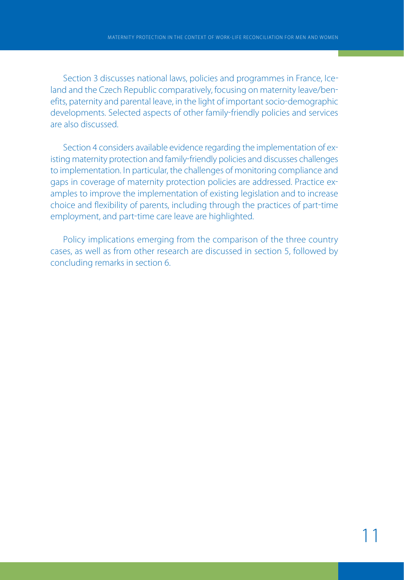Section 3 discusses national laws, policies and programmes in France, Ice land and the Czech Republic comparatively, focusing on maternity leave/ben efits, paternity and parental leave, in the light of important socio-demographic developments. Selected aspects of other family-friendly policies and services are also discussed.

Section 4 considers available evidence regarding the implementation of ex isting maternity protection and family-friendly policies and discusses challenges to implementation. In particular, the challenges of monitoring compliance and gaps in coverage of maternity protection policies are addressed. Practice ex amples to improve the implementation of existing legislation and to increase choice and flexibility of parents, including through the practices of part-time employment, and part-time care leave are highlighted.

Policy implications emerging from the comparison of the three country cases, as well as from other research are discussed in section 5, followed by concluding remarks in section 6.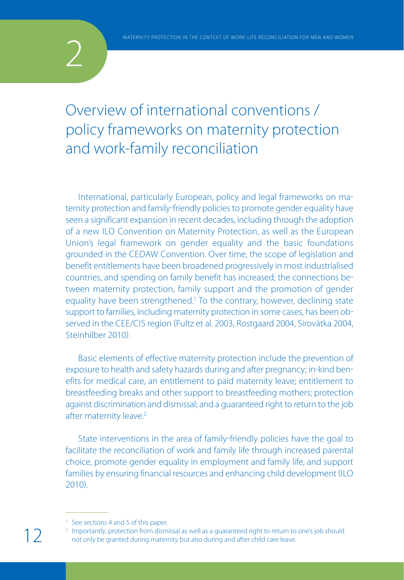

## Overview of international conventions / policy frameworks on maternity protection and work-family reconciliation

International, particularly European, policy and legal frameworks on ma ternity protection and family-friendly policies to promote gender equality have seen a significant expansion in recent decades, including through the adoption of a new ILO Convention on Maternity Protection, as well as the European Union's legal framework on gender equality and the basic foundations grounded in the CEDAW Convention. Over time, the scope of legislation and benefit entitlements have been broadened progressively in most industrialised countries, and spending on family benefit has increased; the connections be tween maternity protection, family support and the promotion of gender equality have been strengthened.<sup>1</sup> To the contrary, however, declining state support to families, including maternity protection in some cases, has been ob served in the CEE/CIS region (Fultz et al. 2003, Rostgaard 2004, Sirovátka 2004, Steinhilber 2010)

Basic elements of effective maternity protection include the prevention of exposure to health and safety hazards during and after pregnancy; in-kind benefits for medical care, an entitlement to paid maternity leave; entitlement to breastfeeding breaks and other support to breastfeeding mothers; protection against discrimination and dismissal; and a guaranteed right to return to the job after maternity leave.<sup>2</sup>

State interventions in the area of family-friendly policies have the goal to facilitate the reconciliation of work and family life through increased parental choice, promote gender equality in employment and family life, and support families by ensuring financial resources and enhancing child development (ILO 2010.

<sup>2</sup> Importantly, protection from dismissal as well as a quaranteed right to return to one's job should not only be granted during maternity but also during and after child care leave.

<sup>&</sup>lt;sup>1</sup> See sections 4 and 5 of this paper.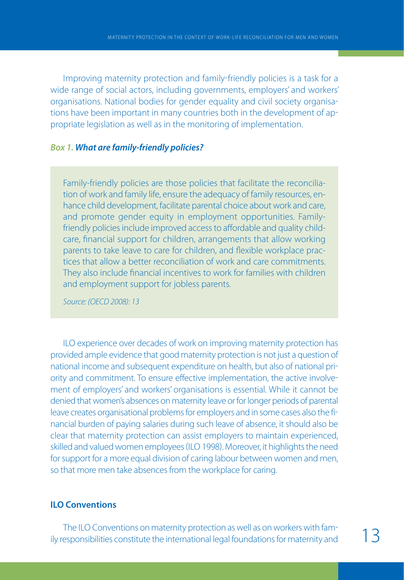Improving maternity protection and family-friendly policies is a task for a wide range of social actors, including governments, employers' and workers' organisations. National bodies for gender equality and civil society organisa tions have been important in many countries both in the development of ap propriate legislation as well as in the monitoring of implementation.

#### *Box 1. What are family-friendly policies?*

Family-friendly policies are those policies that facilitate the reconciliation of work and family life, ensure the adequacy of family resources, enhance child development, facilitate parental choice about work and care, and promote gender equity in employment opportunities. Familyfriendly policies include improved access to affordable and quality childcare, financial support for children, arrangements that allow working parents to take leave to care for children, and flexible workplace practices that allow a better reconciliation of work and care commitments. They also include financial incentives to work for families with children and employment support for jobless parents.

Source: (OECD 2008): 13

ILO experience over decades of work on improving maternity protection has provided ample evidence that good maternity protection is not just a question of national income and subsequent expenditure on health, but also of national pri ority and commitment. To ensure effective implementation, the active involve ment of employers' and workers' organisations is essential. While it cannot be denied that women's absences on maternity leave or for longer periods of parental leave creates organisational problems for employers and in some cases also the fi nancial burden of paying salaries during such leave of absence, it should also be clear that maternity protection can assist employers to maintain experienced, skilled and valued women employees (ILO 1998). Moreover, it highlights the need for support for a more equal division of caring labour between women and men, so that more men take absences from the workplace for caring.

### **ILO Conventions**

The ILO Conventions on maternity protection as well as on workers with fam ily responsibilities constitute the international legal foundations for maternity and 13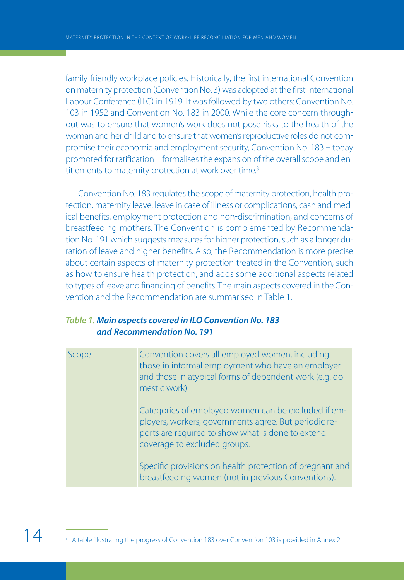family-friendly workplace policies. Historically, the first international Convention on maternity protection Convention No. 3 was adopted at the first International Labour Conference (ILC) in 1919. It was followed by two others: Convention No. 103 in 1952 and Convention No. 183 in 2000. While the core concern through out was to ensure that women's work does not pose risks to the health of the woman and her child and to ensure that women's reproductive roles do not com promise their economic and employment security, Convention No. 183 - today promoted for ratification - formalises the expansion of the overall scope and entitlements to maternity protection at work over time.<sup>3</sup>

Convention No. 183 regulates the scope of maternity protection, health pro tection, maternity leave, leave in case of illness or complications, cash and med ical benefits, employment protection and non-discrimination, and concerns of breastfeeding mothers. The Convention is complemented by Recommenda tion No. 191 which suggests measures for higher protection, such as a longer du ration of leave and higher benefits. Also, the Recommendation is more precise about certain aspects of maternity protection treated in the Convention, such as how to ensure health protection, and adds some additional aspects related to types of leave and financing of benefits. The main aspects covered in the Con vention and the Recommendation are summarised in Table 1.

## *Table 1. Main aspects covered in ILO Convention No. 183 and Recommendation No. 191*

| Scope | Convention covers all employed women, including<br>those in informal employment who have an employer<br>and those in atypical forms of dependent work (e.g. do-<br>mestic work).                  |
|-------|---------------------------------------------------------------------------------------------------------------------------------------------------------------------------------------------------|
|       | Categories of employed women can be excluded if em-<br>ployers, workers, governments agree. But periodic re-<br>ports are required to show what is done to extend<br>coverage to excluded groups. |
|       | Specific provisions on health protection of pregnant and<br>breastfeeding women (not in previous Conventions).                                                                                    |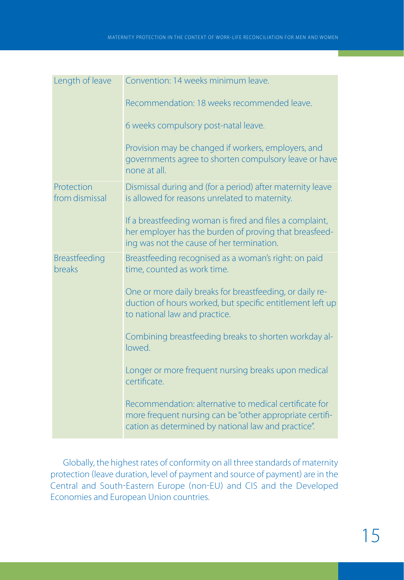| Length of leave              | Convention: 14 weeks minimum leave.                                                                                                                                       |  |  |
|------------------------------|---------------------------------------------------------------------------------------------------------------------------------------------------------------------------|--|--|
|                              | Recommendation: 18 weeks recommended leave.                                                                                                                               |  |  |
|                              | 6 weeks compulsory post-natal leave.                                                                                                                                      |  |  |
|                              | Provision may be changed if workers, employers, and<br>governments agree to shorten compulsory leave or have<br>none at all.                                              |  |  |
| Protection<br>from dismissal | Dismissal during and (for a period) after maternity leave<br>is allowed for reasons unrelated to maternity.                                                               |  |  |
|                              | If a breastfeeding woman is fired and files a complaint,<br>her employer has the burden of proving that breasfeed-<br>ing was not the cause of her termination.           |  |  |
| Breastfeeding<br>breaks      | Breastfeeding recognised as a woman's right: on paid<br>time, counted as work time.                                                                                       |  |  |
|                              | One or more daily breaks for breastfeeding, or daily re-<br>duction of hours worked, but specific entitlement left up<br>to national law and practice.                    |  |  |
|                              | Combining breastfeeding breaks to shorten workday al-<br>lowed.                                                                                                           |  |  |
|                              | Longer or more frequent nursing breaks upon medical<br>certificate.                                                                                                       |  |  |
|                              | Recommendation: alternative to medical certificate for<br>more frequent nursing can be "other appropriate certifi-<br>cation as determined by national law and practice". |  |  |

Globally, the highest rates of conformity on all three standards of maternity protection (leave duration, level of payment and source of payment) are in the Central and South-Eastern Europe (non-EU) and CIS and the Developed Economies and European Union countries.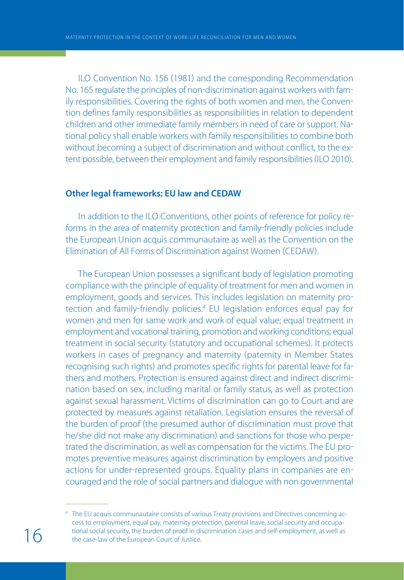ILO Convention No. 156 (1981) and the corresponding Recommendation No. 165 regulate the principles of non-discrimination against workers with family responsibilities. Covering the rights of both women and men, the Conven tion defines family responsibilities as responsibilities in relation to dependent children and other immediate family members in need of care or support. Na tional policy shall enable workers with family responsibilities to combine both without becoming a subject of discrimination and without conflict, to the ex tent possible, between their employment and family responsibilities (ILO 2010).

## **Other legal frameworks: EU law and CEDAW**

In addition to the ILO Conventions, other points of reference for policy re forms in the area of maternity protection and family-friendly policies include the European Union acquis communautaire as well as the Convention on the Elimination of All Forms of Discrimination against Women (CEDAW).

The European Union possesses a significant body of legislation promoting compliance with the principle of equality of treatment for men and women in employment, goods and services. This includes legislation on maternity pro tection and family-friendly policies.<sup>4</sup> EU legislation enforces equal pay for women and men for same work and work of equal value; equal treatment in employment and vocational training, promotion and working conditions; equal treatment in social security (statutory and occupational schemes). It protects workers in cases of pregnancy and maternity (paternity in Member States recognising such rights) and promotes specific rights for parental leave for fathers and mothers. Protection is ensured against direct and indirect discrimi nation based on sex, including marital or family status, as well as protection against sexual harassment. Victims of discrimination can go to Court and are protected by measures against retaliation. Legislation ensures the reversal of the burden of proof the presumed author of discrimination must prove that he/she did not make any discrimination) and sanctions for those who perpetrated the discrimination, as well as compensation for the victims. The EU pro motes preventive measures against discrimination by employers and positive actions for under-represented groups. Equality plans in companies are encouraged and the role of social partners and dialogue with non governmental

<sup>4</sup> The EU acquis communautaire consists of various Treaty provisions and Directives concerning access to employment, equal pay, maternity protection, parental leave, social security and occupational social security, the burden of proof in discrimination cases and self-employment, as well as the case-law of the European Court of Justice.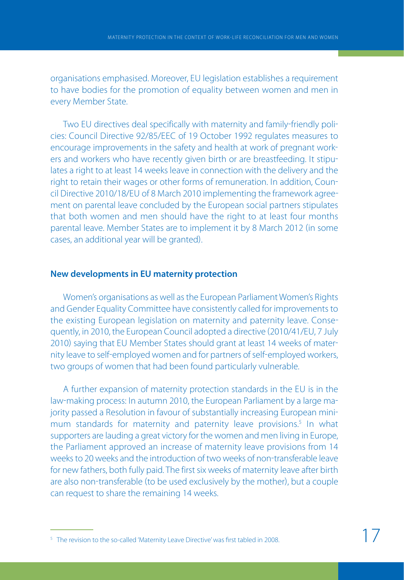organisations emphasised. Moreover, EU legislation establishes a requirement to have bodies for the promotion of equality between women and men in every Member State.

Two EU directives deal specifically with maternity and family-friendly policies: Council Directive 92/85/EEC of 19 October 1992 regulates measures to encourage improvements in the safety and health at work of pregnant work ers and workers who have recently given birth or are breastfeeding. It stipu lates a right to at least 14 weeks leave in connection with the delivery and the right to retain their wages or other forms of remuneration. In addition, Coun cil Directive 2010/18/EU of 8 March 2010 implementing the framework agree ment on parental leave concluded by the European social partners stipulates that both women and men should have the right to at least four months parental leave. Member States are to implement it by 8 March 2012 (in some cases, an additional year will be granted.

### **New developments in EU maternity protection**

Women's organisations as well as the European Parliament Women's Rights and Gender Equality Committee have consistently called for improvements to the existing European legislation on maternity and paternity leave. Conse quently, in 2010, the European Council adopted a directive 2010/41/EU, 7 July 2010) saying that EU Member States should grant at least 14 weeks of maternity leave to self-employed women and for partners of self-employed workers, two groups of women that had been found particularly vulnerable.

A further expansion of maternity protection standards in the EU is in the law-making process: In autumn 2010, the European Parliament by a large majority passed a Resolution in favour of substantially increasing European minimum standards for maternity and paternity leave provisions.<sup>5</sup> In what supporters are lauding a great victory for the women and men living in Europe, the Parliament approved an increase of maternity leave provisions from 14 weeks to 20 weeks and the introduction of two weeks of non-transferable leave for new fathers, both fully paid. The first six weeks of maternity leave after birth are also non-transferable (to be used exclusively by the mother), but a couple can request to share the remaining 14 weeks.

<sup>&</sup>lt;sup>5</sup> The revision to the so-called 'Maternity Leave Directive' was first tabled in 2008.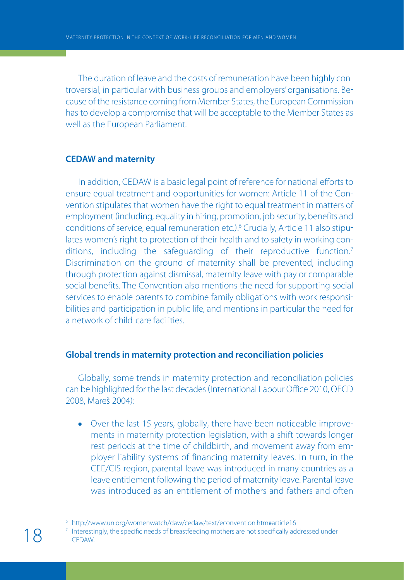The duration of leave and the costs of remuneration have been highly con troversial, in particular with business groups and employers' organisations. Be cause of the resistance coming from Member States, the European Commission has to develop a compromise that will be acceptable to the Member States as well as the European Parliament.

### **CEDAW and maternity**

In addition, CEDAW is a basic legal point of reference for national efforts to ensure equal treatment and opportunities for women: Article 11 of the Con vention stipulates that women have the right to equal treatment in matters of employment (including, equality in hiring, promotion, job security, benefits and conditions of service, equal remuneration etc.).<sup>6</sup> Crucially, Article 11 also stipulates women's right to protection of their health and to safety in working con ditions, including the safeguarding of their reproductive function.<sup>7</sup> Discrimination on the ground of maternity shall be prevented, including through protection against dismissal, maternity leave with pay or comparable social benefits. The Convention also mentions the need for supporting social services to enable parents to combine family obligations with work responsi bilities and participation in public life, and mentions in particular the need for a network of child-care facilities.

## **Global trends in maternity protection and reconciliation policies**

Globally, some trends in maternity protection and reconciliation policies can be highlighted for the last decades (International Labour Office 2010, OECD 2008, Mareš 2004):

Over the last 15 years, globally, there have been noticeable improve ments in maternity protection legislation, with a shift towards longer rest periods at the time of childbirth, and movement away from em ployer liability systems of financing maternity leaves. In turn, in the CEE/CIS region, parental leave was introduced in many countries as a leave entitlement following the period of maternity leave. Parental leave was introduced as an entitlement of mothers and fathers and often

<sup>6</sup> http://www.un.org/womenwatch/daw/cedaw/text/econvention.htm#article16

Interestingly, the specific needs of breastfeeding mothers are not specifically addressed under **CEDAW**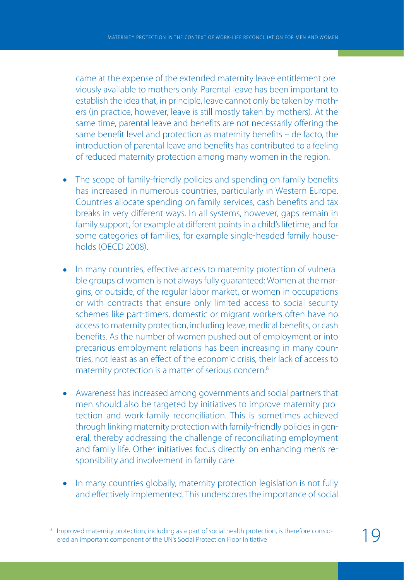came at the expense of the extended maternity leave entitlement pre viously available to mothers only. Parental leave has been important to establish the idea that, in principle, leave cannot only be taken by moth ers (in practice, however, leave is still mostly taken by mothers). At the same time, parental leave and benefits are not necessarily offering the same benefit level and protection as maternity benefits  $-$  de facto, the introduction of parental leave and benefits has contributed to a feeling of reduced maternity protection among many women in the region.

- The scope of family-friendly policies and spending on family benefits has increased in numerous countries, particularly in Western Europe. Countries allocate spending on family services, cash benefits and tax breaks in very different ways. In all systems, however, gaps remain in family support, for example at different points in a child's lifetime, and for some categories of families, for example single-headed family households OECD 2008.
- In many countries, effective access to maternity protection of vulnerable groups of women is not always fully guaranteed: Women at the mar gins, or outside, of the regular labor market, or women in occupations or with contracts that ensure only limited access to social security schemes like part-timers, domestic or migrant workers often have no access to maternity protection, including leave, medical benefits, or cash benefits. As the number of women pushed out of employment or into precarious employment relations has been increasing in many coun tries, not least as an effect of the economic crisis, their lack of access to maternity protection is a matter of serious concern.<sup>8</sup>
- Awareness has increased among governments and social partners that men should also be targeted by initiatives to improve maternity pro tection and work-family reconciliation. This is sometimes achieved through linking maternity protection with family-friendly policies in general, thereby addressing the challenge of reconciliating employment and family life. Other initiatives focus directly on enhancing men's re sponsibility and involvement in family care.
- In many countries globally, maternity protection legislation is not fully and effectively implemented. This underscores the importance of social

<sup>8</sup> Improved maternity protection, including as a part of social health protection, is therefore considered an important component of the UN's Social Protection Floor Initiative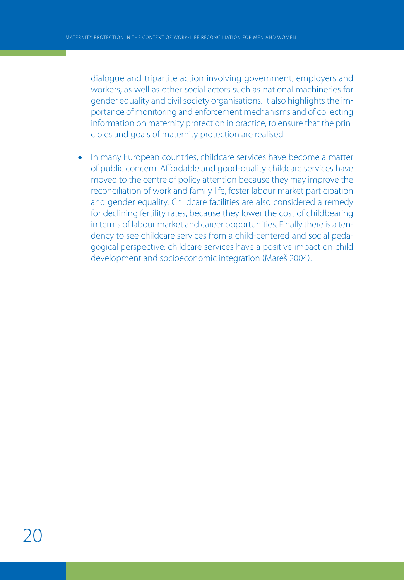dialogue and tripartite action involving government, employers and workers, as well as other social actors such as national machineries for gender equality and civil society organisations. It also highlights the im portance of monitoring and enforcement mechanisms and of collecting information on maternity protection in practice, to ensure that the prin ciples and goals of maternity protection are realised.

In many European countries, childcare services have become a matter  $\bullet$ of public concern. Affordable and good-quality childcare services have moved to the centre of policy attention because they may improve the reconciliation of work and family life, foster labour market participation and gender equality. Childcare facilities are also considered a remedy for declining fertility rates, because they lower the cost of childbearing in terms of labour market and career opportunities. Finally there is a ten dency to see childcare services from a child-centered and social pedagogical perspective: childcare services have a positive impact on child development and socioeconomic integration Mareš 2004.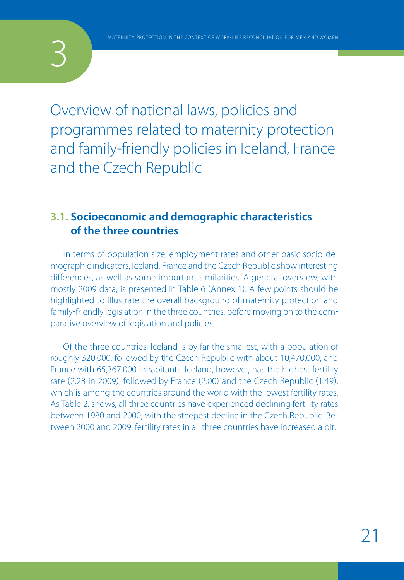Overview of national laws, policies and programmes related to maternity protection and family-friendly policies in Iceland, France and the Czech Republic

## **3.1. Socioeconomic and demographic characteristics of the three countries**

In terms of population size, employment rates and other basic socio-demographic indicators, Iceland, France and the Czech Republic show interesting differences, as well as some important similarities. A general overview, with mostly 2009 data, is presented in Table 6 (Annex 1). A few points should be highlighted to illustrate the overall background of maternity protection and family-friendly legislation in the three countries, before moving on to the comparative overview of legislation and policies.

Of the three countries, Iceland is by far the smallest, with a population of roughly 320,000, followed by the Czech Republic with about 10,470,000, and France with 65,367,000 inhabitants. Iceland, however, has the highest fertility rate (2.23 in 2009), followed by France (2.00) and the Czech Republic (1.49), which is among the countries around the world with the lowest fertility rates. As Table 2. shows, all three countries have experienced declining fertility rates between 1980 and 2000, with the steepest decline in the Czech Republic. Be tween 2000 and 2009, fertility rates in all three countries have increased a bit.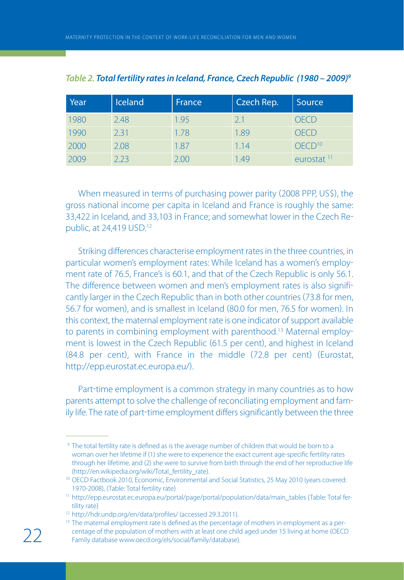| Year | <b>Iceland</b> | France | Czech Rep. | Source                 |
|------|----------------|--------|------------|------------------------|
| 1980 | 2.48           | 1.95   | 2.1        | )F( 1 )                |
| 1990 | 2.31           | 1.78   | 1.89       | OF (T)                 |
| 2000 | 2.08           | 1.87   | 1.14       | $OFCD^{10}$            |
| 2009 | 2 23           | 200    | 49         | eurostat <sup>11</sup> |

|  | Table 2. Total fertility rates in Iceland, France, Czech Republic (1980 - 2009) <sup>9</sup> |  |  |
|--|----------------------------------------------------------------------------------------------|--|--|
|--|----------------------------------------------------------------------------------------------|--|--|

When measured in terms of purchasing power parity (2008 PPP, US\$), the gross national income per capita in Iceland and France is roughly the same: 33,422 in Iceland, and 33,103 in France; and somewhat lower in the Czech Re public, at 24,419 USD.12

Striking differences characterise employment rates in the three countries, in particular women's employment rates: While Iceland has a women's employ ment rate of 76.5, France's is 60.1, and that of the Czech Republic is only 56.1. The difference between women and men's employment rates is also signifi cantly larger in the Czech Republic than in both other countries 73.8 for men, 56.7 for women), and is smallest in Iceland (80.0 for men, 76.5 for women). In this context, the maternal employment rate is one indicator of support available to parents in combining employment with parenthood.<sup>13</sup> Maternal employment is lowest in the Czech Republic (61.5 per cent), and highest in Iceland  $(84.8$  per cent), with France in the middle  $(72.8$  per cent) (Eurostat, http://epp.eurostat.ec.europa.eu/.

Part-time employment is a common strategy in many countries as to how parents attempt to solve the challenge of reconciliating employment and fam ily life. The rate of part-time employment differs significantly between the three

<sup>9</sup> The total fertility rate is defined as is the average number of children that would be born to a woman over her lifetime if (1) she were to experience the exact current age-specific fertility rates through her lifetime, and (2) she were to survive from birth through the end of her reproductive life (http://en.wikipedia.org/wiki/Total\_fertility\_rate).

<sup>&</sup>lt;sup>10</sup> OECD Factbook 2010, Economic, Environmental and Social Statistics, 25 May 2010 (years covered: 1970-2008), (Table: Total fertility rate)

<sup>11</sup> http://epp.eurostat.ec.europa.eu/portal/page/portal/population/data/main\_tables (Table: Total fertility rate)

<sup>12</sup> http://hdr.undp.org/en/data/profiles/ (accessed 29.3.2011).

<sup>&</sup>lt;sup>13</sup> The maternal employment rate is defined as the percentage of mothers in employment as a percentage of the population of mothers with at least one child aged under 15 living at home (OECD Family database www.oecd.org/els/social/family/database).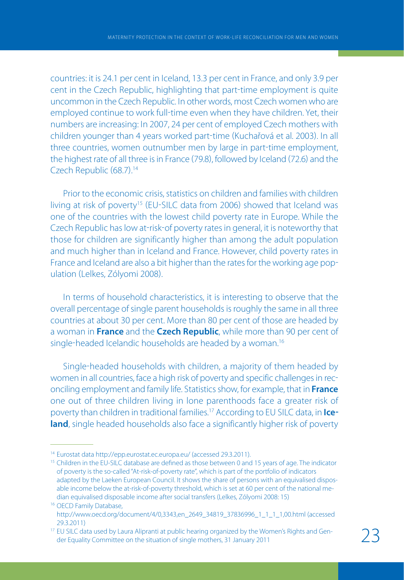countries: it is 24.1 per cent in Iceland, 13.3 per cent in France, and only 3.9 per cent in the Czech Republic, highlighting that part-time employment is quite uncommon in the Czech Republic. In other words, most Czech women who are employed continue to work full-time even when they have children. Yet, their numbers are increasing: In 2007, 24 per cent of employed Czech mothers with children younger than 4 years worked part-time (Kuchařová et al. 2003). In all three countries, women outnumber men by large in part-time employment, the highest rate of all three is in France (79.8), followed by Iceland (72.6) and the Czech Republic (68.7).<sup>14</sup>

Prior to the economic crisis, statistics on children and families with children living at risk of poverty<sup>15</sup> (EU-SILC data from 2006) showed that Iceland was one of the countries with the lowest child poverty rate in Europe. While the Czech Republic has low at-risk-of poverty rates in general, it is noteworthy that those for children are significantly higher than among the adult population and much higher than in Iceland and France. However, child poverty rates in France and Iceland are also a bit higher than the rates for the working age pop ulation (Lelkes, Zólyomi 2008).

In terms of household characteristics, it is interesting to observe that the overall percentage of single parent households is roughly the same in all three countries at about 30 per cent. More than 80 per cent of those are headed by a woman in **France** and the **Czech Republic**, while more than 90 per cent of single-headed Icelandic households are headed by a woman.<sup>16</sup>

Single-headed households with children, a majority of them headed by women in all countries, face a high risk of poverty and specific challenges in rec onciling employment and family life. Statistics show, for example, that in **France** one out of three children living in lone parenthoods face a greater risk of poverty than children in traditional families.17 According to EU SILC data, in **Ice land**, single headed households also face a significantly higher risk of poverty

<sup>14</sup> Eurostat data http://epp.eurostat.ec.europa.eu/ (accessed 29.3.2011).

<sup>&</sup>lt;sup>15</sup> Children in the EU-SILC database are defined as those between 0 and 15 years of age. The indicator of poverty is the so-called "At-risk-of-poverty rate", which is part of the portfolio of indicators adapted by the Laeken European Council. It shows the share of persons with an equivalised disposable income below the at-risk-of-poverty threshold, which is set at 60 per cent of the national median equivalised disposable income after social transfers (Lelkes, Zólyomi 2008: 15)

<sup>&</sup>lt;sup>16</sup> OECD Family Database, http://www.oecd.org/document/4/0,3343,en\_2649\_34819\_37836996\_1\_1\_1\_1,00.html (accessed 29.3.2011)

<sup>&</sup>lt;sup>17</sup> EU SILC data used by Laura Alipranti at public hearing organized by the Women's Rights and Gender Equality Committee on the situation of single mothers, 31 January 2011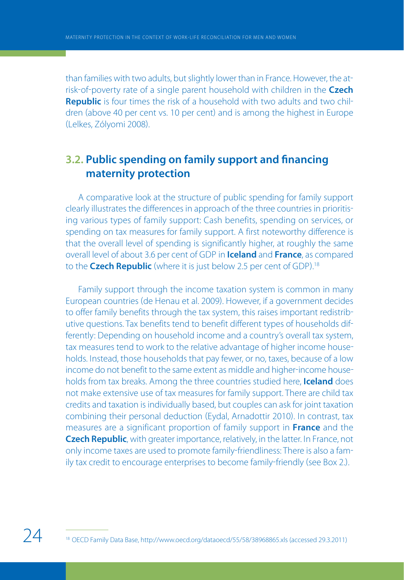than families with two adults, but slightly lower than in France. However, the at risk-of-poverty rate of a single parent household with children in the **Czech Republic** is four times the risk of a household with two adults and two chil dren (above 40 per cent vs. 10 per cent) and is among the highest in Europe Lelkes, Zólyomi 2008.

## **3.2. Public spending on family support and financing maternity protection**

A comparative look at the structure of public spending for family support clearly illustrates the differences in approach of the three countries in prioritis ing various types of family support: Cash benefits, spending on services, or spending on tax measures for family support. A first noteworthy difference is that the overall level of spending is significantly higher, at roughly the same overall level of about 3.6 per cent of GDP in **Iceland** and **France**, as compared to the **Czech Republic** (where it is just below 2.5 per cent of GDP).<sup>18</sup>

Family support through the income taxation system is common in many European countries (de Henau et al. 2009). However, if a government decides to offer family benefits through the tax system, this raises important redistrib utive questions. Tax benefits tend to benefit different types of households dif ferently: Depending on household income and a country's overall tax system, tax measures tend to work to the relative advantage of higher income house holds. Instead, those households that pay fewer, or no, taxes, because of a low income do not benefit to the same extent as middle and higher-income households from tax breaks. Among the three countries studied here, **Iceland** does not make extensive use of tax measures for family support. There are child tax credits and taxation is individually based, but couples can ask for joint taxation combining their personal deduction (Eydal, Arnadottir 2010). In contrast, tax measures are a significant proportion of family support in **France** and the **Czech Republic**, with greater importance, relatively, in the latter. In France, not only income taxes are used to promote family-friendliness: There is also a family tax credit to encourage enterprises to become family-friendly (see Box 2.).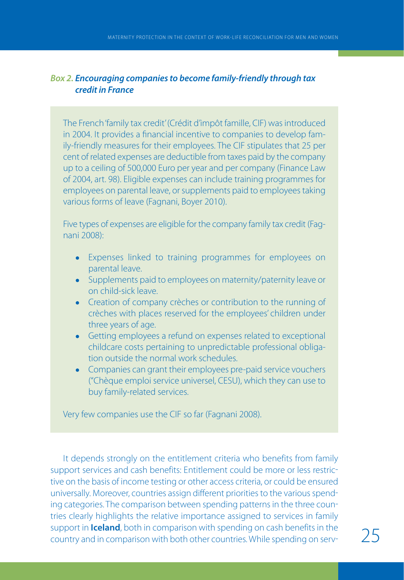## *Box 2. Encouraging companies to become family-friendly through tax credit in France*

The French 'family tax credit' (Crédit d'impôt famille, CIF) was introduced in 2004. It provides a financial incentive to companies to develop family-friendly measures for their employees. The CIF stipulates that 25 per cent of related expenses are deductible from taxes paid by the company up to a ceiling of 500,000 Euro per year and per company (Finance Law of 2004, art. 98). Eligible expenses can include training programmes for employees on parental leave, or supplements paid to employees taking various forms of leave (Fagnani, Boyer 2010).

Five types of expenses are eligible for the company family tax credit (Fagnani 2008):

- Expenses linked to training programmes for employees on parental leave.
- Supplements paid to employees on maternity/paternity leave or on child-sick leave.
- Creation of company crèches or contribution to the running of crèches with places reserved for the employees' children under three years of age.
- Getting employees a refund on expenses related to exceptional childcare costs pertaining to unpredictable professional obligation outside the normal work schedules.
- Companies can grant their employees pre-paid service vouchers ("Chèque emploi service universel, CESU), which they can use to buy family-related services.

Very few companies use the CIF so far (Fagnani 2008).

It depends strongly on the entitlement criteria who benefits from family support services and cash benefits: Entitlement could be more or less restric tive on the basis of income testing or other access criteria, or could be ensured universally. Moreover, countries assign different priorities to the various spend ing categories. The comparison between spending patterns in the three coun tries clearly highlights the relative importance assigned to services in family support in **Iceland**, both in comparison with spending on cash benefits in the country and in comparison with both other countries. While spending on serv-<br>25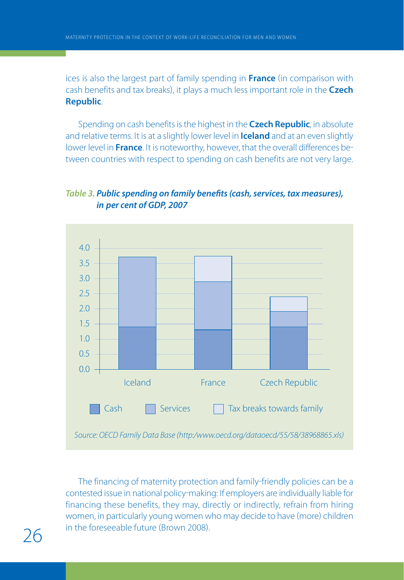ices is also the largest part of family spending in **France** (in comparison with cash benefits and tax breaks, it plays a much less important role in the **Czech Republic**.

Spending on cash benefits is the highest in the **Czech Republic**, in absolute and relative terms. It is at a slightly lower level in **Iceland** and at an even slightly lower level in **France**. It is noteworthy, however, that the overall differences be tween countries with respect to spending on cash benefits are not very large.

## *Table 3. Public spending on family benefits (cash, services, tax measures), in per cent of GDP, 2007*



The financing of maternity protection and family-friendly policies can be a contested issue in national policy-making: If employers are individually liable for financing these benefits, they may, directly or indirectly, refrain from hiring women, in particularly young women who may decide to have (more) children 26 in the foreseeable future (Brown 2008).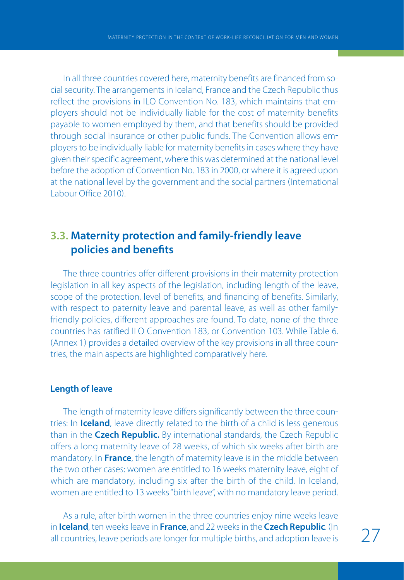In all three countries covered here, maternity benefits are financed from so cial security. The arrangements in Iceland, France and the Czech Republic thus reflect the provisions in ILO Convention No. 183, which maintains that em ployers should not be individually liable for the cost of maternity benefits payable to women employed by them, and that benefits should be provided through social insurance or other public funds. The Convention allows em ployers to be individually liable for maternity benefits in cases where they have given their specific agreement, where this was determined at the national level before the adoption of Convention No. 183 in 2000, or where it is agreed upon at the national level by the government and the social partners (International Labour Office 2010).

## **3.3. Maternity protection and family-friendly leave policies and benefits**

The three countries offer different provisions in their maternity protection legislation in all key aspects of the legislation, including length of the leave, scope of the protection, level of benefits, and financing of benefits. Similarly, with respect to paternity leave and parental leave, as well as other familyfriendly policies, different approaches are found. To date, none of the three countries has ratified ILO Convention 183, or Convention 103. While Table 6. (Annex 1) provides a detailed overview of the key provisions in all three countries, the main aspects are highlighted comparatively here.

### **Length of leave**

The length of maternity leave differs significantly between the three coun tries: In **Iceland**, leave directly related to the birth of a child is less generous than in the **Czech Republic.** By international standards, the Czech Republic offers a long maternity leave of 28 weeks, of which six weeks after birth are mandatory. In **France**, the length of maternity leave is in the middle between the two other cases: women are entitled to 16 weeks maternity leave, eight of which are mandatory, including six after the birth of the child. In Iceland, women are entitled to 13 weeks "birth leave", with no mandatory leave period.

As a rule, after birth women in the three countries enjoy nine weeks leave in **Iceland**, ten weeks leave in **France**, and 22 weeks in the **Czech Republic**. In all countries, leave periods are longer for multiple births, and adoption leave is  $27$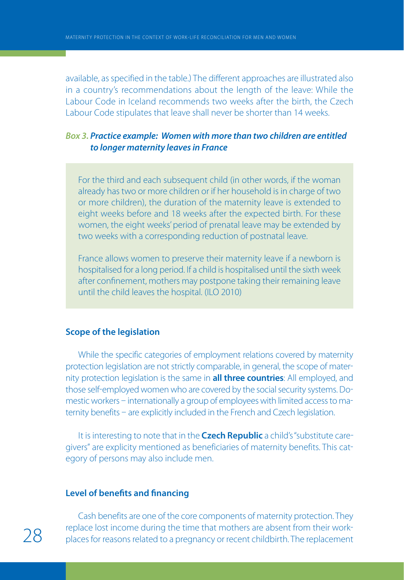available, as specified in the table.) The different approaches are illustrated also in a country's recommendations about the length of the leave: While the Labour Code in Iceland recommends two weeks after the birth, the Czech Labour Code stipulates that leave shall never be shorter than 14 weeks.

## *Box 3. Practice example: Women with more than two children are entitled to longer maternity leaves in France*

For the third and each subsequent child (in other words, if the woman already has two or more children or if her household is in charge of two or more children), the duration of the maternity leave is extended to eight weeks before and 18 weeks after the expected birth. For these women, the eight weeks' period of prenatal leave may be extended by two weeks with a corresponding reduction of postnatal leave.

France allows women to preserve their maternity leave if a newborn is hospitalised for a long period. If a child is hospitalised until the sixth week after confinement, mothers may postpone taking their remaining leave until the child leaves the hospital. (ILO 2010)

### **Scope of the legislation**

While the specific categories of employment relations covered by maternity protection legislation are not strictly comparable, in general, the scope of mater nity protection legislation is the same in **all three countries**: All employed, and those self-employed women who are covered by the social security systems. Domestic workers - internationally a group of employees with limited access to maternity benefits - are explicitly included in the French and Czech legislation.

It is interesting to note that in the **Czech Republic** a child's "substitute care givers" are explicity mentioned as beneficiaries of maternity benefits. This cat egory of persons may also include men.

#### **Level of benefits and financing**

Cash benefits are one of the core components of maternity protection. They replace lost income during the time that mothers are absent from their work-<br>28 places for reasons related to a pregnancy or recent childbirth. The replacement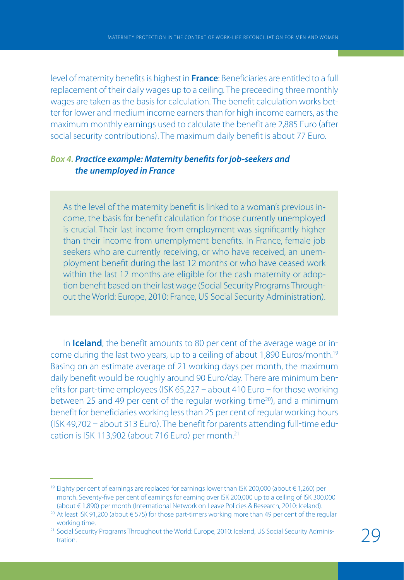level of maternity benefits is highest in **France**: Beneficiaries are entitled to a full replacement of their daily wages up to a ceiling. The preceeding three monthly wages are taken as the basis for calculation. The benefit calculation works bet ter for lower and medium income earners than for high income earners, as the maximum monthly earnings used to calculate the benefit are 2,885 Euro (after social security contributions. The maximum daily benefit is about 77 Euro.

## *Box 4. Practice example: Maternity benefits for job-seekers and the unemployed in France*

As the level of the maternity benefit is linked to a woman's previous income, the basis for benefit calculation for those currently unemployed is crucial. Their last income from employment was significantly higher than their income from unemplyment benefits. In France, female job seekers who are currently receiving, or who have received, an unemployment benefit during the last 12 months or who have ceased work within the last 12 months are eligible for the cash maternity or adoption benefit based on their last wage (Social Security Programs Throughout the World: Europe, 2010: France, US Social Security Administration).

In **Iceland**, the benefit amounts to 80 per cent of the average wage or in come during the last two years, up to a ceiling of about 1,890 Euros/month.19 Basing on an estimate average of 21 working days per month, the maximum daily benefit would be roughly around 90 Euro/day. There are minimum ben efits for part-time employees (ISK 65,227 - about 410 Euro - for those working between 25 and 49 per cent of the regular working time<sup>20</sup>), and a minimum benefit for beneficiaries working less than 25 per cent of regular working hours  $($ ISK 49,702 - about 313 Euro). The benefit for parents attending full-time education is ISK 113,902 (about 716 Euro) per month.<sup>21</sup>

<sup>&</sup>lt;sup>19</sup> Eighty per cent of earnings are replaced for earnings lower than ISK 200,000 (about € 1,260) per month. Seventy-five per cent of earnings for earning over ISK 200,000 up to a ceiling of ISK 300,000 (about € 1,890) per month (International Network on Leave Policies & Research, 2010: Iceland).

<sup>20</sup> At least ISK 91,200 (about € 575) for those part-timers working more than 49 per cent of the regular working time.

<sup>&</sup>lt;sup>21</sup> Social Security Programs Throughout the World: Europe, 2010: Iceland, US Social Security Administration.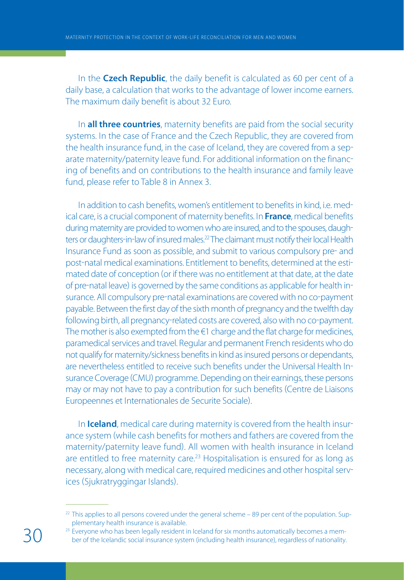In the **Czech Republic**, the daily benefit is calculated as 60 per cent of a daily base, a calculation that works to the advantage of lower income earners. The maximum daily benefit is about 32 Euro.

In **all three countries**, maternity benefits are paid from the social security systems. In the case of France and the Czech Republic, they are covered from the health insurance fund, in the case of Iceland, they are covered from a sep arate maternity/paternity leave fund. For additional information on the financ ing of benefits and on contributions to the health insurance and family leave fund, please refer to Table 8 in Annex 3.

In addition to cash benefits, women's entitlement to benefits in kind, i.e. med ical care, is a crucial component of maternity benefits. In **France**, medical benefits during maternity are provided to women who are insured, and to the spouses, daugh ters or daughters-in-law of insured males.<sup>22</sup> The claimant must notify their local Health Insurance Fund as soon as possible, and submit to various compulsory pre- and post-natal medical examinations. Entitlement to benefits, determined at the estimated date of conception (or if there was no entitlement at that date, at the date of pre-natal leave) is governed by the same conditions as applicable for health insurance. All compulsory pre-natal examinations are covered with no co-payment payable. Between the first day of the sixth month of pregnancy and the twelfth day following birth, all pregnancy-related costs are covered, also with no co-payment. The mother is also exempted from the  $\epsilon$ 1 charge and the flat charge for medicines, paramedical services and travel. Regular and permanent French residents who do not qualify for maternity/sickness benefits in kind as insured persons or dependants, are nevertheless entitled to receive such benefits under the Universal Health In surance Coverage (CMU) programme. Depending on their earnings, these persons may or may not have to pay a contribution for such benefits (Centre de Liaisons Europeennes et Internationales de Securite Sociale).

In **Iceland**, medical care during maternity is covered from the health insur ance system (while cash benefits for mothers and fathers are covered from the maternity/paternity leave fund). All women with health insurance in Iceland are entitled to free maternity care.<sup>23</sup> Hospitalisation is ensured for as long as necessary, along with medical care, required medicines and other hospital serv ices (Sjukratryggingar Islands).

 $22$  This applies to all persons covered under the general scheme  $-89$  per cent of the population. Supplementary health insurance is available.

<sup>&</sup>lt;sup>23</sup> Everyone who has been legally resident in Iceland for six months automatically becomes a member of the Icelandic social insurance system (including health insurance), regardless of nationality.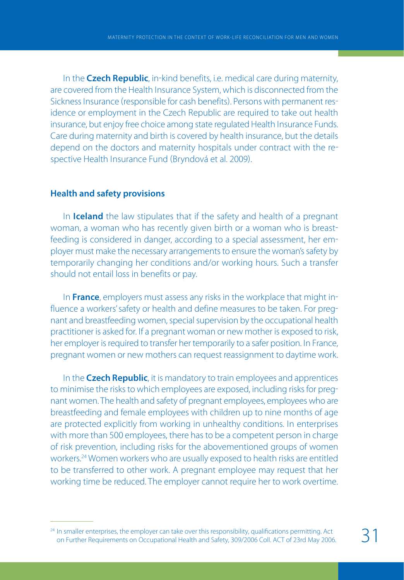In the **Czech Republic**, in-kind benefits, i.e. medical care during maternity, are covered from the Health Insurance System, which is disconnected from the Sickness Insurance (responsible for cash benefits). Persons with permanent residence or employment in the Czech Republic are required to take out health insurance, but enjoy free choice among state regulated Health Insurance Funds. Care during maternity and birth is covered by health insurance, but the details depend on the doctors and maternity hospitals under contract with the re spective Health Insurance Fund (Bryndová et al. 2009).

## **Health and safety provisions**

In **Iceland** the law stipulates that if the safety and health of a pregnant woman, a woman who has recently given birth or a woman who is breast feeding is considered in danger, according to a special assessment, her em ployer must make the necessary arrangements to ensure the woman's safety by temporarily changing her conditions and/or working hours. Such a transfer should not entail loss in benefits or pay.

In **France**, employers must assess any risks in the workplace that might in fluence a workers' safety or health and define measures to be taken. For preg nant and breastfeeding women, special supervision by the occupational health practitioner is asked for. If a pregnant woman or new mother is exposed to risk, her employer is required to transfer her temporarily to a safer position. In France, pregnant women or new mothers can request reassignment to daytime work.

In the **Czech Republic**, it is mandatory to train employees and apprentices to minimise the risks to which employees are exposed, including risks for preg nant women. The health and safety of pregnant employees, employees who are breastfeeding and female employees with children up to nine months of age are protected explicitly from working in unhealthy conditions. In enterprises with more than 500 employees, there has to be a competent person in charge of risk prevention, including risks for the abovementioned groups of women workers.24 Women workers who are usually exposed to health risks are entitled to be transferred to other work. A pregnant employee may request that her working time be reduced. The employer cannot require her to work overtime.

<sup>&</sup>lt;sup>24</sup> In smaller enterprises, the employer can take over this responsibility, qualifications permitting. Act on Further Requirements on Occupational Health and Safety, 309/2006 Coll. ACT of 23rd May 2006.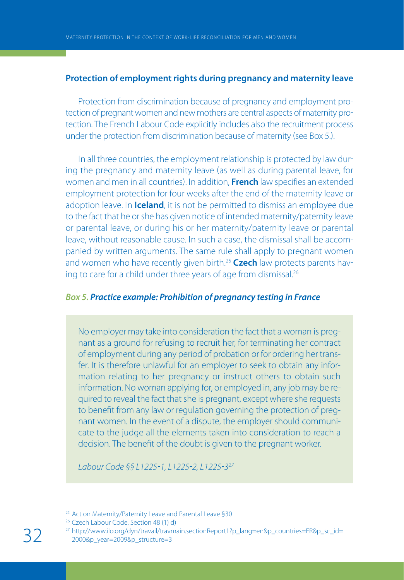## **Protection of employment rights during pregnancy and maternity leave**

Protection from discrimination because of pregnancy and employment pro tection of pregnant women and new mothers are central aspects of maternity pro tection. The French Labour Code explicitly includes also the recruitment process under the protection from discrimination because of maternity (see Box 5.).

In all three countries, the employment relationship is protected by law dur ing the pregnancy and maternity leave (as well as during parental leave, for women and men in all countries). In addition, **French** law specifies an extended employment protection for four weeks after the end of the maternity leave or adoption leave. In **Iceland**, it is not be permitted to dismiss an employee due to the fact that he or she has given notice of intended maternity/paternity leave or parental leave, or during his or her maternity/paternity leave or parental leave, without reasonable cause. In such a case, the dismissal shall be accom panied by written arguments. The same rule shall apply to pregnant women and women who have recently given birth.<sup>25</sup> Czech law protects parents having to care for a child under three years of age from dismissal.26

## *Box 5. Practice example: Prohibition of pregnancy testing in France*

No employer may take into consideration the fact that a woman is pregnant as a ground for refusing to recruit her, for terminating her contract of employment during any period of probation or for ordering her transfer. It is therefore unlawful for an employer to seek to obtain any information relating to her pregnancy or instruct others to obtain such information. No woman applying for, or employed in, any job may be required to reveal the fact that she is pregnant, except where she requests to benefit from any law or regulation governing the protection of pregnant women. In the event of a dispute, the employer should communicate to the judge all the elements taken into consideration to reach a decision. The benefit of the doubt is given to the pregnant worker.

Labour Code §§ L1225-1, L1225-2, L1225-3<sup>27</sup>

<sup>25</sup> Act on Maternity/Paternity Leave and Parental Leave §30

<sup>26</sup> Czech Labour Code, Section 48 (1) d)

<sup>&</sup>lt;sup>27</sup> http://www.ilo.org/dyn/travail/travmain.sectionReport1?p\_lang=en&p\_countries=FR&p\_sc\_id= 2000&p\_year=2009&p\_structure=3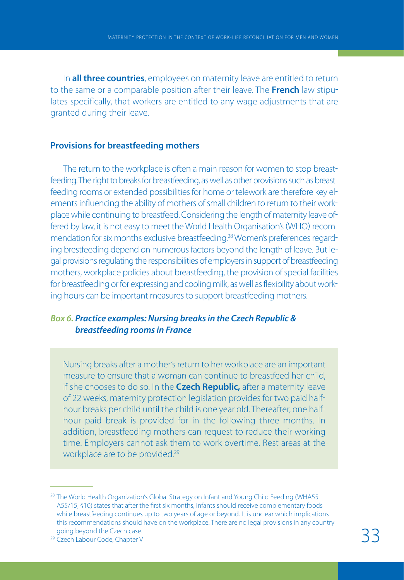In **all three countries**, employees on maternity leave are entitled to return to the same or a comparable position after their leave. The **French** law stipu lates specifically, that workers are entitled to any wage adjustments that are granted during their leave.

## **Provisions for breastfeeding mothers**

The return to the workplace is often a main reason for women to stop breast feeding. The right to breaks for breastfeeding, as well as other provisions such as breast feeding rooms or extended possibilities for home or telework are therefore key el ements influencing the ability of mothers of small children to return to their work place while continuing to breastfeed. Considering the length of maternity leave of fered by law, it is not easy to meet the World Health Organisation's (WHO) recommendation for six months exclusive breastfeeding.<sup>28</sup> Women's preferences regarding brestfeeding depend on numerous factors beyond the length of leave. But le gal provisions regulating the responsibilities of employers in support of breastfeeding mothers, workplace policies about breastfeeding, the provision of special facilities for breastfeeding or for expressing and cooling milk, as well as flexibility about work ing hours can be important measures to support breastfeeding mothers.

## *Box 6. Practice examples: Nursing breaks in the Czech Republic & breastfeeding rooms in France*

Nursing breaks after a mother's return to her workplace are an important measure to ensure that a woman can continue to breastfeed her child, if she chooses to do so. In the **Czech Republic,** after a maternity leave of 22 weeks, maternity protection legislation provides for two paid half hour breaks per child until the child is one year old. Thereafter, one half hour paid break is provided for in the following three months. In addition, breastfeeding mothers can request to reduce their working time. Employers cannot ask them to work overtime. Rest areas at the workplace are to be provided.<sup>29</sup>

<sup>&</sup>lt;sup>28</sup> The World Health Organization's Global Strategy on Infant and Young Child Feeding (WHA55 A55/15, §10) states that after the first six months, infants should receive complementary foods while breastfeeding continues up to two years of age or beyond. It is unclear which implications this recommendations should have on the workplace. There are no legal provisions in any country going beyond the Czech case.

<sup>29</sup> Czech Labour Code, Chapter V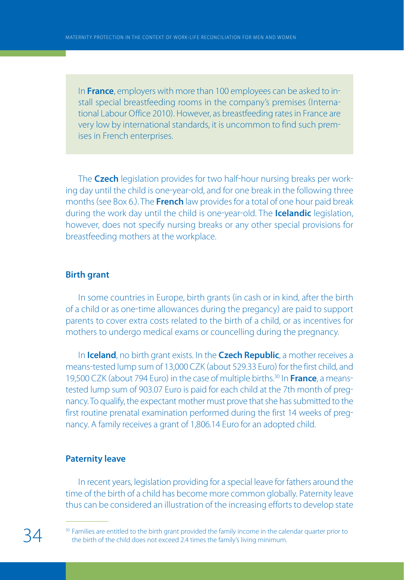In **France**, employers with more than 100 employees can be asked to in stall special breastfeeding rooms in the company's premises (International Labour Office 2010). However, as breastfeeding rates in France are very low by international standards, it is uncommon to find such prem ises in French enterprises.

The **Czech** legislation provides for two half-hour nursing breaks per working day until the child is one-year-old, and for one break in the following three months (see Box 6.). The **French** law provides for a total of one hour paid break during the work day until the child is one-year-old. The **Icelandic** legislation, however, does not specify nursing breaks or any other special provisions for breastfeeding mothers at the workplace.

#### **Birth grant**

In some countries in Europe, birth grants (in cash or in kind, after the birth of a child or as one-time allowances during the pregancy) are paid to support parents to cover extra costs related to the birth of a child, or as incentives for mothers to undergo medical exams or councelling during the pregnancy.

In **Iceland**, no birth grant exists. In the **Czech Republic**, a mother receives a means-tested lump sum of 13,000 CZK (about 529.33 Euro) for the first child, and 19,500 CZK (about 794 Euro) in the case of multiple births.<sup>30</sup> In **France**, a meanstested lump sum of 903.07 Euro is paid for each child at the 7th month of preg nancy. To qualify, the expectant mother must prove that she has submitted to the first routine prenatal examination performed during the first 14 weeks of preg nancy. A family receives a grant of 1,806.14 Euro for an adopted child.

## **Paternity leave**

In recent years, legislation providing for a special leave for fathers around the time of the birth of a child has become more common globally. Paternity leave thus can be considered an illustration of the increasing efforts to develop state

<sup>&</sup>lt;sup>30</sup> Families are entitled to the birth grant provided the family income in the calendar quarter prior to the birth of the child does not exceed 2.4 times the family's living minimum.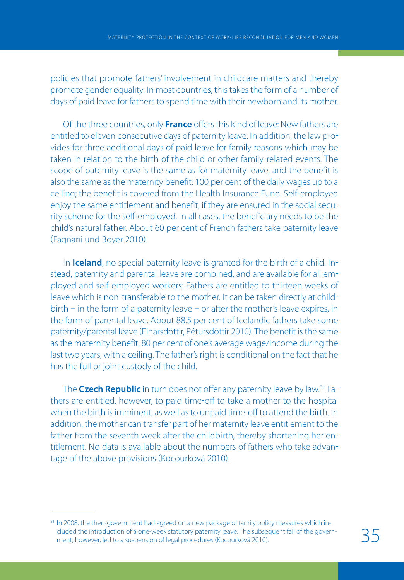policies that promote fathers' involvement in childcare matters and thereby promote gender equality. In most countries, this takes the form of a number of days of paid leave for fathers to spend time with their newborn and its mother.

Of the three countries, only **France** offers this kind of leave: New fathers are entitled to eleven consecutive days of paternity leave. In addition, the law pro vides for three additional days of paid leave for family reasons which may be taken in relation to the birth of the child or other family-related events. The scope of paternity leave is the same as for maternity leave, and the benefit is also the same as the maternity benefit: 100 per cent of the daily wages up to a ceiling; the benefit is covered from the Health Insurance Fund. Self-employed enjoy the same entitlement and benefit, if they are ensured in the social secu rity scheme for the self-employed. In all cases, the beneficiary needs to be the child's natural father. About 60 per cent of French fathers take paternity leave Fagnani und Boyer 2010.

In **Iceland**, no special paternity leave is granted for the birth of a child. Instead, paternity and parental leave are combined, and are available for all em ployed and selfemployed workers: Fathers are entitled to thirteen weeks of leave which is non-transferable to the mother. It can be taken directly at childbirth  $-$  in the form of a paternity leave  $-$  or after the mother's leave expires, in the form of parental leave. About 88.5 per cent of Icelandic fathers take some paternity/parental leave (Einarsdóttir, Pétursdóttir 2010). The benefit is the same as the maternity benefit, 80 per cent of one's average wage/income during the last two years, with a ceiling. The father's right is conditional on the fact that he has the full or joint custody of the child.

The **Czech Republic** in turn does not offer any paternity leave by law.<sup>31</sup> Fathers are entitled, however, to paid time-off to take a mother to the hospital when the birth is imminent, as well as to unpaid time-off to attend the birth. In addition, the mother can transfer part of her maternity leave entitlement to the father from the seventh week after the childbirth, thereby shortening her en titlement. No data is available about the numbers of fathers who take advan tage of the above provisions (Kocourková 2010).

<sup>&</sup>lt;sup>31</sup> In 2008, the then-government had agreed on a new package of family policy measures which included the introduction of a one-week statutory paternity leave. The subsequent fall of the government, however, led to a suspension of legal procedures (Kocourková 2010).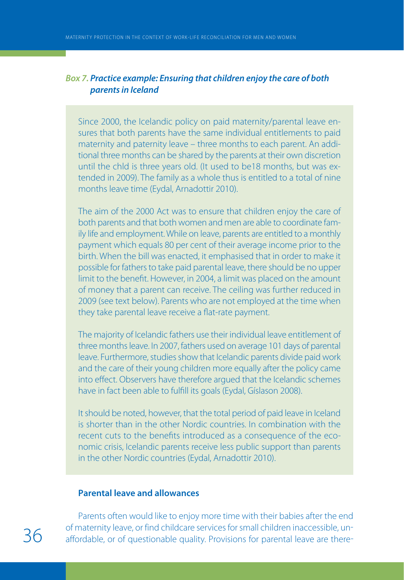#### *Box 7. Practice example: Ensuring that children enjoy the care of both parents in Iceland*

Since 2000, the Icelandic policy on paid maternity/parental leave ensures that both parents have the same individual entitlements to paid maternity and paternity leave – three months to each parent. An additional three months can be shared by the parents at their own discretion until the chld is three years old. (It used to be18 months, but was extended in 2009). The family as a whole thus is entitled to a total of nine months leave time (Eydal, Arnadottir 2010).

The aim of the 2000 Act was to ensure that children enjoy the care of both parents and that both women and men are able to coordinate family life and employment. While on leave, parents are entitled to a monthly payment which equals 80 per cent of their average income prior to the birth. When the bill was enacted, it emphasised that in order to make it possible for fathers to take paid parental leave, there should be no upper limit to the benefit. However, in 2004, a limit was placed on the amount of money that a parent can receive. The ceiling was further reduced in 2009 (see text below). Parents who are not employed at the time when they take parental leave receive a flat-rate payment.

The majority of Icelandic fathers use their individual leave entitlement of three months leave. In 2007, fathers used on average 101 days of parental leave. Furthermore, studies show that Icelandic parents divide paid work and the care of their young children more equally after the policy came into effect. Observers have therefore argued that the Icelandic schemes have in fact been able to fulfill its goals (Eydal, Gíslason 2008).

It should be noted, however, that the total period of paid leave in Iceland is shorter than in the other Nordic countries. In combination with the recent cuts to the benefits introduced as a consequence of the economic crisis, Icelandic parents receive less public support than parents in the other Nordic countries (Eydal, Arnadottir 2010).

#### **Parental leave and allowances**

Parents often would like to enjoy more time with their babies after the end of maternity leave, or find childcare services for small children inaccessible, un-<br> $36$  affordable, or of questionable quality. Provisions for parental leave are there-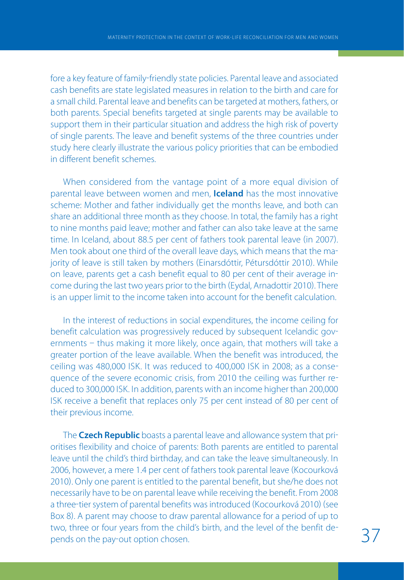fore a key feature of family-friendly state policies. Parental leave and associated cash benefits are state legislated measures in relation to the birth and care for a small child. Parental leave and benefits can be targeted at mothers, fathers, or both parents. Special benefits targeted at single parents may be available to support them in their particular situation and address the high risk of poverty of single parents. The leave and benefit systems of the three countries under study here clearly illustrate the various policy priorities that can be embodied in different benefit schemes.

When considered from the vantage point of a more equal division of parental leave between women and men, **Iceland** has the most innovative scheme: Mother and father individually get the months leave, and both can share an additional three month as they choose. In total, the family has a right to nine months paid leave; mother and father can also take leave at the same time. In Iceland, about 88.5 per cent of fathers took parental leave (in 2007). Men took about one third of the overall leave days, which means that the ma jority of leave is still taken by mothers (Einarsdóttir, Pétursdóttir 2010). While on leave, parents get a cash benefit equal to 80 per cent of their average in come during the last two years prior to the birth (Eydal, Arnadottir 2010). There is an upper limit to the income taken into account for the benefit calculation.

In the interest of reductions in social expenditures, the income ceiling for benefit calculation was progressively reduced by subsequent Icelandic gov ernments - thus making it more likely, once again, that mothers will take a greater portion of the leave available. When the benefit was introduced, the ceiling was 480,000 ISK. It was reduced to 400,000 ISK in 2008; as a conse quence of the severe economic crisis, from 2010 the ceiling was further re duced to 300,000 ISK. In addition, parents with an income higher than 200,000 ISK receive a benefit that replaces only 75 per cent instead of 80 per cent of their previous income.

The **Czech Republic** boasts a parental leave and allowance system that pri oritises flexibility and choice of parents: Both parents are entitled to parental leave until the child's third birthday, and can take the leave simultaneously. In 2006, however, a mere 1.4 per cent of fathers took parental leave (Kocourková 2010. Only one parent is entitled to the parental benefit, but she/he does not necessarily have to be on parental leave while receiving the benefit. From 2008 a three-tier system of parental benefits was introduced (Kocourková 2010) (see Box 8). A parent may choose to draw parental allowance for a period of up to two, three or four years from the child's birth, and the level of the benfit de-<br>pends on the pay-out option chosen.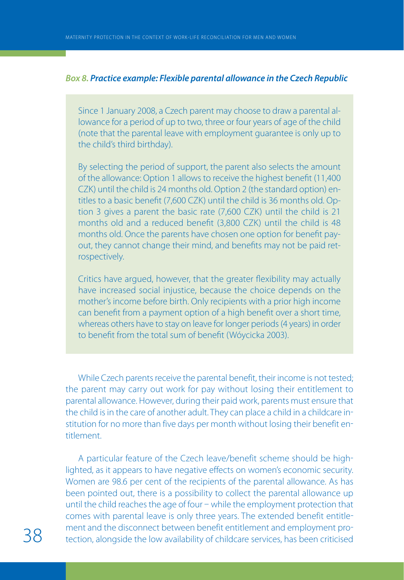#### *Box 8. Practice example: Flexible parental allowance in the Czech Republic*

Since 1 January 2008, a Czech parent may choose to draw a parental allowance for a period of up to two, three or four years of age of the child (note that the parental leave with employment guarantee is only up to the child's third birthday).

By selecting the period of support, the parent also selects the amount of the allowance: Option 1 allows to receive the highest benefit (11,400 CZK) until the child is 24 months old. Option 2 (the standard option) entitles to a basic benefit (7,600 CZK) until the child is 36 months old. Option 3 gives a parent the basic rate (7,600 CZK) until the child is 21 months old and a reduced benefit (3,800 CZK) until the child is 48 months old. Once the parents have chosen one option for benefit payout, they cannot change their mind, and benefits may not be paid retrospectively.

Critics have argued, however, that the greater flexibility may actually have increased social injustice, because the choice depends on the mother's income before birth. Only recipients with a prior high income can benefit from a payment option of a high benefit over a short time, whereas others have to stay on leave for longer periods (4 years) in order to benefit from the total sum of benefit (Wóycicka 2003).

While Czech parents receive the parental benefit, their income is not tested; the parent may carry out work for pay without losing their entitlement to parental allowance. However, during their paid work, parents must ensure that the child is in the care of another adult. They can place a child in a childcare in stitution for no more than five days per month without losing their benefit en titlement.

A particular feature of the Czech leave/benefit scheme should be high lighted, as it appears to have negative effects on women's economic security. Women are 98.6 per cent of the recipients of the parental allowance. As has been pointed out, there is a possibility to collect the parental allowance up until the child reaches the age of four - while the employment protection that comes with parental leave is only three years. The extended benefit entitle ment and the disconnect between benefit entitlement and employment protection, alongside the low availability of childcare services, has been criticised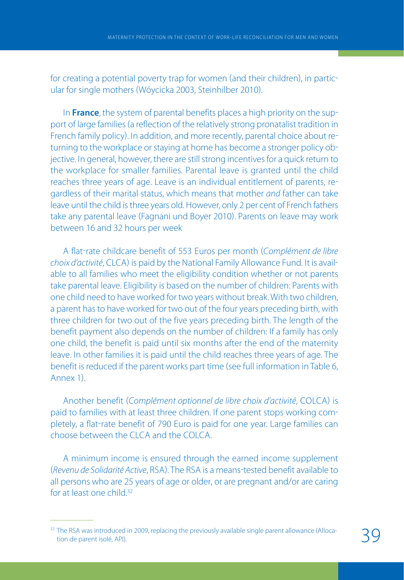for creating a potential poverty trap for women (and their children), in particular for single mothers Wóycicka 2003, Steinhilber 2010.

In **France**, the system of parental benefits places a high priority on the sup port of large families (a reflection of the relatively strong pronatalist tradition in French family policy. In addition, and more recently, parental choice about re turning to the workplace or staying at home has become a stronger policy ob jective. In general, however, there are still strong incentives for a quick return to the workplace for smaller families. Parental leave is granted until the child reaches three years of age. Leave is an individual entitlement of parents, re gardless of their marital status, which means that mother and father can take leave until the child is three years old. However, only 2 per cent of French fathers take any parental leave (Fagnani und Boyer 2010). Parents on leave may work between 16 and 32 hours per week

A flat-rate childcare benefit of 553 Euros per month (Complément de libre choix d'activité, CLCA) is paid by the National Family Allowance Fund. It is available to all families who meet the eligibility condition whether or not parents take parental leave. Eligibility is based on the number of children: Parents with one child need to have worked for two years without break. With two children, a parent has to have worked for two out of the four years preceding birth, with three children for two out of the five years preceding birth. The length of the benefit payment also depends on the number of children: If a family has only one child, the benefit is paid until six months after the end of the maternity leave. In other families it is paid until the child reaches three years of age. The benefit is reduced if the parent works part time (see full information in Table 6, Anney 1)

Another benefit (Complément optionnel de libre choix d'activité, COLCA) is paid to families with at least three children. If one parent stops working com pletely, a flatrate benefit of 790 Euro is paid for one year. Large families can choose between the CLCA and the COLCA.

A minimum income is ensured through the earned income supplement (Revenu de Solidarité Active, RSA). The RSA is a means-tested benefit available to all persons who are 25 years of age or older, or are pregnant and/or are caring for at least one child.<sup>32</sup>

<sup>&</sup>lt;sup>32</sup> The RSA was introduced in 2009, replacing the previously available single parent allowance (Allocation de parent isolé, API).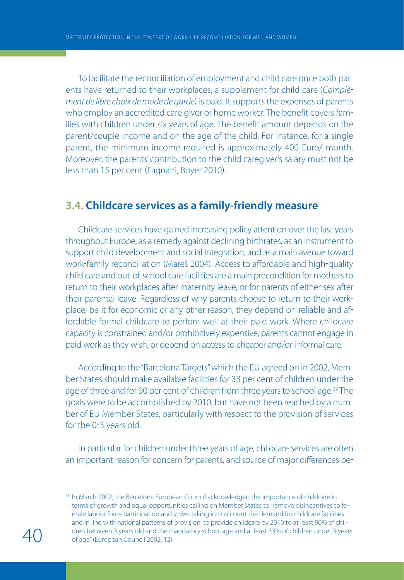To facilitate the reconciliation of employment and child care once both par ents have returned to their workplaces, a supplement for child care (Complément de libre choix de mode de garde) is paid. It supports the expenses of parents who employ an accredited care giver or home worker. The benefit covers fam ilies with children under six years of age. The benefit amount depends on the parent/couple income and on the age of the child. For instance, for a single parent, the minimum income required is approximately 400 Euro/ month. Moreover, the parents' contribution to the child caregiver's salary must not be less than 15 per cent (Fagnani, Boyer 2010).

### **3.4. Childcare services as a family-friendly measure**

Childcare services have gained increasing policy attention over the last years throughout Europe, as a remedy against declining birthrates, as an instrument to support child development and social integration, and as a main avenue toward work-family reconciliation (Mareš 2004). Access to affordable and high-quality child care and out-of-school care facilities are a main precondition for mothers to return to their workplaces after maternity leave, or for parents of either sex after their parental leave. Regardless of why parents choose to return to their work place, be it for economic or any other reason, they depend on reliable and af fordable formal childcare to perfom well at their paid work. Where childcare capacity is constrained and/or prohibitively expensive, parents cannot engage in paid work as they wish, or depend on access to cheaper and/or informal care.

According to the "Barcelona Targets" which the EU agreed on in 2002, Mem ber States should make available facilities for 33 per cent of children under the age of three and for 90 per cent of children from three years to school age.<sup>33</sup> The goals were to be accomplished by 2010, but have not been reached by a num ber of EU Member States, particularly with respect to the provision of services for the 0-3 years old.

In particular for children under three years of age, childcare services are often an important reason for concern for parents, and source of major differences be

<sup>&</sup>lt;sup>33</sup> In March 2002, the Barcelona European Council acknowledged the importance of childcare in terms of growth and equal opportunities calling on Member States to "remove disincentives to female labour force participation and strive, taking into account the demand for childcare facilities and in line with national patterns of provision, to provide childcare by 2010 to at least 90% of children between 3 years old and the mandatory school age and at least 33% of children under 3 years of age" (European Council 2002: 12).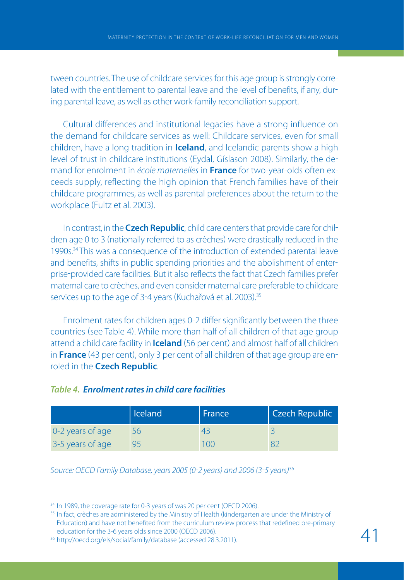tween countries. The use of childcare services for this age group is strongly corre lated with the entitlement to parental leave and the level of benefits, if any, dur ing parental leave, as well as other work-family reconciliation support.

Cultural differences and institutional legacies have a strong influence on the demand for childcare services as well: Childcare services, even for small children, have a long tradition in **Iceland**, and Icelandic parents show a high level of trust in childcare institutions (Eydal, Gíslason 2008). Similarly, the demand for enrolment in *école maternelles* in **France** for two-year-olds often exceeds supply, reflecting the high opinion that French families have of their childcare programmes, as well as parental preferences about the return to the workplace (Fultz et al. 2003).

In contrast, in the **Czech Republic**, child care centers that provide care for chil dren age 0 to 3 (nationally referred to as crèches) were drastically reduced in the 1990s.34 This was a consequence of the introduction of extended parental leave and benefits, shifts in public spending priorities and the abolishment of enter prise-provided care facilities. But it also reflects the fact that Czech families prefer maternal care to crèches, and even consider maternal care preferable to childcare services up to the age of 3-4 years (Kuchařová et al. 2003).<sup>35</sup>

Enrolment rates for children ages 02 differ significantly between the three countries (see Table 4). While more than half of all children of that age group attend a child care facility in **Iceland** (56 per cent) and almost half of all children in **France** (43 per cent), only 3 per cent of all children of that age group are enroled in the **Czech Republic**.

| Table 4. Enrolment rates in child care facilities |  |
|---------------------------------------------------|--|
|---------------------------------------------------|--|

|                  | <b>Iceland</b> | France | <b>Czech Republic</b> |
|------------------|----------------|--------|-----------------------|
| 0-2 years of age | 56             |        |                       |
| 3-5 years of age |                | n      |                       |

Source: OECD Family Database, years 2005 (0-2 years) and 2006 (3-5 years)<sup>36</sup>

<sup>&</sup>lt;sup>34</sup> In 1989, the coverage rate for 0-3 years of was 20 per cent (OECD 2006).

<sup>&</sup>lt;sup>35</sup> In fact, crèches are administered by the Ministry of Health (kindergarten are under the Ministry of Education) and have not benefited from the curriculum review process that redefined pre-primary education for the 3-6 years olds since 2000 (OECD 2006).

<sup>36</sup> http://oecd.org/els/social/family/database (accessed 28.3.2011).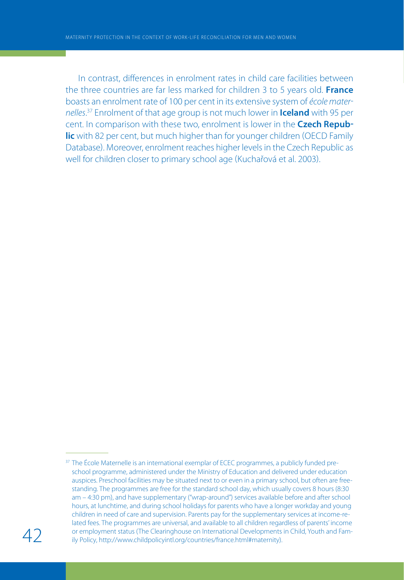In contrast, differences in enrolment rates in child care facilities between the three countries are far less marked for children 3 to 5 years old. **France** boasts an enrolment rate of 100 per cent in its extensive system of école mater nelles. <sup>37</sup> Enrolment of that age group is not much lower in **Iceland** with 95 per cent. In comparison with these two, enrolment is lower in the **Czech Repub lic** with 82 per cent, but much higher than for younger children (OECD Family Database). Moreover, enrolment reaches higher levels in the Czech Republic as well for children closer to primary school age (Kuchařová et al. 2003).

<sup>&</sup>lt;sup>37</sup> The École Maternelle is an international exemplar of ECEC programmes, a publicly funded preschool programme, administered under the Ministry of Education and delivered under education auspices. Preschool facilities may be situated next to or even in a primary school, but often are freestanding. The programmes are free for the standard school day, which usually covers 8 hours (8:30 am – 4:30 pm), and have supplementary ("wrap-around") services available before and after school hours, at lunchtime, and during school holidays for parents who have a longer workday and young children in need of care and supervision. Parents pay for the supplementary services at income-related fees. The programmes are universal, and available to all children regardless of parents' income or employment status (The Clearinghouse on International Developments in Child, Youth and Family Policy, http://www.childpolicyintl.org/countries/france.html#maternity).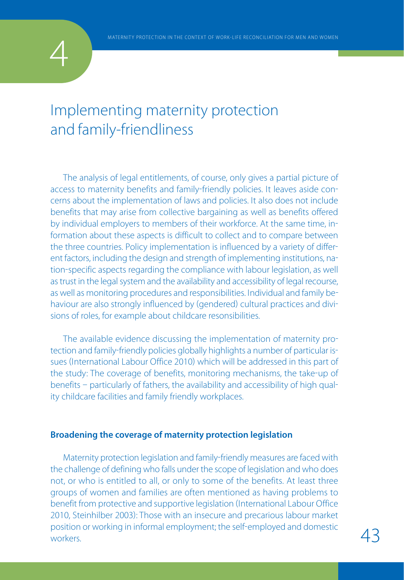

## Implementing maternity protection and family-friendliness

The analysis of legal entitlements, of course, only gives a partial picture of access to maternity benefits and family-friendly policies. It leaves aside concerns about the implementation of laws and policies. It also does not include benefits that may arise from collective bargaining as well as benefits offered by individual employers to members of their workforce. At the same time, in formation about these aspects is difficult to collect and to compare between the three countries. Policy implementation is influenced by a variety of differ ent factors, including the design and strength of implementing institutions, na tion-specific aspects regarding the compliance with labour legislation, as well as trust in the legal system and the availability and accessibility of legal recourse, as well as monitoring procedures and responsibilities. Individual and family be haviour are also strongly influenced by (gendered) cultural practices and divisions of roles, for example about childcare resonsibilities.

The available evidence discussing the implementation of maternity pro tection and family-friendly policies globally highlights a number of particular issues (International Labour Office 2010) which will be addressed in this part of the study: The coverage of benefits, monitoring mechanisms, the take-up of benefits - particularly of fathers, the availability and accessibility of high quality childcare facilities and family friendly workplaces.

#### **Broadening the coverage of maternity protection legislation**

Maternity protection legislation and family-friendly measures are faced with the challenge of defining who falls under the scope of legislation and who does not, or who is entitled to all, or only to some of the benefits. At least three groups of women and families are often mentioned as having problems to benefit from protective and supportive legislation (International Labour Office 2010, Steinhilber 2003): Those with an insecure and precarious labour market position or working in informal employment; the self-employed and domestic  $\overline{43}$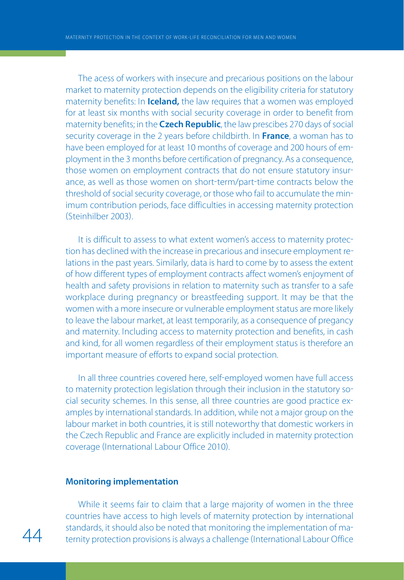The acess of workers with insecure and precarious positions on the labour market to maternity protection depends on the eligibility criteria for statutory maternity benefits: In **Iceland,** the law requires that a women was employed for at least six months with social security coverage in order to benefit from maternity benefits; in the **Czech Republic**, the law prescibes 270 days of social security coverage in the 2 years before childbirth. In **France**, a woman has to have been employed for at least 10 months of coverage and 200 hours of em ployment in the 3 months before certification of pregnancy. As a consequence, those women on employment contracts that do not ensure statutory insur ance, as well as those women on short-term/part-time contracts below the threshold of social security coverage, or those who fail to accumulate the min imum contribution periods, face difficulties in accessing maternity protection Steinhilber 2003.

It is difficult to assess to what extent women's access to maternity protection has declined with the increase in precarious and insecure employment re lations in the past years. Similarly, data is hard to come by to assess the extent of how different types of employment contracts affect women's enjoyment of health and safety provisions in relation to maternity such as transfer to a safe workplace during pregnancy or breastfeeding support. It may be that the women with a more insecure or vulnerable employment status are more likely to leave the labour market, at least temporarily, as a consequence of pregancy and maternity. Including access to maternity protection and benefits, in cash and kind, for all women regardless of their employment status is therefore an important measure of efforts to expand social protection.

In all three countries covered here, self-employed women have full access to maternity protection legislation through their inclusion in the statutory so cial security schemes. In this sense, all three countries are good practice ex amples by international standards. In addition, while not a major group on the labour market in both countries, it is still noteworthy that domestic workers in the Czech Republic and France are explicitly included in maternity protection coverage (International Labour Office 2010).

#### **Monitoring implementation**

While it seems fair to claim that a large majority of women in the three countries have access to high levels of maternity protection by international standards, it should also be noted that monitoring the implementation of maternity protection provisions is always a challenge (International Labour Office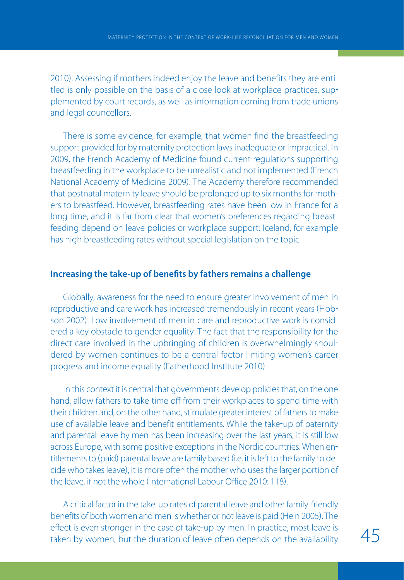2010). Assessing if mothers indeed enjoy the leave and benefits they are entitled is only possible on the basis of a close look at workplace practices, sup plemented by court records, as well as information coming from trade unions and legal councellors.

There is some evidence, for example, that women find the breastfeeding support provided for by maternity protection laws inadequate or impractical. In 2009, the French Academy of Medicine found current regulations supporting breastfeeding in the workplace to be unrealistic and not implemented (French National Academy of Medicine 2009. The Academy therefore recommended that postnatal maternity leave should be prolonged up to six months for moth ers to breastfeed. However, breastfeeding rates have been low in France for a long time, and it is far from clear that women's preferences regarding breast feeding depend on leave policies or workplace support: Iceland, for example has high breastfeeding rates without special legislation on the topic.

#### **Increasing the take-up of benefits by fathers remains a challenge**

Globally, awareness for the need to ensure greater involvement of men in reproductive and care work has increased tremendously in recent years (Hobson 2002). Low involvement of men in care and reproductive work is considered a key obstacle to gender equality: The fact that the responsibility for the direct care involved in the upbringing of children is overwhelmingly shoul dered by women continues to be a central factor limiting women's career progress and income equality (Fatherhood Institute 2010).

In this context it is central that governments develop policies that, on the one hand, allow fathers to take time off from their workplaces to spend time with their children and, on the other hand, stimulate greater interest of fathers to make use of available leave and benefit entitlements. While the take-up of paternity and parental leave by men has been increasing over the last years, it is still low across Europe, with some positive exceptions in the Nordic countries. When en titlements to (paid) parental leave are family based (i.e. it is left to the family to decide who takes leave), it is more often the mother who uses the larger portion of the leave, if not the whole (International Labour Office 2010: 118).

A critical factor in the take-up rates of parental leave and other family-friendly benefits of both women and men is whether or not leave is paid (Hein 2005). The effect is even stronger in the case of take-up by men. In practice, most leave is taken by women, but the duration of leave often depends on the availability  $45$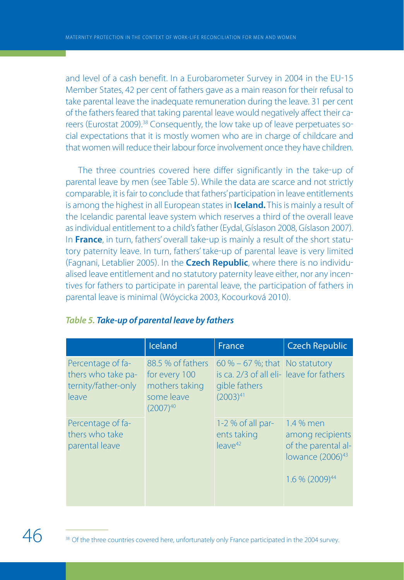and level of a cash benefit. In a Eurobarometer Survey in 2004 in the EU-15 Member States, 42 per cent of fathers gave as a main reason for their refusal to take parental leave the inadequate remuneration during the leave. 31 per cent of the fathers feared that taking parental leave would negatively affect their ca reers (Eurostat 2009).<sup>38</sup> Consequently, the low take up of leave perpetuates social expectations that it is mostly women who are in charge of childcare and that women will reduce their labour force involvement once they have children.

The three countries covered here differ significantly in the take-up of parental leave by men (see Table 5). While the data are scarce and not strictly comparable, it is fair to conclude that fathers' participation in leave entitlements is among the highest in all European states in **Iceland.** This is mainly a result of the Icelandic parental leave system which reserves a third of the overall leave as individual entitlement to a child's father (Eydal, Gíslason 2008, Gíslason 2007). In **France**, in turn, fathers' overall take-up is mainly a result of the short statutory paternity leave. In turn, fathers' take-up of parental leave is very limited Fagnani, Letablier 2005. In the **Czech Republic**, where there is no individu alised leave entitlement and no statutory paternity leave either, nor any incen tives for fathers to participate in parental leave, the participation of fathers in parental leave is minimal Wóycicka 2003, Kocourková 2010.

|                                                                         | Iceland                                                                             | France                                                                                                        | <b>Czech Republic</b>                                                                                                |
|-------------------------------------------------------------------------|-------------------------------------------------------------------------------------|---------------------------------------------------------------------------------------------------------------|----------------------------------------------------------------------------------------------------------------------|
| Percentage of fa-<br>thers who take pa-<br>ternity/father-only<br>leave | 88.5 % of fathers<br>for every 100<br>mothers taking<br>some leave<br>$(2007)^{40}$ | 60 % $-$ 67 %; that No statutory<br>is ca. 2/3 of all eli-leave for fathers<br>gible fathers<br>$(2003)^{41}$ |                                                                                                                      |
| Percentage of fa-<br>thers who take<br>parental leave                   |                                                                                     | 1-2 % of all par-<br>ents taking<br>$leave^{42}$                                                              | 1.4 % men<br>among recipients<br>of the parental al-<br>lowance (2006) <sup>43</sup><br>$1.6\%$ (2009) <sup>44</sup> |

#### *Table 5. Take-up of parental leave by fathers*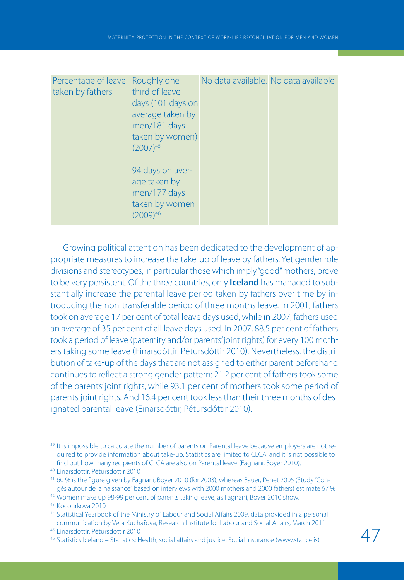| Percentage of leave<br>taken by fathers<br>$(2007)^{45}$<br>$(2009)^{46}$ | Roughly one<br>third of leave<br>days (101 days on<br>average taken by<br>men/181 days<br>taken by women)<br>94 days on aver-<br>age taken by<br>men/177 days<br>taken by women | No data available. No data available |  |
|---------------------------------------------------------------------------|---------------------------------------------------------------------------------------------------------------------------------------------------------------------------------|--------------------------------------|--|
|---------------------------------------------------------------------------|---------------------------------------------------------------------------------------------------------------------------------------------------------------------------------|--------------------------------------|--|

Growing political attention has been dedicated to the development of ap propriate measures to increase the take-up of leave by fathers. Yet gender role divisions and stereotypes, in particular those which imply "good" mothers, prove to be very persistent. Of the three countries, only **Iceland** has managed to sub stantially increase the parental leave period taken by fathers over time by in troducing the non-transferable period of three months leave. In 2001, fathers took on average 17 per cent of total leave days used, while in 2007, fathers used an average of 35 per cent of all leave days used. In 2007, 88.5 per cent of fathers took a period of leave (paternity and/or parents' joint rights) for every 100 mothers taking some leave (Einarsdóttir, Pétursdóttir 2010). Nevertheless, the distribution of take-up of the days that are not assigned to either parent beforehand continues to reflect a strong gender pattern: 21.2 per cent of fathers took some of the parents' joint rights, while 93.1 per cent of mothers took some period of parents' joint rights. And 16.4 per cent took less than their three months of des ignated parental leave (Einarsdóttir, Pétursdóttir 2010).

<sup>&</sup>lt;sup>39</sup> It is impossible to calculate the number of parents on Parental leave because employers are not required to provide information about take-up. Statistics are limited to CLCA, and it is not possible to find out how many recipients of CLCA are also on Parental leave (Fagnani, Boyer 2010).

<sup>40</sup> Einarsdóttir, Pétursdóttir 2010

<sup>41</sup> 60 % is the figure given by Fagnani, Boyer 2010 (for 2003), whereas Bauer, Penet 2005 (Study "Congés autour de la naissance" based on interviews with 2000 mothers and 2000 fathers) estimate 67 %.

<sup>42</sup> Women make up 98-99 per cent of parents taking leave, as Fagnani, Boyer 2010 show.

<sup>43</sup> Kocourková 2010

<sup>44</sup> Statistical Yearbook of the Ministry of Labour and Social Affairs 2009, data provided in a personal communication by Vera Kuchařova, Research Institute for Labour and Social Affairs, March 2011

<sup>45</sup> Einarsdóttir, Pétursdóttir 2010

<sup>46</sup> Statistics Iceland – Statistics: Health, social affairs and justice: Social Insurance (www.statice.is)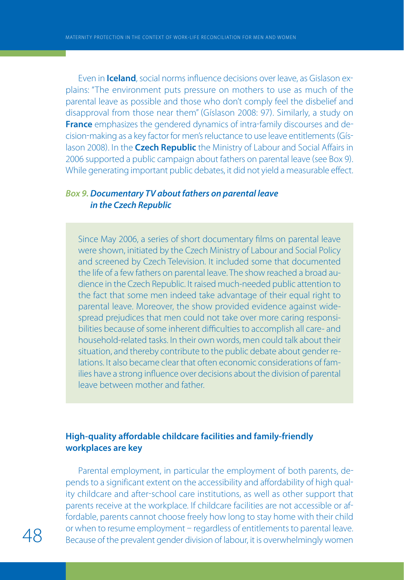Even in **Iceland**, social norms influence decisions over leave, as Gislason ex plains: "The environment puts pressure on mothers to use as much of the parental leave as possible and those who don't comply feel the disbelief and disapproval from those near them" Gíslason 2008: 97. Similarly, a study on **France** emphasizes the gendered dynamics of intra-family discourses and decision-making as a key factor for men's reluctance to use leave entitlements (Gíslason 2008. In the **Czech Republic** the Ministry of Labour and Social Affairs in 2006 supported a public campaign about fathers on parental leave (see Box 9). While generating important public debates, it did not yield a measurable effect.

#### *Box 9. Documentary TV about fathers on parental leave in the Czech Republic*

Since May 2006, a series of short documentary films on parental leave were shown, initiated by the Czech Ministry of Labour and Social Policy and screened by Czech Television. It included some that documented the life of a few fathers on parental leave. The show reached a broad audience in the Czech Republic. It raised much-needed public attention to the fact that some men indeed take advantage of their equal right to parental leave. Moreover, the show provided evidence against widespread prejudices that men could not take over more caring responsibilities because of some inherent difficulties to accomplish all care- and household-related tasks. In their own words, men could talk about their situation, and thereby contribute to the public debate about gender relations. It also became clear that often economic considerations of families have a strong influence over decisions about the division of parental leave between mother and father.

#### **High-quality affordable childcare facilities and family-friendly workplaces are key**

Parental employment, in particular the employment of both parents, de pends to a significant extent on the accessibility and affordability of high qual ity childcare and after-school care institutions, as well as other support that parents receive at the workplace. If childcare facilities are not accessible or af fordable, parents cannot choose freely how long to stay home with their child or when to resume employment – regardless of entitlements to parental leave.<br>Because of the prevalent gender division of labour, it is overwhelmingly women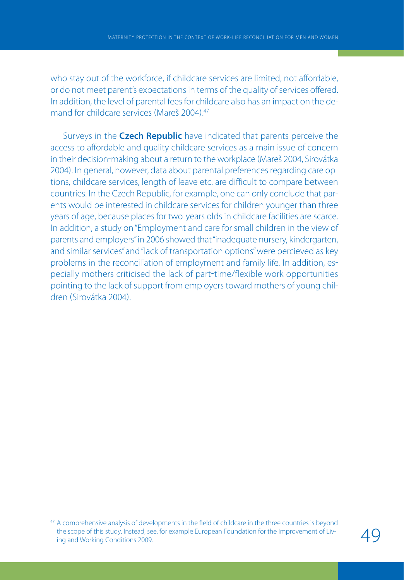who stay out of the workforce, if childcare services are limited, not affordable, or do not meet parent's expectations in terms of the quality of services offered. In addition, the level of parental fees for childcare also has an impact on the de mand for childcare services (Mareš 2004)<sup>47</sup>

Surveys in the **Czech Republic** have indicated that parents perceive the access to affordable and quality childcare services as a main issue of concern in their decision-making about a return to the workplace (Mareš 2004, Sirovátka 2004. In general, however, data about parental preferences regarding care op tions, childcare services, length of leave etc. are difficult to compare between countries. In the Czech Republic, for example, one can only conclude that par ents would be interested in childcare services for children younger than three years of age, because places for two-years olds in childcare facilities are scarce. In addition, a study on "Employment and care for small children in the view of parents and employers" in 2006 showed that "inadequate nursery, kindergarten, and similar services" and "lack of transportation options" were percieved as key problems in the reconciliation of employment and family life. In addition, es pecially mothers criticised the lack of part-time/flexible work opportunities pointing to the lack of support from employers toward mothers of young chil dren (Sirovátka 2004)

<sup>&</sup>lt;sup>47</sup> A comprehensive analysis of developments in the field of childcare in the three countries is beyond the scope of this study. Instead, see, for example European Foundation for the Improvement of Living and Working Conditions 2009.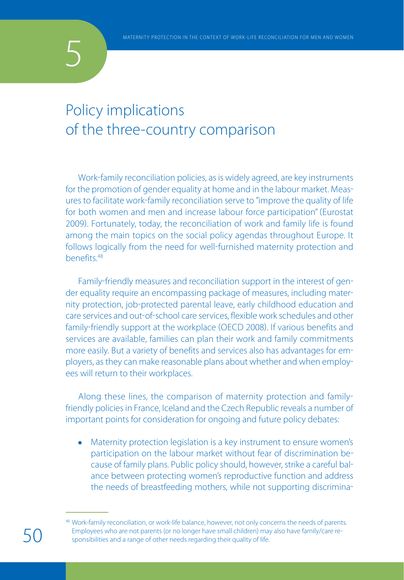

## Policy implications of the three-country comparison

Work-family reconciliation policies, as is widely agreed, are key instruments for the promotion of gender equality at home and in the labour market. Meas ures to facilitate work-family reconciliation serve to "improve the quality of life for both women and men and increase labour force participation" (Eurostat 2009. Fortunately, today, the reconciliation of work and family life is found among the main topics on the social policy agendas throughout Europe. It follows logically from the need for well-furnished maternity protection and benefits.48

Family-friendly measures and reconciliation support in the interest of gender equality require an encompassing package of measures, including mater nity protection, job-protected parental leave, early childhood education and care services and out-of-school care services, flexible work schedules and other family-friendly support at the workplace (OECD 2008). If various benefits and services are available, families can plan their work and family commitments more easily. But a variety of benefits and services also has advantages for em ployers, as they can make reasonable plans about whether and when employ ees will return to their workplaces.

Along these lines, the comparison of maternity protection and family friendly policies in France, Iceland and the Czech Republic reveals a number of important points for consideration for ongoing and future policy debates:

 $\bullet$ Maternity protection legislation is a key instrument to ensure women's participation on the labour market without fear of discrimination be cause of family plans. Public policy should, however, strike a careful bal ance between protecting women's reproductive function and address the needs of breastfeeding mothers, while not supporting discrimina

<sup>48</sup> Work-family reconciliation, or work-life balance, however, not only concerns the needs of parents. Employees who are not parents (or no longer have small children) may also have family/care responsibilities and a range of other needs regarding their quality of life.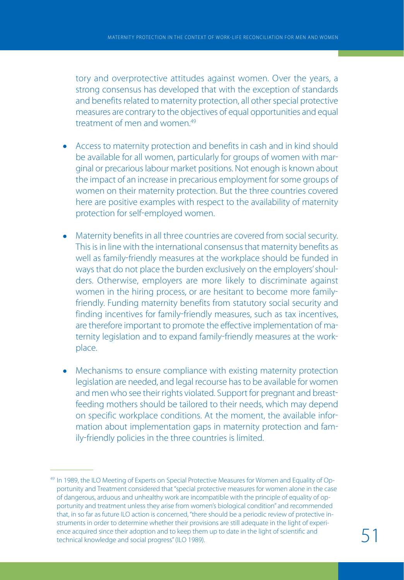tory and overprotective attitudes against women. Over the years, a strong consensus has developed that with the exception of standards and benefits related to maternity protection, all other special protective measures are contrary to the objectives of equal opportunities and equal treatment of men and women<sup>49</sup>

- Access to maternity protection and benefits in cash and in kind should be available for all women, particularly for groups of women with mar ginal or precarious labour market positions. Not enough is known about the impact of an increase in precarious employment for some groups of women on their maternity protection. But the three countries covered here are positive examples with respect to the availability of maternity protection for self-employed women.
- Maternity benefits in all three countries are covered from social security. This is in line with the international consensus that maternity benefits as well as family-friendly measures at the workplace should be funded in ways that do not place the burden exclusively on the employers' shoul ders. Otherwise, employers are more likely to discriminate against women in the hiring process, or are hesitant to become more family friendly. Funding maternity benefits from statutory social security and finding incentives for family-friendly measures, such as tax incentives, are therefore important to promote the effective implementation of ma ternity legislation and to expand family-friendly measures at the workplace.
- Mechanisms to ensure compliance with existing maternity protection legislation are needed, and legal recourse has to be available for women and men who see their rights violated. Support for pregnant and breast feeding mothers should be tailored to their needs, which may depend on specific workplace conditions. At the moment, the available infor mation about implementation gaps in maternity protection and fam ily-friendly policies in the three countries is limited.

<sup>&</sup>lt;sup>49</sup> In 1989, the ILO Meeting of Experts on Special Protective Measures for Women and Equality of Opportunity and Treatment considered that "special protective measures for women alone in the case of dangerous, arduous and unhealthy work are incompatible with the principle of equality of opportunity and treatment unless they arise from women's biological condition" and recommended that, in so far as future ILO action is concerned, "there should be a periodic review of protective instruments in order to determine whether their provisions are still adequate in the light of experience acquired since their adoption and to keep them up to date in the light of scientific and technical knowledge and social progress" (ILO 1989).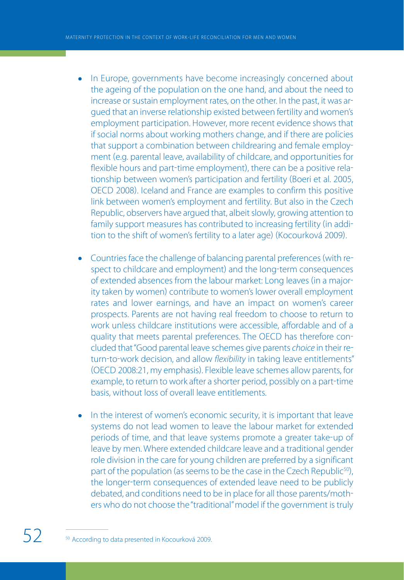- In Europe, governments have become increasingly concerned about the ageing of the population on the one hand, and about the need to increase or sustain employment rates, on the other. In the past, it was ar gued that an inverse relationship existed between fertility and women's employment participation. However, more recent evidence shows that if social norms about working mothers change, and if there are policies that support a combination between childrearing and female employ ment (e.g. parental leave, availability of childcare, and opportunities for flexible hours and part-time employment), there can be a positive relationship between women's participation and fertility (Boeri et al. 2005, OECD 2008. Iceland and France are examples to confirm this positive link between women's employment and fertility. But also in the Czech Republic, observers have argued that, albeit slowly, growing attention to family support measures has contributed to increasing fertility (in addition to the shift of women's fertility to a later age) (Kocourková 2009).
- $\bullet$ Countries face the challenge of balancing parental preferences (with respect to childcare and employment) and the long-term consequences of extended absences from the labour market: Long leaves (in a majority taken by women) contribute to women's lower overall employment rates and lower earnings, and have an impact on women's career prospects. Parents are not having real freedom to choose to return to work unless childcare institutions were accessible, affordable and of a quality that meets parental preferences. The OECD has therefore con cluded that "Good parental leave schemes give parents choice in their re turn-to-work decision, and allow flexibility in taking leave entitlements" (OECD 2008:21, my emphasis). Flexible leave schemes allow parents, for example, to return to work after a shorter period, possibly on a part-time basis, without loss of overall leave entitlements.
- In the interest of women's economic security, it is important that leave systems do not lead women to leave the labour market for extended periods of time, and that leave systems promote a greater take-up of leave by men. Where extended childcare leave and a traditional gender role division in the care for young children are preferred by a significant part of the population (as seems to be the case in the Czech Republic<sup>50</sup>), the longer-term consequences of extended leave need to be publicly debated, and conditions need to be in place for all those parents/moth ers who do not choose the "traditional" model if the government is truly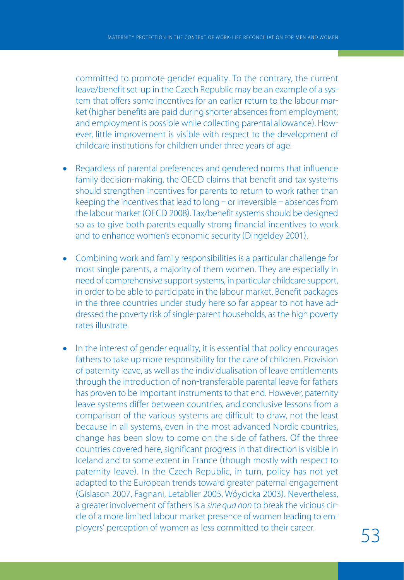committed to promote gender equality. To the contrary, the current leave/benefit set-up in the Czech Republic may be an example of a system that offers some incentives for an earlier return to the labour mar ket (higher benefits are paid during shorter absences from employment; and employment is possible while collecting parental allowance). However, little improvement is visible with respect to the development of childcare institutions for children under three years of age.

- Regardless of parental preferences and gendered norms that influence family decision-making, the OECD claims that benefit and tax systems should strengthen incentives for parents to return to work rather than keeping the incentives that lead to long  $-$  or irreversible  $-$  absences from the labour market (OECD 2008). Tax/benefit systems should be designed so as to give both parents equally strong financial incentives to work and to enhance women's economic security (Dingeldey 2001).
- Combining work and family responsibilities is a particular challenge for most single parents, a majority of them women. They are especially in need of comprehensive support systems, in particular childcare support, in order to be able to participate in the labour market. Benefit packages in the three countries under study here so far appear to not have ad dressed the poverty risk of single-parent households, as the high poverty rates illustrate.
- In the interest of gender equality, it is essential that policy encourages fathers to take up more responsibility for the care of children. Provision of paternity leave, as well as the individualisation of leave entitlements through the introduction of non-transferable parental leave for fathers has proven to be important instruments to that end. However, paternity leave systems differ between countries, and conclusive lessons from a comparison of the various systems are difficult to draw, not the least because in all systems, even in the most advanced Nordic countries, change has been slow to come on the side of fathers. Of the three countries covered here, significant progress in that direction is visible in Iceland and to some extent in France (though mostly with respect to paternity leave). In the Czech Republic, in turn, policy has not yet adapted to the European trends toward greater paternal engagement Gíslason 2007, Fagnani, Letablier 2005, Wóycicka 2003. Nevertheless, a greater involvement of fathers is a sine qua non to break the vicious circle of a more limited labour market presence of women leading to em ployers' perception of women as less committed to their career. 53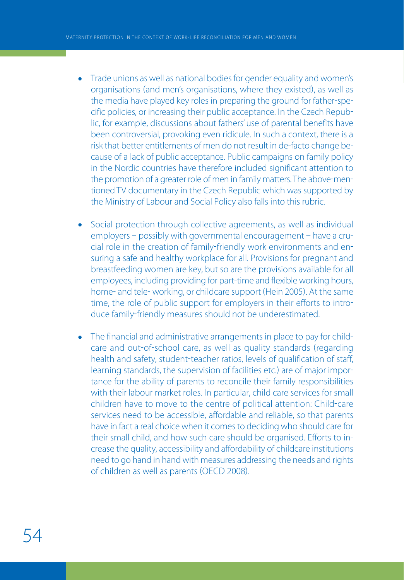- Trade unions as well as national bodies for gender equality and women's ä organisations (and men's organisations, where they existed), as well as the media have played key roles in preparing the ground for father-specific policies, or increasing their public acceptance. In the Czech Repub lic, for example, discussions about fathers' use of parental benefits have been controversial, provoking even ridicule. In such a context, there is a risk that better entitlements of men do not result in de-facto change because of a lack of public acceptance. Public campaigns on family policy in the Nordic countries have therefore included significant attention to the promotion of a greater role of men in family matters. The above-mentioned TV documentary in the Czech Republic which was supported by the Ministry of Labour and Social Policy also falls into this rubric.
- Social protection through collective agreements, as well as individual  $\bullet$ employers - possibly with governmental encouragement - have a crucial role in the creation of family-friendly work environments and ensuring a safe and healthy workplace for all. Provisions for pregnant and breastfeeding women are key, but so are the provisions available for all employees, including providing for part-time and flexible working hours, home- and tele- working, or childcare support (Hein 2005). At the same time, the role of public support for employers in their efforts to intro duce family-friendly measures should not be underestimated.
- $\bullet$ The financial and administrative arrangements in place to pay for child care and out-of-school care, as well as quality standards (regarding health and safety, student-teacher ratios, levels of qualification of staff, learning standards, the supervision of facilities etc.) are of major importance for the ability of parents to reconcile their family responsibilities with their labour market roles. In particular, child care services for small children have to move to the centre of political attention: Child-care services need to be accessible, affordable and reliable, so that parents have in fact a real choice when it comes to deciding who should care for their small child, and how such care should be organised. Efforts to in crease the quality, accessibility and affordability of childcare institutions need to go hand in hand with measures addressing the needs and rights of children as well as parents (OECD 2008).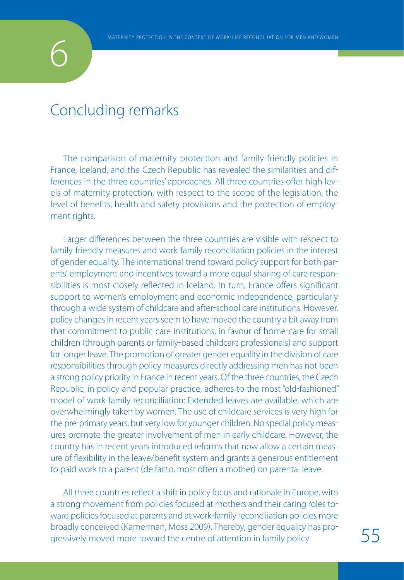# 6

## Concluding remarks

The comparison of maternity protection and family-friendly policies in France, Iceland, and the Czech Republic has revealed the similarities and dif ferences in the three countries' approaches. All three countries offer high lev els of maternity protection, with respect to the scope of the legislation, the level of benefits, health and safety provisions and the protection of employ ment rights.

Larger differences between the three countries are visible with respect to family-friendly measures and work-family reconciliation policies in the interest of gender equality. The international trend toward policy support for both par ents' employment and incentives toward a more equal sharing of care respon sibilities is most closely reflected in Iceland. In turn, France offers significant support to women's employment and economic independence, particularly through a wide system of childcare and after-school care institutions. However, policy changes in recent years seem to have moved the country a bit away from that commitment to public care institutions, in favour of home-care for small children (through parents or family-based childcare professionals) and support for longer leave. The promotion of greater gender equality in the division of care responsibilities through policy measures directly addressing men has not been a strong policy priority in France in recent years. Of the three countries, the Czech Republic, in policy and popular practice, adheres to the most "old-fashioned" model of work-family reconciliation: Extended leaves are available, which are overwhelmingly taken by women. The use of childcare services is very high for the pre-primary years, but very low for younger children. No special policy measures promote the greater involvement of men in early childcare. However, the country has in recent years introduced reforms that now allow a certain meas ure of flexibility in the leave/benefit system and grants a generous entitlement to paid work to a parent (de facto, most often a mother) on parental leave.

All three countries reflect a shift in policy focus and rationale in Europe, with a strong movement from policies focused at mothers and their caring roles to ward policies focused at parents and at work-family reconciliation policies more broadly conceived (Kamerman, Moss 2009). Thereby, gender equality has progressively moved more toward the centre of attention in family policy.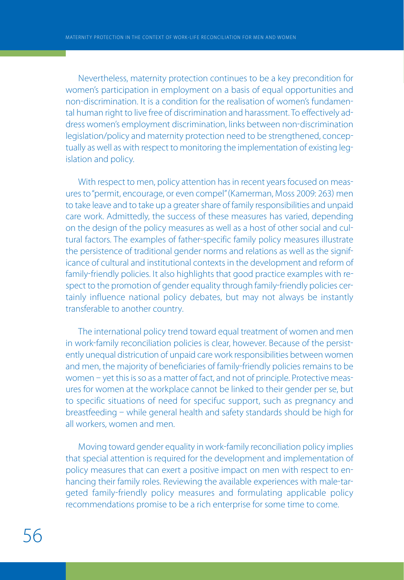Nevertheless, maternity protection continues to be a key precondition for women's participation in employment on a basis of equal opportunities and non-discrimination. It is a condition for the realisation of women's fundamental human right to live free of discrimination and harassment. To effectively ad dress women's employment discrimination, links between non-discrimination legislation/policy and maternity protection need to be strengthened, concep tually as well as with respect to monitoring the implementation of existing leg islation and policy.

With respect to men, policy attention has in recent years focused on measures to "permit, encourage, or even compel" (Kamerman, Moss 2009: 263) men to take leave and to take up a greater share of family responsibilities and unpaid care work. Admittedly, the success of these measures has varied, depending on the design of the policy measures as well as a host of other social and cul tural factors. The examples of father-specific family policy measures illustrate the persistence of traditional gender norms and relations as well as the signif icance of cultural and institutional contexts in the development and reform of family-friendly policies. It also highlights that good practice examples with respect to the promotion of gender equality through family-friendly policies certainly influence national policy debates, but may not always be instantly transferable to another country.

The international policy trend toward equal treatment of women and men in work-family reconciliation policies is clear, however. Because of the persistently unequal districution of unpaid care work responsibilities between women and men, the majority of beneficiaries of family-friendly policies remains to be women - yet this is so as a matter of fact, and not of principle. Protective measures for women at the workplace cannot be linked to their gender per se, but to specific situations of need for specifuc support, such as pregnancy and breastfeeding - while general health and safety standards should be high for all workers, women and men.

Moving toward gender equality in work-family reconciliation policy implies that special attention is required for the development and implementation of policy measures that can exert a positive impact on men with respect to en hancing their family roles. Reviewing the available experiences with male-targeted family-friendly policy measures and formulating applicable policy recommendations promise to be a rich enterprise for some time to come.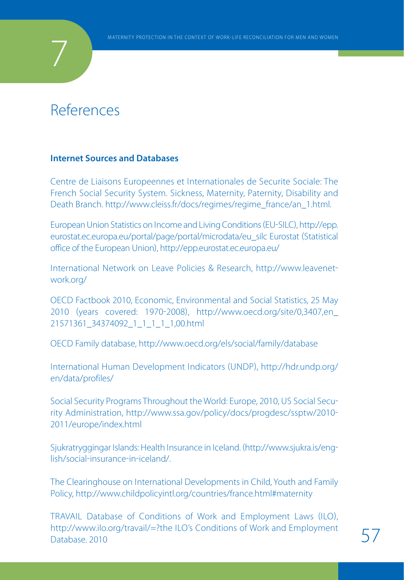## References

7

#### **Internet Sources and Databases**

Centre de Liaisons Europeennes et Internationales de Securite Sociale: The French Social Security System. Sickness, Maternity, Paternity, Disability and Death Branch. http://www.cleiss.fr/docs/regimes/regime\_france/an\_1.html.

European Union Statistics on Income and Living Conditions (EU-SILC), http://epp. eurostat.ec.europa.eu/portal/page/portal/microdata/eu\_silc Eurostat (Statistical office of the European Union, http://epp.eurostat.ec.europa.eu/

International Network on Leave Policies & Research, http://www.leavenet work.org/

OECD Factbook 2010, Economic, Environmental and Social Statistics, 25 May 2010 (years covered: 1970-2008), http://www.oecd.org/site/0,3407,en\_ 21571361\_34374092\_1\_1\_1\_1\_1,00.html

OECD Family database, http://www.oecd.org/els/social/family/database

International Human Development Indicators UNDP, http://hdr.undp.org/ en/data/profiles/

Social Security Programs Throughout the World: Europe, 2010, US Social Secu rity Administration, http://www.ssa.gov/policy/docs/progdesc/ssptw/2010 2011/europe/index.html

Sjukratryggingar Islands: Health Insurance in Iceland. (http://www.sjukra.is/english/social-insurance-in-iceland/.

The Clearinghouse on International Developments in Child, Youth and Family Policy, http://www.childpolicyintl.org/countries/france.html#maternity

TRAVAIL Database of Conditions of Work and Employment Laws (ILO), http://www.ilo.org/travail/=?the ILO's Conditions of Work and Employment 57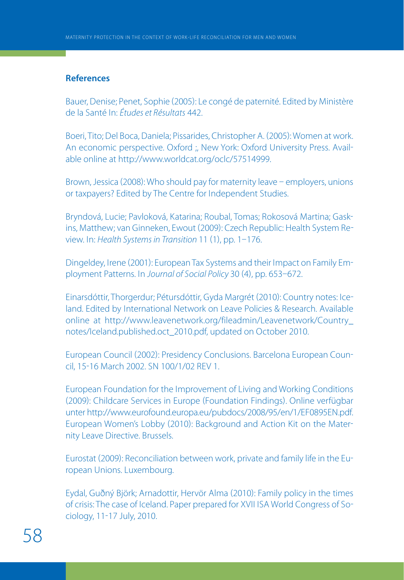#### **References**

Bauer, Denise; Penet, Sophie (2005): Le congé de paternité. Edited by Ministère de la Santé In: Études et Résultats 442.

Boeri, Tito; Del Boca, Daniela; Pissarides, Christopher A. (2005): Women at work. An economic perspective. Oxford ;, New York: Oxford University Press. Avail able online at http://www.worldcat.org/oclc/57514999.

Brown, Jessica (2008): Who should pay for maternity leave - employers, unions or taxpayers? Edited by The Centre for Independent Studies.

Bryndová, Lucie; Pavloková, Katarina; Roubal, Tomas; Rokosová Martina; Gask ins, Matthew; van Ginneken, Ewout (2009): Czech Republic: Health System Review. In: Health Systems in Transition 11 (1), pp.  $1-176$ .

Dingeldey, Irene (2001): European Tax Systems and their Impact on Family Employment Patterns. In Journal of Social Policy 30 (4), pp. 653-672.

Einarsdóttir, Thorgerdur; Pétursdóttir, Gyda Margrét (2010): Country notes: Iceland. Edited by International Network on Leave Policies & Research. Available online at http://www.leavenetwork.org/fileadmin/Leavenetwork/Country\_ notes/Iceland.published.oct\_2010.pdf, updated on October 2010.

European Council (2002): Presidency Conclusions. Barcelona European Council, 1516 March 2002. SN 100/1/02 REV 1.

European Foundation for the Improvement of Living and Working Conditions (2009): Childcare Services in Europe (Foundation Findings). Online verfügbar unter http://www.eurofound.europa.eu/pubdocs/2008/95/en/1/EF0895EN.pdf. European Women's Lobby (2010): Background and Action Kit on the Maternity Leave Directive. Brussels.

Eurostat 2009: Reconciliation between work, private and family life in the Eu ropean Unions. Luxembourg.

Eydal, Guðný Björk; Arnadottir, Hervör Alma (2010): Family policy in the times of crisis: The case of Iceland. Paper prepared for XVII ISA World Congress of So ciology, 11-17 July, 2010.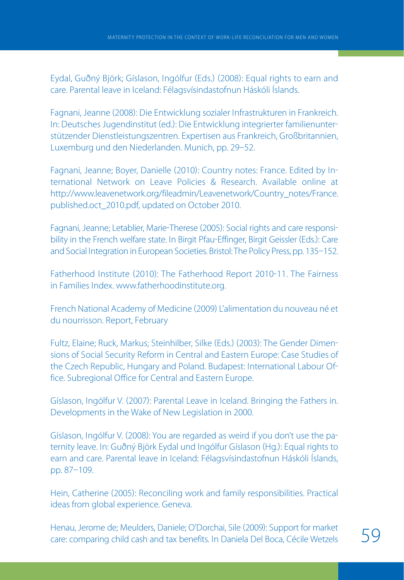Eydal, Guðný Björk; Gíslason, Ingólfur (Eds.) (2008): Equal rights to earn and care. Parental leave in Iceland: Félagsvísindastofnun Háskóli Íslands.

Fagnani, Jeanne (2008): Die Entwicklung sozialer Infrastrukturen in Frankreich. In: Deutsches Jugendinstitut (ed.): Die Entwicklung integrierter familienunterstützender Dienstleistungszentren. Expertisen aus Frankreich, Großbritannien, Luxemburg und den Niederlanden. Munich, pp. 29-52.

Fagnani, Jeanne; Boyer, Danielle (2010): Country notes: France. Edited by International Network on Leave Policies & Research. Available online at http://www.leavenetwork.org/fileadmin/Leavenetwork/Country\_notes/France. published.oct\_2010.pdf, updated on October 2010.

Fagnani, Jeanne; Letablier, Marie-Therese (2005): Social rights and care responsibility in the French welfare state. In Birgit Pfau-Effinger, Birgit Geissler (Eds.): Care and Social Integration in European Societies. Bristol: The Policy Press, pp. 135-152.

Fatherhood Institute (2010): The Fatherhood Report 2010-11. The Fairness in Families Index. www.fatherhoodinstitute.org.

French National Academy of Medicine (2009) L'alimentation du nouveau né et du nourrisson. Report, February

Fultz, Elaine; Ruck, Markus; Steinhilber, Silke (Eds.) (2003): The Gender Dimensions of Social Security Reform in Central and Eastern Europe: Case Studies of the Czech Republic, Hungary and Poland. Budapest: International Labour Of fice. Subregional Office for Central and Eastern Europe.

Gíslason, Ingólfur V. (2007): Parental Leave in Iceland. Bringing the Fathers in. Developments in the Wake of New Legislation in 2000.

Gíslason, Ingólfur V. (2008): You are regarded as weird if you don't use the paternity leave. In: Guðný Björk Eydal und Ingólfur Gíslason (Hg.): Equal rights to earn and care. Parental leave in Iceland: Félagsvísindastofnun Háskóli Íslands, pp. 87-109.

Hein, Catherine (2005): Reconciling work and family responsibilities. Practical ideas from global experience. Geneva.

Henau, Jerome de; Meulders, Daniele; O'Dorchai, Sile (2009): Support for market care: comparing child cash and tax benefits. In Daniela Del Boca, Cécile Wetzels 59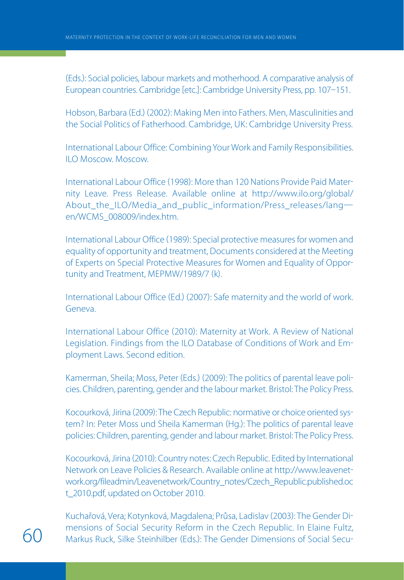(Eds.): Social policies, labour markets and motherhood. A comparative analysis of European countries. Cambridge fetc..: Cambridge University Press, pp. 107-151.

Hobson, Barbara (Ed.) (2002): Making Men into Fathers. Men, Masculinities and the Social Politics of Fatherhood. Cambridge, UK: Cambridge University Press.

International Labour Office: Combining Your Work and Family Responsibilities. ILO Moscow. Moscow.

International Labour Office 1998: More than 120 Nations Provide Paid Mater nity Leave. Press Release. Available online at http://www.ilo.org/global/ About the ILO/Media and public information/Press releases/langen/WCMS\_008009/index.htm.

International Labour Office 1989: Special protective measures for women and equality of opportunity and treatment, Documents considered at the Meeting of Experts on Special Protective Measures for Women and Equality of Oppor tunity and Treatment, MEPMW/1989/7 (k).

International Labour Office (Ed.) (2007): Safe maternity and the world of work. Geneva.

International Labour Office (2010): Maternity at Work. A Review of National Legislation. Findings from the ILO Database of Conditions of Work and Em ployment Laws. Second edition.

Kamerman, Sheila; Moss, Peter (Eds.) (2009): The politics of parental leave policies. Children, parenting, gender and the labour market. Bristol: The Policy Press.

Kocourková, Jirina (2009): The Czech Republic: normative or choice oriented system? In: Peter Moss und Sheila Kamerman (Hg.): The politics of parental leave policies: Children, parenting, gender and labour market. Bristol: The Policy Press.

Kocourková, Jirina 2010: Country notes: Czech Republic. Edited by International Network on Leave Policies & Research. Available online at http://www.leavenet work.org/fileadmin/Leavenetwork/Country\_notes/Czech\_Republic.published.oc t\_2010.pdf, updated on October 2010.

Kuchařová, Vera; Kotynková, Magdalena; Průsa, Ladislav (2003): The Gender Dimensions of Social Security Reform in the Czech Republic. In Elaine Fultz, Markus Ruck, Silke Steinhilber (Eds.): The Gender Dimensions of Social Secu-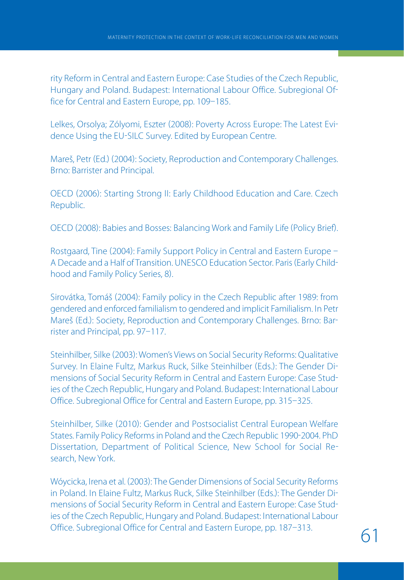rity Reform in Central and Eastern Europe: Case Studies of the Czech Republic, Hungary and Poland. Budapest: International Labour Office. Subregional Of fice for Central and Eastern Europe, pp. 109-185.

Lelkes, Orsolya; Zólyomi, Eszter (2008): Poverty Across Europe: The Latest Evidence Using the EU-SILC Survey. Edited by European Centre.

Mareš, Petr (Ed.) (2004): Society, Reproduction and Contemporary Challenges. Brno: Barrister and Principal.

OECD (2006): Starting Strong II: Early Childhood Education and Care. Czech Republic.

OECD (2008): Babies and Bosses: Balancing Work and Family Life (Policy Brief).

Rostgaard, Tine (2004): Family Support Policy in Central and Eastern Europe -A Decade and a Half of Transition. UNESCO Education Sector. Paris (Early Childhood and Family Policy Series, 8).

Sirovátka, Tomáš (2004): Family policy in the Czech Republic after 1989: from gendered and enforced familialism to gendered and implicit Familialism. In Petr Mareš (Ed.): Society, Reproduction and Contemporary Challenges. Brno: Barrister and Principal, pp. 97-117.

Steinhilber, Silke 2003: Women's Views on Social Security Reforms: Qualitative Survey. In Elaine Fultz, Markus Ruck, Silke Steinhilber (Eds.): The Gender Dimensions of Social Security Reform in Central and Eastern Europe: Case Stud ies of the Czech Republic, Hungary and Poland. Budapest: International Labour Office. Subregional Office for Central and Eastern Europe, pp. 315-325.

Steinhilber, Silke 2010: Gender and Postsocialist Central European Welfare States. Family Policy Reforms in Poland and the Czech Republic 1990-2004. PhD Dissertation, Department of Political Science, New School for Social Re search, New York.

Wóycicka, Irena et al. 2003: The Gender Dimensions of Social Security Reforms in Poland. In Elaine Fultz, Markus Ruck, Silke Steinhilber (Eds.): The Gender Dimensions of Social Security Reform in Central and Eastern Europe: Case Stud ies of the Czech Republic, Hungary and Poland. Budapest: International Labour Office. Subregional Office for Central and Eastern Europe, pp. 187–313.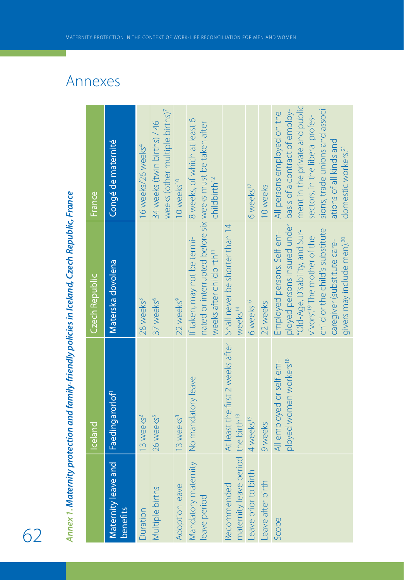|                                                               | Annex 1. Maternity protection and family-friendly policies in Iceland, Czech Republic, France |                                                                                                                                                                                                                                                     |                                                                                                                                                                                                                                     |
|---------------------------------------------------------------|-----------------------------------------------------------------------------------------------|-----------------------------------------------------------------------------------------------------------------------------------------------------------------------------------------------------------------------------------------------------|-------------------------------------------------------------------------------------------------------------------------------------------------------------------------------------------------------------------------------------|
|                                                               | <b>Iceland</b>                                                                                | Czech Republic                                                                                                                                                                                                                                      | France                                                                                                                                                                                                                              |
| Maternity leave and<br><b>benefits</b>                        | Faedingarorlof <sup>1</sup>                                                                   | Materska dovolena                                                                                                                                                                                                                                   | Congé de maternité                                                                                                                                                                                                                  |
| Duration                                                      | 13 weeks <sup>2</sup>                                                                         | 28 weeks <sup>3</sup>                                                                                                                                                                                                                               | 16 weeks/26 weeks <sup>4</sup>                                                                                                                                                                                                      |
| Multiple births                                               | 26 weeks <sup>5</sup>                                                                         | 37 weeks <sup>6</sup>                                                                                                                                                                                                                               | weeks (other multiple births) <sup>7</sup><br>34 weeks (twin births) / 46                                                                                                                                                           |
| Adoption leave                                                | 13 weeks <sup>8</sup>                                                                         | 22 weeks <sup>9</sup>                                                                                                                                                                                                                               | 10 weeks <sup>10</sup>                                                                                                                                                                                                              |
| Mandatory maternity<br>leave period                           | No mandatory leave                                                                            | nated or interrupted before six weeks must be taken after<br>If taken, may not be termi-<br>weeks after childbirth <sup>11</sup>                                                                                                                    | 8 weeks, of which at least 6<br>childbirth <sup>12</sup>                                                                                                                                                                            |
| maternity leave period the birth <sup>13</sup><br>Recommended | At least the first 2 weeks after                                                              | Shall never be shorter than 14<br>weeks <sup>14</sup>                                                                                                                                                                                               |                                                                                                                                                                                                                                     |
| Leave prior to birth                                          | 4 weeks <sup>15</sup>                                                                         | 6 weeks <sup>16</sup>                                                                                                                                                                                                                               | 6 weeks <sup>17</sup>                                                                                                                                                                                                               |
| Leave after birth                                             | 9 weeks                                                                                       | 22 weeks                                                                                                                                                                                                                                            | 10 weeks                                                                                                                                                                                                                            |
| Scope                                                         | ployed women workers <sup>18</sup><br>All employed or self-em-                                | ployed persons insured under<br>"Old-Age, Disability, and Sur-<br>child or the child's substitute<br>Employed persons. Self-em-<br>vivors" <sup>19</sup> The mother of the<br>givers may include men). <sup>20</sup><br>caregiver (substitute care- | ment in the private and public<br>sions, trade unions and associ-<br>basis of a contract of employ-<br>All persons employed on the<br>sectors, in the liberal profes-<br>ations of all kinds and<br>domestic workers. <sup>21</sup> |
|                                                               |                                                                                               |                                                                                                                                                                                                                                                     |                                                                                                                                                                                                                                     |

## Annexes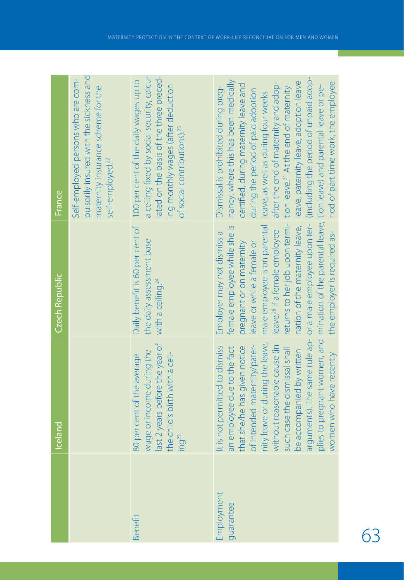|                         | Iceland                                                                                                                                                                                                                                                                                                                                                    | Czech Republic                                                                                                                                                                                                                                                                                        | France                                                                                                                                                                                                                                                                                                                                                                                                                                                                                                                           |
|-------------------------|------------------------------------------------------------------------------------------------------------------------------------------------------------------------------------------------------------------------------------------------------------------------------------------------------------------------------------------------------------|-------------------------------------------------------------------------------------------------------------------------------------------------------------------------------------------------------------------------------------------------------------------------------------------------------|----------------------------------------------------------------------------------------------------------------------------------------------------------------------------------------------------------------------------------------------------------------------------------------------------------------------------------------------------------------------------------------------------------------------------------------------------------------------------------------------------------------------------------|
|                         |                                                                                                                                                                                                                                                                                                                                                            |                                                                                                                                                                                                                                                                                                       | pulsorily insured with the sickness and<br>Self-employed persons who are com-<br>maternity insurance scheme for the<br>self-employed. <sup>22</sup>                                                                                                                                                                                                                                                                                                                                                                              |
| Benefit                 | last 2 years before the year of<br>wage or income during the<br>the child's birth with a ceil-<br>80 per cent of the average<br>ing <sup>23</sup>                                                                                                                                                                                                          | the daily assessment base<br>with a ceiling. <sup>24</sup>                                                                                                                                                                                                                                            | a ceiling fixed by social security, calcu-<br>ated on the basis of the three preced-<br>Daily benefit is 60 per cent of 100 per cent of the daily wages up to<br>ing monthly wages (after deduction<br>of social contributions). <sup>25</sup>                                                                                                                                                                                                                                                                                   |
| Employment<br>guarantee | plies to pregnant women, and<br>arguments). The same rule ap-<br>nity leave or during the leave,<br>without reasonable cause (in<br>of intended maternity/pater-<br>It is not permitted to dismiss<br>an employee due to the fact<br>that she/he has given notice<br>such case the dismissal shall<br>be accompanied by written<br>women who have recently | returns to her job upon termi-<br>nation of the maternity leave,<br>male employee is on parental<br>female employee while she is<br>the employer is required as-<br>leave. <sup>28</sup> If a female employee<br>Employer may not dismiss a<br>pregnant or on maternity<br>leave or while a female or | or a male employee upon ter- (including the period of unpaid adop-<br>nancy, where this has been medically<br>leave, paternity leave, adoption leave<br>riod of part time work, the employee<br>after the end of maternity and adop-<br>certified, during maternity leave and<br>mination of the parental leave, tion leave) and parental leave or pe-<br>tion leave. <sup>31</sup> At the end of maternity<br>Dismissal is prohibited during preg-<br>during the period of paid adoption<br>leave, as well as during four weeks |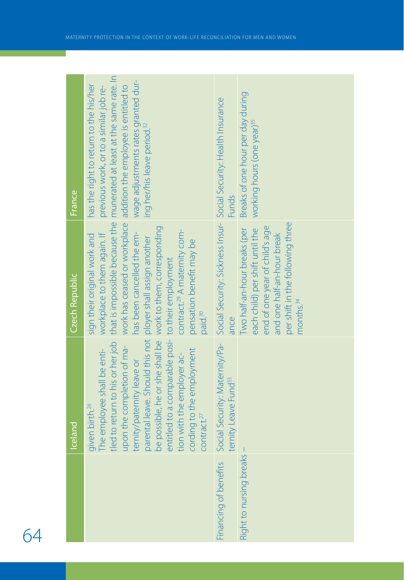|                              | <b>Iceland</b>                                                                                                                                                                                                                                                                                                                                                                                                                      | Czech Republic                                                                                                                                                                                                             | France                                                                                                                                                                                                                                                                             |
|------------------------------|-------------------------------------------------------------------------------------------------------------------------------------------------------------------------------------------------------------------------------------------------------------------------------------------------------------------------------------------------------------------------------------------------------------------------------------|----------------------------------------------------------------------------------------------------------------------------------------------------------------------------------------------------------------------------|------------------------------------------------------------------------------------------------------------------------------------------------------------------------------------------------------------------------------------------------------------------------------------|
|                              | be possible, he or she shall be work to them, corresponding<br>parental leave. Should this not ployer shall assign another<br>entitled to a comparable posi- to their employment<br>tled to return to his or her job<br>upon the completion of ma-<br>cording to the employment<br>The employee shall be enti-<br>tion with the employer ac-<br>ternity/paternity leave or<br>given birth. <sup>26</sup><br>Contract. <sup>27</sup> | that is impossible because the<br>contract. <sup>29</sup> A maternity com-<br>has been cancelled the em-<br>workplace to them again. If<br>sign their original work and<br>pensation benefit may be<br>paid. <sup>30</sup> | munerated at least at the same rate. In<br>wage adjustments rates granted dur-<br>has the right to return to the his/her<br>work has ceased or workplace addition the employee is entitled to<br>previous work, or to a similar job re-<br>ing her/his leave period. <sup>32</sup> |
| Financing of benefits        | ternity Leave Fund <sup>33</sup>                                                                                                                                                                                                                                                                                                                                                                                                    | ance                                                                                                                                                                                                                       | Social Security: Maternity/Pa- Social Security: Sickness Insur- Social Security: Health Insurance<br><b>Funds</b>                                                                                                                                                                  |
| reaks<br>Right to nursing bi |                                                                                                                                                                                                                                                                                                                                                                                                                                     | per shift in the following three<br>end of one year of child's age<br>Two half-an-hour breaks (per<br>each child) per shift until the<br>and one half-an-hour break<br>months. <sup>34</sup>                               | Breaks of one hour per day during<br>working hours (one year) <sup>35</sup>                                                                                                                                                                                                        |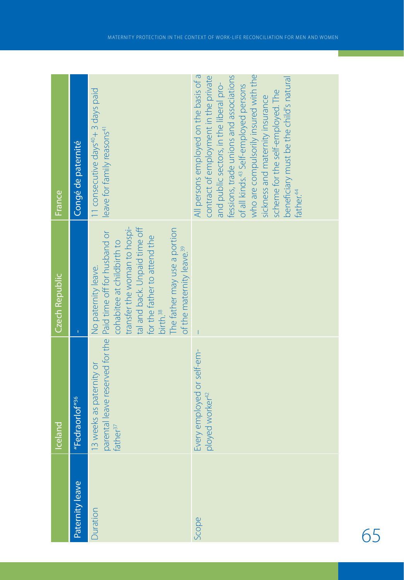|                 | Iceland                                                                                                          | <b>Czech Republic</b>                                                                                                                                                                                                                               | France                                                                                                                                                                                                                                                                                                                                                                                                          |
|-----------------|------------------------------------------------------------------------------------------------------------------|-----------------------------------------------------------------------------------------------------------------------------------------------------------------------------------------------------------------------------------------------------|-----------------------------------------------------------------------------------------------------------------------------------------------------------------------------------------------------------------------------------------------------------------------------------------------------------------------------------------------------------------------------------------------------------------|
| Paternity leave | "Fedraorlof" <sup>36 </sup>                                                                                      | ï                                                                                                                                                                                                                                                   | Congé de paternité                                                                                                                                                                                                                                                                                                                                                                                              |
| Duration        | parental leave reserved for the Paid time off for husband or<br>13 weeks as paternity or<br>father <sup>37</sup> | transfer the woman to hospi-<br>tal and back. Unpaid time off<br>The father may use a portion<br>for the father to attend the<br>cohabitee at childbirth to<br>of the maternity leave. <sup>39</sup><br>No paternity leave.<br>birth. <sup>38</sup> | 11 consecutive days <sup>40</sup> + 3 days paid<br>leave for family reasons <sup>41</sup>                                                                                                                                                                                                                                                                                                                       |
| Scope           | Every employed or self-em-<br>ployed worker <sup>42</sup>                                                        |                                                                                                                                                                                                                                                     | All persons employed on the basis of a<br>fessions, trade unions and associations<br>who are compulsorily insured with the<br>contract of employment in the private<br>beneficiary must be the child's natural<br>and public sectors, in the liberal pro-<br>of all kinds. <sup>43</sup> Self-employed persons<br>scheme for the self-employed. The<br>sickness and maternity insurance<br>ather. <sup>44</sup> |

65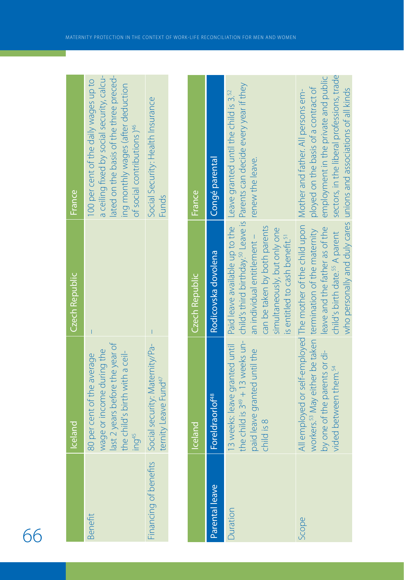|                       | celand                                                                                                                                           | Czech Republic | France                                                                                                                                                                                                         |  |
|-----------------------|--------------------------------------------------------------------------------------------------------------------------------------------------|----------------|----------------------------------------------------------------------------------------------------------------------------------------------------------------------------------------------------------------|--|
| Benefit               | ast 2 years before the year of<br>wage or income during the<br>the child's birth with a ceil-<br>80 per cent of the average<br>ing <sup>45</sup> |                | ated on the basis of the three preced-<br>a ceiling fixed by social security, calcu-<br>100 per cent of the daily wages up to<br>ing monthly wages (after deduction<br>of social contributions ) <sup>46</sup> |  |
| Financing of benefits | Social security: Maternity/Pa-<br>ternity Leave Fund <sup>47</sup>                                                                               |                | Social Security: Health Insurance<br><b>Funds</b>                                                                                                                                                              |  |

т

|                | <b>Lceland</b>                                                                                                                               | Czech Republic                                                                                                                            | <b>France</b>                                                                                                                                                                                                                                                                                     |
|----------------|----------------------------------------------------------------------------------------------------------------------------------------------|-------------------------------------------------------------------------------------------------------------------------------------------|---------------------------------------------------------------------------------------------------------------------------------------------------------------------------------------------------------------------------------------------------------------------------------------------------|
| Parental leave | Fore draor of <sup>48</sup>                                                                                                                  | Rodicovska dovolena                                                                                                                       | Congé parental                                                                                                                                                                                                                                                                                    |
| Ouration       | paid leave granted until the<br>child is 8                                                                                                   | can be taken by both parents<br>simultaneously, but only one<br>is entitled to cash benefit. <sup>51</sup><br>an individual entitlement - | the child is 3 <sup>49</sup> + 13 weeks un- child's third birthday. <sup>30</sup> Leave is Parents can decide every year if they<br>13 weeks: leave granted until Paid leave available up to the Leave granted until the child is 3. <sup>52</sup><br>renew the leave.                            |
| Scope          | workers. <sup>53</sup> May either be taken termination of the maternity<br>by one of the parents or di-<br>vided between them. <sup>54</sup> | eave and the father as of the<br>child's birth date. <sup>55</sup> A parent                                                               | sectors, in the liberal professions, trade<br>employment in the private and public<br>ployed on the basis of a contract of<br>who personally and duly cares unions and associations of all kinds<br>All employed or self-employed The mother of the child upon Mother and father. All persons em- |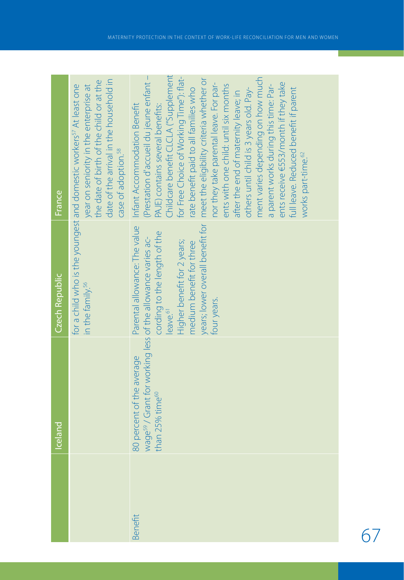|         | Iceland                                                                                                                             | Czech Republic                                                                                                                | France                                                                                                                                                                                                                                                                                                                                                                                                                                                                                                                                                                                                                                                                                                                       |
|---------|-------------------------------------------------------------------------------------------------------------------------------------|-------------------------------------------------------------------------------------------------------------------------------|------------------------------------------------------------------------------------------------------------------------------------------------------------------------------------------------------------------------------------------------------------------------------------------------------------------------------------------------------------------------------------------------------------------------------------------------------------------------------------------------------------------------------------------------------------------------------------------------------------------------------------------------------------------------------------------------------------------------------|
|         |                                                                                                                                     | in the family. <sup>56</sup>                                                                                                  | date of the arrival in the household in<br>the date of birth of the child or at the<br>for a child who is the youngest and domestic workers <sup>57</sup> At least one<br>year on seniority in the enterprise at<br>case of adoption. <sup>58</sup>                                                                                                                                                                                                                                                                                                                                                                                                                                                                          |
| Benefit | wage <sup>59</sup> / Grant for working less of the allowance varies ac-<br>80 percent of the average<br>than 25% time <sup>60</sup> | cording to the length of the<br>Higher benefit for 2 years;<br>medium benefit for three<br>four years.<br>eave. <sup>61</sup> | Childcare benefit CLCLA ("Supplement<br>(Prestation d'accueil du jeune enfant -<br>for Free Choice of Working Time"): flat-<br>ment varies depending on how much<br>years; lower overall benefit for   meet the eligibility criteria whether or<br>ents receive E553/month if they take<br>nor they take parental leave. For par-<br>ents with one child: until six months<br>a parent works during this time: Par-<br>rate benefit paid to all families who<br>full leave. Reduced benefit if parent<br>others until child is 3 years old. Pay-<br>after the end of maternity leave; in<br>Parental allowance: The value Infant Accommodation Benefit<br>PAJE) contains several benefits:<br>works part-time. <sup>62</sup> |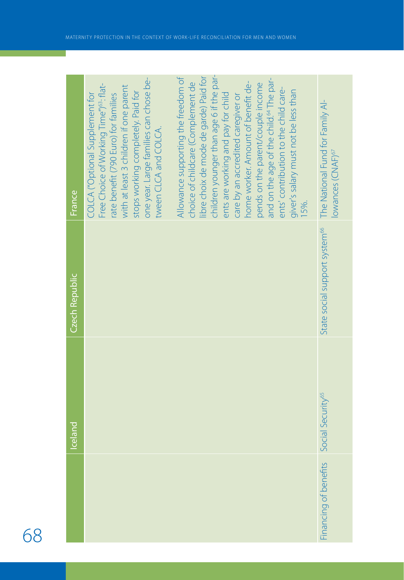|                       | lceland                       | Czech Republic | France                                                                                                                                                                                                                                                                                                                                                                                                                         |
|-----------------------|-------------------------------|----------------|--------------------------------------------------------------------------------------------------------------------------------------------------------------------------------------------------------------------------------------------------------------------------------------------------------------------------------------------------------------------------------------------------------------------------------|
|                       |                               |                | Allowance supporting the freedom of<br>one year. Large families can chose be-<br>Free Choice of Working Time") <sup>63</sup> : flat-<br>with at least 3 children if one parent<br>stops working completely. Paid for<br>COLCA ("Optional Supplement for<br>rate benefit (790 Euro) for families<br>tween CLCA and COLCA.                                                                                                       |
|                       |                               |                | children younger than age 6 if the par-<br>libre choix de mode de garde) Paid for<br>and on the age of the child. <sup>64</sup> The par-<br>choice of childcare (Complement de<br>home worker. Amount of benefit de-<br>pends on the parent/couple income<br>ents' contribution to the child care-<br>giver's salary must not be less than<br>ents are working and pay for child<br>care by an accredited caregiver or<br>15%. |
| Financing of benefits | Social Security <sup>65</sup> |                | State social support system <sup>66</sup> The National Fund for Family Al-<br>lowances (CNAF) <sup>67</sup>                                                                                                                                                                                                                                                                                                                    |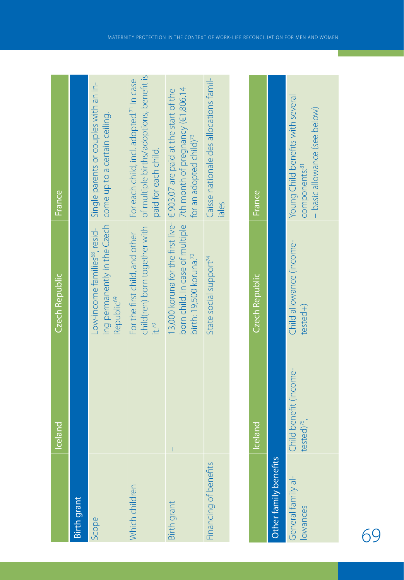|                                | <b>Iceland</b>                          | <b>Czech Republic</b>                                                                | France                                                                                                                                                                                  |
|--------------------------------|-----------------------------------------|--------------------------------------------------------------------------------------|-----------------------------------------------------------------------------------------------------------------------------------------------------------------------------------------|
| Birth grant                    |                                         |                                                                                      |                                                                                                                                                                                         |
| Scope                          |                                         | ing permanently in the Czech come up to a certain ceiling.<br>Republic <sup>69</sup> | Low-income families <sup>68</sup> , resid-<br>Single parents or couples with an in-                                                                                                     |
| Which children                 |                                         | child(ren) born together with<br>For the first child, and other                      | of multiple births/adoptions, benefit is<br>For each child, incl. adopted. <sup>71</sup> In case<br>paid for each child.                                                                |
| <b>Birth grant</b>             |                                         | birth: 19,500 koruna. <sup>72</sup>                                                  | born child. In case of multiple 7th month of pregnancy (€1,806.14<br>13,000 koruna for the first live- $\in$ 903.07 are paid at the start of the<br>for an adopted child) <sup>73</sup> |
| Financing of benefits          |                                         | State social support <sup>74</sup>                                                   | Caisse nationale des allocations famil-<br>iales                                                                                                                                        |
|                                |                                         |                                                                                      |                                                                                                                                                                                         |
|                                | celand                                  | Czech Republic                                                                       | France                                                                                                                                                                                  |
| Other family benefits          |                                         |                                                                                      |                                                                                                                                                                                         |
| General family al-<br>lowances | Child benefit (income-<br>$tested)^{2}$ | Child allowance (income-<br>$tested+$                                                | Young Child benefits with several<br>components: <sup>81</sup>                                                                                                                          |

– basic allowance (see below)

components.<sup>81</sup><br>- basic allowance (see below)

tested) $^{75}$ ,

lowances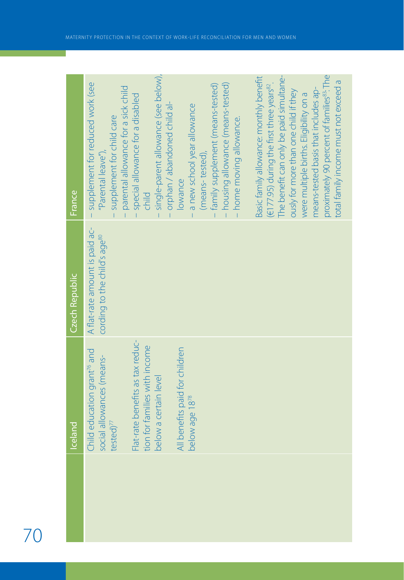| Iceland                                                                                    | Czech Republic                                                             | <b>France</b>                                                                                                                                                                                                                                                                                                                                                              |
|--------------------------------------------------------------------------------------------|----------------------------------------------------------------------------|----------------------------------------------------------------------------------------------------------------------------------------------------------------------------------------------------------------------------------------------------------------------------------------------------------------------------------------------------------------------------|
| Child education grant <sup>76</sup> and<br>social allowances (means-<br>$tested)^{77}$     | A flat-rate amount is paid ac-<br>cording to the child's age <sup>80</sup> | supplement for reduced work (see<br>parental allowance for a sick child<br>supplement for child care<br>"Parental leave"),                                                                                                                                                                                                                                                 |
| Flat-rate benefits as tax reduc-<br>tion for families with income<br>below a certain level |                                                                            | single-parent allowance (see below),<br>special allowance for a disabled<br>orphan / abandoned child al-<br>child                                                                                                                                                                                                                                                          |
| All benefits paid for children<br>below age 18 <sup>78</sup>                               |                                                                            | - housing allowance (means-tested)<br>family supplement (means-tested)<br>a new school year allowance<br>- home moving allowance.<br>(means-tested),<br>lowance                                                                                                                                                                                                            |
|                                                                                            |                                                                            | proximately 90 percent of families <sup>83</sup> : The<br>The benefit can only be paid simultane-<br>Basic family allowance: monthly benefit<br>total family income must not exceed a<br>(€177.95) during the first three years <sup>82</sup> .<br>means-tested basis that includes ap-<br>busly for more than one child if they<br>were multiple births. Eligibility on a |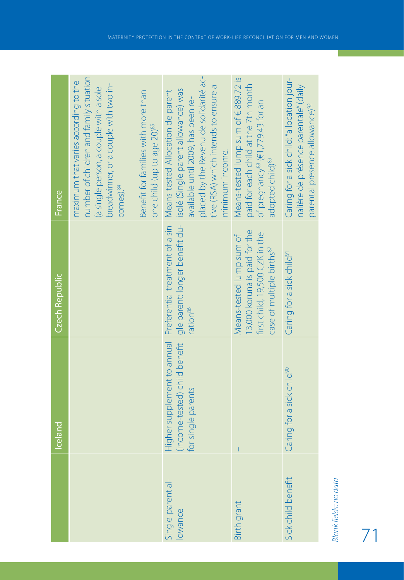|                              | <b>Iceland</b>                                                                     | Czech Republic                                                                                                                      | France                                                                                                                                                                                                                                                                             |
|------------------------------|------------------------------------------------------------------------------------|-------------------------------------------------------------------------------------------------------------------------------------|------------------------------------------------------------------------------------------------------------------------------------------------------------------------------------------------------------------------------------------------------------------------------------|
|                              |                                                                                    |                                                                                                                                     | number of children and family situation<br>maximum that varies according to the<br>breadwinner, or a couple with two in-<br>(a single person, a couple with a sole<br>Benefit for families with more than<br>comes). <sup>84</sup>                                                 |
|                              |                                                                                    |                                                                                                                                     | one child (up to age 20)85                                                                                                                                                                                                                                                         |
| Single-parent al-<br>lowance | Higher supplement to annual<br>(income-tested) child benefit<br>for single parents | ration <sup>86</sup>                                                                                                                | placed by the Revenu de solidarité ac-<br>tive (RSA) which intends to ensure a<br>gle parent: longer benefit du- isolé (Single parent allowance) was<br>Preferential treatment of a sin-Means-tested Allocation de parent<br>available until 2009, has been re-<br>minimum income. |
| <b>Birth grant</b>           |                                                                                    | 3,000 koruna is paid for the<br>first child, 19,500 CZK in the<br>Means-tested lump sum of<br>case of multiple births <sup>87</sup> | Means-tested lump sum of $689.72$ is<br>paid for each child at the 7th month<br>of pregnancy <sup>88</sup> (€1,779.43 for an<br>adopted child) <sup>89</sup>                                                                                                                       |
| Sick child benefit           | Caring for a sick child <sup>90</sup>                                              | Caring for a sick child <sup>91</sup>                                                                                               | Caring for a sick child: "allocation jour-<br>nalière de présence parentale" (daily<br>parental presence allowance) <sup>92</sup>                                                                                                                                                  |
|                              |                                                                                    |                                                                                                                                     |                                                                                                                                                                                                                                                                                    |

71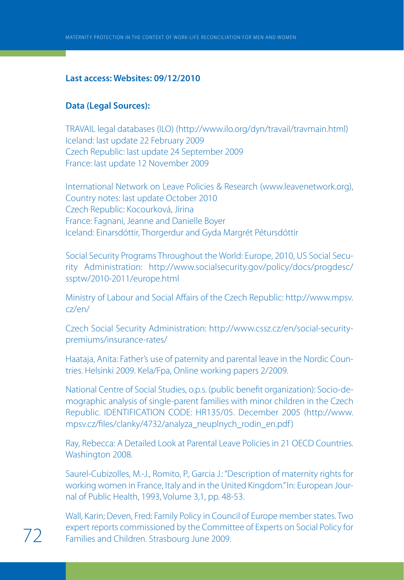## **Last access: Websites: 09/12/2010**

## **Data (Legal Sources):**

TRAVAIL legal databases (ILO) (http://www.ilo.org/dyn/travail/travmain.html) Iceland: last update 22 February 2009 Czech Republic: last update 24 September 2009 France: last update 12 November 2009

International Network on Leave Policies & Research (www.leavenetwork.org), Country notes: last update October 2010 Czech Republic: Kocourková, Jirina France: Fagnani, Jeanne and Danielle Boyer Iceland: Einarsdóttir, Thorgerdur and Gyda Margrét Pétursdóttir

Social Security Programs Throughout the World: Europe, 2010, US Social Security Administration: http://www.socialsecurity.gov/policy/docs/progdesc/ ssptw/2010-2011/europe.html

Ministry of Labour and Social Affairs of the Czech Republic: http://www.mpsv. cz/en/

Czech Social Security Administration: http://www.cssz.cz/en/social-securitypremiums/insurance-rates/

Haataja, Anita: Father's use of paternity and parental leave in the Nordic Countries. Helsinki 2009. Kela/Fpa, Online working papers 2/2009.

National Centre of Social Studies, o.p.s. (public benefit organization): Socio-demographic analysis of single-parent families with minor children in the Czech Republic. IDENTIFICATION CODE: HR135/05. December 2005 (http://www. mpsv.cz/files/clanky/4732/analyza\_neuplnych\_rodin\_en.pdf )

Ray, Rebecca: A Detailed Look at Parental Leave Policies in 21 OECD Countries. Washington 2008.

Saurel-Cubizolles, M.-J., Romito, P., Garcia J.: "Description of maternity rights for working women in France, Italy and in the United Kingdom." In: European Journal of Public Health, 1993, Volume 3,1, pp. 48-53.

Wall, Karin; Deven, Fred: Family Policy in Council of Europe member states. Two expert reports commissioned by the Committee of Experts on Social Policy for<br>
Families and Children. Strasbourg June 2009.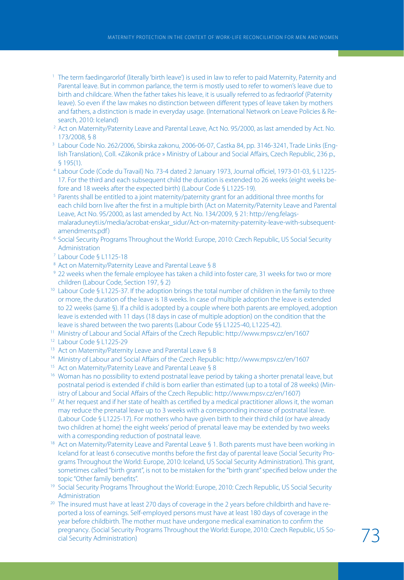- <sup>1</sup> The term faedingarorlof (literally 'birth leave') is used in law to refer to paid Maternity, Paternity and Parental leave. But in common parlance, the term is mostly used to refer to women's leave due to birth and childcare. When the father takes his leave, it is usually referred to as fedraorlof (Paternity leave). So even if the law makes no distinction between different types of leave taken by mothers and fathers, a distinction is made in everyday usage. (International Network on Leave Policies & Research, 2010: Iceland)
- <sup>2</sup> Act on Maternity/Paternity Leave and Parental Leave, Act No. 95/2000, as last amended by Act. No. 173/2008, § 8
- <sup>3</sup> Labour Code No. 262/2006, Sbirska zakonu, 2006-06-07, Castka 84, pp. 3146-3241, Trade Links (English Translation), Coll. «Zákoník práce » Ministry of Labour and Social Affairs, Czech Republic, 236 p., § 195(1).
- <sup>4</sup> Labour Code (Code du Travail) No. 73-4 dated 2 January 1973, Journal officiel, 1973-01-03, § L1225- 17. For the third and each subsequent child the duration is extended to 26 weeks (eight weeks before and 18 weeks after the expected birth) (Labour Code § L1225-19).
- <sup>5</sup> Parents shall be entitled to a joint maternity/paternity grant for an additional three months for each child born live after the first in a multiple birth (Act on Maternity/Paternity Leave and Parental Leave, Act No. 95/2000, as last amended by Act. No. 134/2009, § 21: http://eng.felagsmalaraduneyti.is/media/acrobat-enskar\_sidur/Act-on-maternity-paternity-leave-with-subsequentamendments.pdf)
- <sup>6</sup> Social Security Programs Throughout the World: Europe, 2010: Czech Republic, US Social Security Administration
- <sup>7</sup> Labour Code § L1125-18
- <sup>8</sup> Act on Maternity/Paternity Leave and Parental Leave § 8
- <sup>9</sup> 22 weeks when the female employee has taken a child into foster care, 31 weeks for two or more children (Labour Code, Section 197, § 2)
- <sup>10</sup> Labour Code § L1225-37. If the adoption brings the total number of children in the family to three or more, the duration of the leave is 18 weeks. In case of multiple adoption the leave is extended to 22 weeks (same §). If a child is adopted by a couple where both parents are employed, adoption leave is extended with 11 days (18 days in case of multiple adoption) on the condition that the leave is shared between the two parents (Labour Code §§ L1225-40, L1225-42).
- <sup>11</sup> Ministry of Labour and Social Affairs of the Czech Republic: http://www.mpsv.cz/en/1607
- <sup>12</sup> Labour Code § L1225-29
- 13 Act on Maternity/Paternity Leave and Parental Leave § 8
- <sup>14</sup> Ministry of Labour and Social Affairs of the Czech Republic: http://www.mpsv.cz/en/1607
- <sup>15</sup> Act on Maternity/Paternity Leave and Parental Leave § 8
- <sup>16</sup> Woman has no possibility to extend postnatal leave period by taking a shorter prenatal leave, but postnatal period is extended if child is born earlier than estimated (up to a total of 28 weeks) (Ministry of Labour and Social Affairs of the Czech Republic: http://www.mpsv.cz/en/1607)
- <sup>17</sup> At her request and if her state of health as certified by a medical practitioner allows it, the woman may reduce the prenatal leave up to 3 weeks with a corresponding increase of postnatal leave. (Labour Code § L1225-17). For mothers who have given birth to their third child (or have already two children at home) the eight weeks' period of prenatal leave may be extended by two weeks<br>with a corresponding reduction of postnatal leave.
- <sup>18</sup> Act on Maternity/Paternity Leave and Parental Leave § 1. Both parents must have been working in Iceland for at least 6 consecutive months before the first day of parental leave (Social Security Programs Throughout the World: Europe, 2010: Iceland, US Social Security Administration). This grant, sometimes called "birth grant", is not to be mistaken for the "birth grant" specified below under the topic "Other family benefits".
- <sup>19</sup> Social Security Programs Throughout the World: Europe, 2010: Czech Republic, US Social Security Administration
- <sup>20</sup> The insured must have at least 270 days of coverage in the 2 years before childbirth and have reported a loss of earnings. Self-employed persons must have at least 180 days of coverage in the year before childbirth. The mother must have undergone medical examination to confirm the pregnancy. (Social Security Programs Throughout the World: Europe, 2010: Czech Republic, US So-<br>cial Security Administration)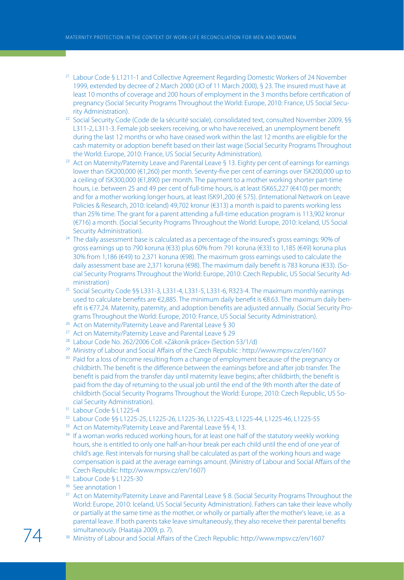- <sup>21</sup> Labour Code § L1211-1 and Collective Agreement Regarding Domestic Workers of 24 November 1999, extended by decree of 2 March 2000 (JO of 11 March 2000), § 23. The insured must have at least 10 months of coverage and 200 hours of employment in the 3 months before certification of pregnancy (Social Security Programs Throughout the World: Europe, 2010: France, US Social Security Administration). 22 Social Security Code (Code de la sécurité sociale), consolidated text, consulted November 2009, §§
- L311-2, L311-3. Female job seekers receiving, or who have received, an unemployment benefit during the last 12 months or who have ceased work within the last 12 months are eligible for the cash maternity or adoption benefit based on their last wage (Social Security Programs Throughout the World: Europe, 2010: France, US Social Security Administration).
- <sup>23</sup> Act on Maternity/Paternity Leave and Parental Leave § 13. Eighty per cent of earnings for earnings lower than ISK200,000 (€1,260) per month. Seventy-five per cent of earnings over ISK200,000 up to a ceiling of ISK300,000 (€1,890) per month. The payment to a mother working shorter part-time hours, i.e. between 25 and 49 per cent of full-time hours, is at least ISK65,227 (€410) per month; and for a mother working longer hours, at least ISK91,200 (€ 575). (International Network on Leave Policies & Research, 2010: Iceland) 49,702 kronur (€313) a month is paid to parents working less than 25% time. The grant for a parent attending a full-time education program is 113,902 kronur (€716) a month. (Social Security Programs Throughout the World: Europe, 2010: Iceland, US Social Security Administration).
- <sup>24</sup> The daily assessment base is calculated as a percentage of the insured's gross earnings: 90% of gross earnings up to 790 koruna (€33) plus 60% from 791 koruna (€33) to 1,185 (€49) koruna plus 30% from 1,186 (€49) to 2,371 koruna (€98). The maximum gross earnings used to calculate the daily assessment base are 2,371 koruna (€98). The maximum daily benefit is 783 koruna (€33). (Social Security Programs Throughout the World: Europe, 2010: Czech Republic, US Social Security Administration)
- <sup>25</sup> Social Security Code §§ L331-3, L331-4, L331-5, L331-6, R323-4. The maximum monthly earnings used to calculate benefits are €2,885. The minimum daily benefit is €8.63. The maximum daily benefit is €77.24. Maternity, paternity, and adoption benefits are adjusted annually. (Social Security Programs Throughout the World: Europe, 2010: France, US Social Security Administration).
- <sup>26</sup> Act on Maternity/Paternity Leave and Parental Leave § 30
- 
- 
- <sup>27</sup> Act on Maternity/Paternity Leave and Parental Leave § 29<br><sup>28</sup> Labour Code No. 262/2006 Coll. «Zákoník práce» (Section 53/1/d)<br><sup>29</sup> Ministry of Labour and Social Affairs of the Czech Republic : http://www.mpsv.cz/en/16
- <sup>30</sup> Paid for a loss of income resulting from a change of employment because of the pregnancy or childbirth. The benefit is the difference between the earnings before and after job transfer. The benefit is paid from the transfer day until maternity leave begins; after childbirth, the benefit is paid from the day of returning to the usual job until the end of the 9th month after the date of childbirth (Social Security Programs Throughout the World: Europe, 2010: Czech Republic, US Social Security Administration).
- <sup>31</sup> Labour Code § L1225-4
- <sup>32</sup> Labour Code §§ L1225-25, L1225-26, L1225-36, L1225-43, L1225-44, L1225-46, L1225-55<br><sup>33</sup> Act on Maternity/Paternity Leave and Parental Leave §§ 4, 13.<br><sup>34</sup> If a woman works reduced working hours, for at least one hal
- 
- hours, she is entitled to only one half-an-hour break per each child until the end of one year of child's age. Rest intervals for nursing shall be calculated as part of the working hours and wage compensation is paid at the average earnings amount. (Ministry of Labour and Social Affairs of the Czech Republic: http://www.mpsv.cz/en/1607)
- $35$  Labour Code § L1225-30<br> $36$  See annotation 1
- 
- <sup>37</sup> Act on Maternity/Paternity Leave and Parental Leave § 8. (Social Security Programs Throughout the World: Europe, 2010: Iceland, US Social Security Administration). Fathers can take their leave wholly or partially at the same time as the mother, or wholly or partially after the mother's leave, i.e. as a parental leave. If both parents take leave simultaneously, they also receive their parental benefits simultaneously. (Haataja 2009, p. 7).<br>
74 <sup>38</sup> Ministry of Labour and Social Affairs of the Czech Republic: http://www.mpsv.cz/en/1607
	-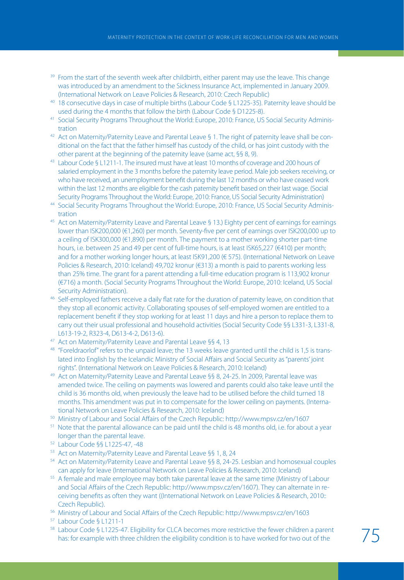- <sup>39</sup> From the start of the seventh week after childbirth, either parent may use the leave. This change was introduced by an amendment to the Sickness Insurance Act, implemented in January 2009. (International Network on Leave Policies & Research, 2010: Czech Republic)
- <sup>40</sup> 18 consecutive days in case of multiple births (Labour Code § L1225-35). Paternity leave should be used during the 4 months that follow the birth (Labour Code § D1225-8).
- <sup>41</sup> Social Security Programs Throughout the World: Europe, 2010: France, US Social Security Administration
- 42 Act on Maternity/Paternity Leave and Parental Leave § 1. The right of paternity leave shall be conditional on the fact that the father himself has custody of the child, or has joint custody with the other parent at the beginning of the paternity leave (same act, §§ 8, 9).
- 43 Labour Code § L1211-1. The insured must have at least 10 months of coverage and 200 hours of salaried employment in the 3 months before the paternity leave period. Male job seekers receiving, or who have received, an unemployment benefit during the last 12 months or who have ceased work within the last 12 months are eligible for the cash paternity benefit based on their last wage. (Social Security Programs Throughout the World: Europe, 2010: France, US Social Security Administration)
- <sup>44</sup> Social Security Programs Throughout the World: Europe, 2010: France, US Social Security Administration
- <sup>45</sup> Act on Maternity/Paternity Leave and Parental Leave § 13.) Eighty per cent of earnings for earnings lower than ISK200,000 (€1,260) per month. Seventy-five per cent of earnings over ISK200,000 up to a ceiling of ISK300,000 (€1,890) per month. The payment to a mother working shorter part-time hours, i.e. between 25 and 49 per cent of full-time hours, is at least ISK65,227 (€410) per month; and for a mother working longer hours, at least ISK91,200 (€ 575). (International Network on Leave Policies & Research, 2010: Iceland) 49,702 kronur (€313) a month is paid to parents working less than 25% time. The grant for a parent attending a full-time education program is 113,902 kronur (€716) a month. (Social Security Programs Throughout the World: Europe, 2010: Iceland, US Social Security Administration).
- <sup>46</sup> Self-employed fathers receive a daily flat rate for the duration of paternity leave, on condition that they stop all economic activity. Collaborating spouses of self-employed women are entitled to a replacement benefit if they stop working for at least 11 days and hire a person to replace them to carry out their usual professional and household activities (Social Security Code §§ L331-3, L331-8, L613-19-2, R323-4, D613-4-2, D613-6).<br><sup>47</sup> Act on Maternity/Paternity Leave and Parental Leave §§ 4, 13
- 
- <sup>48</sup> "Foreldraorlof" refers to the unpaid leave; the 13 weeks leave granted until the child is 1,5 is translated into English by the Icelandic Ministry of Social Affairs and Social Security as "parents' joint rights". (International Network on Leave Policies & Research, 2010: Iceland)
- <sup>49</sup> Act on Maternity/Paternity Leave and Parental Leave §§ 8, 24-25. In 2009, Parental leave was amended twice. The ceiling on payments was lowered and parents could also take leave until the child is 36 months old, when previously the leave had to be utilised before the child turned 18 months. This amendment was put in to compensate for the lower ceiling on payments. (International Network on Leave Policies & Research, 2010: Iceland)
- <sup>50</sup> Ministry of Labour and Social Affairs of the Czech Republic: http://www.mpsv.cz/en/1607
- <sup>51</sup> Note that the parental allowance can be paid until the child is 48 months old, i.e. for about a year longer than the parental leave.
- <sup>52</sup> Labour Code §§ L1225-47, -48
- 
- <sup>53</sup> Act on Maternity/Paternity Leave and Parental Leave §§ 1, 8, 24<br><sup>54</sup> Act on Maternity/Paternity Leave and Parental Leave §§ 8, 24-25. Lesbian and homosexual couples can apply for leave (International Network on Leave Policies & Research, 2010: Iceland)
- <sup>55</sup> A female and male employee may both take parental leave at the same time (Ministry of Labour and Social Affairs of the Czech Republic: http://www.mpsv.cz/en/1607). They can alternate in receiving benefits as often they want ((International Network on Leave Policies & Research, 2010:: Czech Republic).
- <sup>56</sup> Ministry of Labour and Social Affairs of the Czech Republic: http://www.mpsv.cz/en/1603
- <sup>57</sup> Labour Code § L1211-1
- 58 Labour Code § L1225-47. Eligibility for CLCA becomes more restrictive the fewer children a parent Labour Code 9 LT225-47. Engloffly for CLCA becomes more restrictive the lewer children a parent  $75$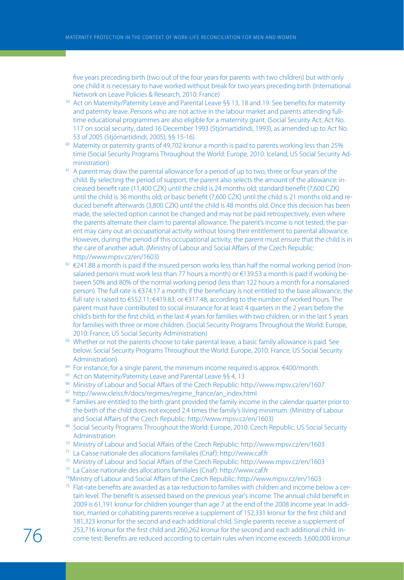five years preceding birth (two out of the four years for parents with two children) but with only one child it is necessary to have worked without break for two years preceding birth (International Network on Leave Policies & Research, 2010: France)

- <sup>59</sup> Act on Maternity/Paternity Leave and Parental Leave §§ 13, 18 and 19. See benefits for maternity and paternity leave. Persons who are not active in the labour market and parents attending fulltime educational programmes are also eligible for a maternity grant. (Social Security Act, Act No. 117 on social security, dated 16 December 1993 (Stjórnartidindi, 1993), as amended up to Act No. 53 of 2005 (Stjórnartidindi, 2005), §§ 15-16).
- <sup>60</sup> Maternity or paternity grants of 49,702 kronur a month is paid to parents working less than 25% time (Social Security Programs Throughout the World: Europe, 2010: Iceland, US Social Security Administration)
- <sup>61</sup> A parent may draw the parental allowance for a period of up to two, three or four years of the child. By selecting the period of support, the parent also selects the amount of the allowance: increased benefit rate (11,400 CZK) until the child is 24 months old; standard benefit (7,600 CZK) until the child is 36 months old; or basic benefit (7,600 CZK) until the child is 21 months old and reduced benefit afterwards (3,800 CZK) until the child is 48 months old. Once this decision has been made, the selected option cannot be changed and may not be paid retrospectively, even where the parents alternate their claim to parental allowance. The parent's income is not tested; the parent may carry out an occupational activity without losing their entitlement to parental allowance. However, during the period of this occupational activity, the parent must ensure that the child is in the care of another adult. (Ministry of Labour and Social Affairs of the Czech Republic: http://www.mpsv.cz/en/1603)
- $62 \text{ } \in$  241.88 a month is paid if the insured person works less than half the normal working period (nonsalaried persons must work less than 77 hours a month) or €139.53 a month is paid if working between 50% and 80% of the normal working period (less than 122 hours a month for a nonsalaried person). The full rate is €374.17 a month; if the beneficiary is not entitled to the base allowance, the full rate is raised to €552.11; €419.83; or €317.48, according to the number of worked hours. The parent must have contributed to social insurance for at least 4 quarters in the 2 years before the child's birth for the first child, in the last 4 years for families with two children, or in the last 5 years for families with three or more children. (Social Security Programs Throughout the World: Europe, 2010: France, US Social Security Administration)
- <sup>63</sup> Whether or not the parents choose to take parental leave, a basic family allowance is paid. See below. Social Security Programs Throughout the World: Europe, 2010: France, US Social Security Administration)
- $64$  For instance, for a single parent, the minimum income required is approx. €400/month.
- 
- <sup>65</sup> Act on Maternity/Paternity Leave and Parental Leave §§ 4, 13<br><sup>66</sup> Ministry of Labour and Social Affairs of the Czech Republic: http://www.mpsv.cz/en/1607
- <sup>67</sup> http://www.cleiss.fr/docs/regimes/regime\_france/an\_index.html
- <sup>68</sup> Families are entitled to the birth grant provided the family income in the calendar quarter prior to the birth of the child does not exceed 2.4 times the family's living minimum. (Ministry of Labour and Social Affairs of the Czech Republic: http://www.mpsv.cz/en/1603)
- <sup>69</sup> Social Security Programs Throughout the World: Europe, 2010: Czech Republic, US Social Security Administration
- <sup>70</sup> Ministry of Labour and Social Affairs of the Czech Republic: http://www.mpsv.cz/en/1603
- <sup>71</sup> La Caisse nationale des allocations familiales (Cnaf): http://www.caf.fr
- <sup>72</sup> Ministry of Labour and Social Affairs of the Czech Republic: http://www.mpsv.cz/en/1603
- <sup>73</sup> La Caisse nationale des allocations familiales (Cnaf): http://www.caf.fr
- 74Ministry of Labour and Social Affairs of the Czech Republic: http://www.mpsv.cz/en/1603
- $75$  Flat-rate benefits are awarded as a tax reduction to families with children and income below a certain level. The benefit is assessed based on the previous year's income. The annual child benefit in 2009 is 61,191 kronur for children younger than age 7 at the end of the 2008 income year. In addition, married or cohabiting parents receive a supplement of 152,331 kronur for the first child and 181,323 kronur for the second and each additional child. Single parents receive a supplement of  $\frac{253,716}{\text{come test:} }$  Referrest for the first child and 260,262 kronur for the second and each additional child. In-<br> $\delta$  come test: Benefits are reduced according to certain rules when income exceeds 3,600,000 kronur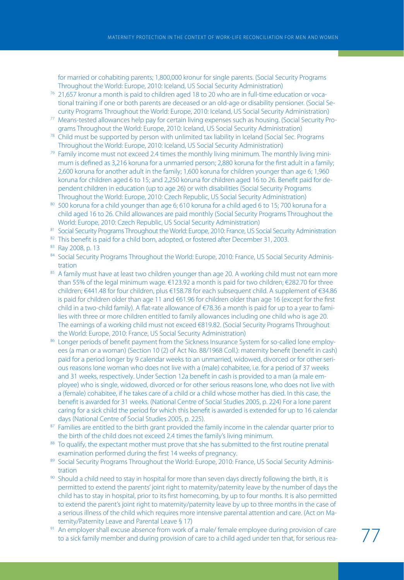for married or cohabiting parents; 1,800,000 kronur for single parents. (Social Security Programs Throughout the World: Europe, 2010: Iceland, US Social Security Administration)

- <sup>76</sup> 21,657 kronur a month is paid to children aged 18 to 20 who are in full-time education or vocational training if one or both parents are deceased or an old-age or disability pensioner. (Social Security Programs Throughout the World: Europe, 2010: Iceland, US Social Security Administration)
- <sup>77</sup> Means-tested allowances help pay for certain living expenses such as housing. (Social Security Programs Throughout the World: Europe, 2010: Iceland, US Social Security Administration)
- <sup>78</sup> Child must be supported by person with unlimited tax liability in Iceland (Social Sec. Programs Throughout the World: Europe, 2010: Iceland, US Social Security Administration)
- $79$  Family income must not exceed 2.4 times the monthly living minimum. The monthly living minimum is defined as 3,216 koruna for a unmarried person; 2,880 koruna for the first adult in a family; 2,600 koruna for another adult in the family; 1,600 koruna for children younger than age 6; 1,960 koruna for children aged 6 to 15; and 2,250 koruna for children aged 16 to 26. Benefit paid for dependent children in education (up to age 26) or with disabilities (Social Security Programs Throughout the World: Europe, 2010: Czech Republic, US Social Security Administration)
- 80 500 koruna for a child younger than age 6; 610 koruna for a child aged 6 to 15; 700 koruna for a child aged 16 to 26. Child allowances are paid monthly (Social Security Programs Throughout the World: Europe, 2010: Czech Republic, US Social Security Administration)
- 81 Social Security Programs Throughout the World: Europe, 2010: France, US Social Security Administration
- 82 This benefit is paid for a child born, adopted, or fostered after December 31, 2003.
- <sup>83</sup> Ray 2008, p. 13
- 84 Social Security Programs Throughout the World: Europe, 2010: France, US Social Security Administration
- 85 A family must have at least two children younger than age 20. A working child must not earn more than 55% of the legal minimum wage.  $\epsilon$ 123.92 a month is paid for two children;  $\epsilon$ 282.70 for three children; €441.48 for four children, plus €158.78 for each subsequent child. A supplement of €34.86 is paid for children older than age 11 and €61.96 for children older than age 16 (except for the first child in a two-child family). A flat-rate allowance of €78.36 a month is paid for up to a year to families with three or more children entitled to family allowances including one child who is age 20. The earnings of a working child must not exceed €819.82. (Social Security Programs Throughout the World: Europe, 2010: France, US Social Security Administration)
- 86 Longer periods of benefit payment from the Sickness Insurance System for so-called lone employees (a man or a woman) (Section 10 (2) of Act No. 88/1968 Coll.): maternity benefit (benefit in cash) paid for a period longer by 9 calendar weeks to an unmarried, widowed, divorced or for other serious reasons lone woman who does not live with a (male) cohabitee, i.e. for a period of 37 weeks and 31 weeks, respectively. Under Section 12a benefit in cash is provided to a man (a male employee) who is single, widowed, divorced or for other serious reasons lone, who does not live with a (female) cohabitee, if he takes care of a child or a child whose mother has died. In this case, the benefit is awarded for 31 weeks. (National Centre of Social Studies 2005, p. 224) For a lone parent caring for a sick child the period for which this benefit is awarded is extended for up to 16 calendar days (National Centre of Social Studies 2005, p. 225).
- <sup>87</sup> Families are entitled to the birth grant provided the family income in the calendar quarter prior to the birth of the child does not exceed 2.4 times the family's living minimum.
- 88 To qualify, the expectant mother must prove that she has submitted to the first routine prenatal examination performed during the first 14 weeks of pregnancy.
- 89 Social Security Programs Throughout the World: Europe, 2010: France, US Social Security Administration
- 90 Should a child need to stay in hospital for more than seven days directly following the birth, it is permitted to extend the parents' joint right to maternity/paternity leave by the number of days the child has to stay in hospital, prior to its first homecoming, by up to four months. It is also permitted to extend the parent's joint right to maternity/paternity leave by up to three months in the case of a serious illness of the child which requires more intensive parental attention and care. (Act on Maternity/Paternity Leave and Parental Leave § 17)
- <sup>91</sup> An employer shall excuse absence from work of a male/ female employee during provision of care An employer shall excuse absence from work of a male, female employee during provision of care<br>to a sick family member and during provision of care to a child aged under ten that, for serious rea- Tame Tam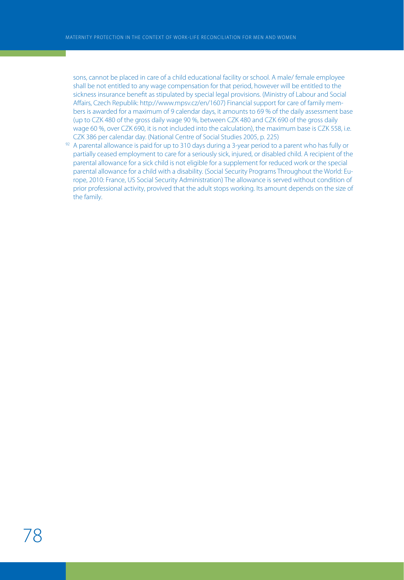sons, cannot be placed in care of a child educational facility or school. A male/ female employee shall be not entitled to any wage compensation for that period, however will be entitled to the sickness insurance benefit as stipulated by special legal provisions. (Ministry of Labour and Social Affairs, Czech Republik: http://www.mpsv.cz/en/1607) Financial support for care of family members is awarded for a maximum of 9 calendar days, it amounts to 69 % of the daily assessment base (up to CZK 480 of the gross daily wage 90 %, between CZK 480 and CZK 690 of the gross daily wage 60 %, over CZK 690, it is not included into the calculation), the maximum base is CZK 558, i.e. CZK 386 per calendar day. (National Centre of Social Studies 2005, p. 225)

 $92$  A parental allowance is paid for up to 310 days during a 3-year period to a parent who has fully or partially ceased employment to care for a seriously sick, injured, or disabled child. A recipient of the parental allowance for a sick child is not eligible for a supplement for reduced work or the special parental allowance for a child with a disability. (Social Security Programs Throughout the World: Europe, 2010: France, US Social Security Administration) The allowance is served without condition of prior professional activity, provived that the adult stops working. Its amount depends on the size of the family.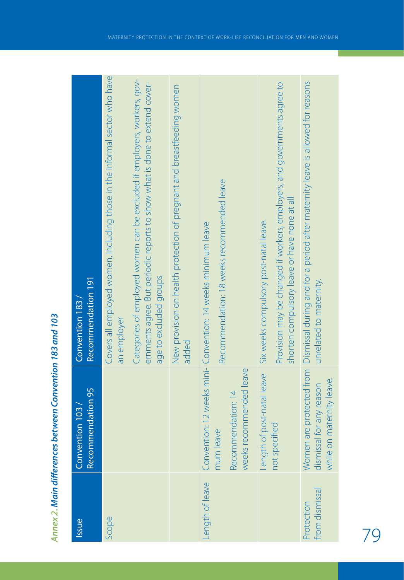| Issue                        | <b>Recommendation 95</b><br>Convention 103                 | Recommendation 191<br>Convention 183                                                                                                                                             |
|------------------------------|------------------------------------------------------------|----------------------------------------------------------------------------------------------------------------------------------------------------------------------------------|
| Scope                        |                                                            | Covers all employed women, including those in the informal sector who have<br>an employer                                                                                        |
|                              |                                                            | Categories of employed women can be excluded if employers, workers, gov-<br>ernments agree. But periodic reports to show what is done to extend cover-<br>age to excluded groups |
|                              |                                                            | New provision on health protection of pregnant and breastfeeding women<br>added                                                                                                  |
| ength of leave               | weeks recommended leave<br>Recommendation: 14<br>mum leave | Recommendation: 18 weeks recommended leave<br>Convention: 12 weeks mini- Convention: 14 weeks minimum leave                                                                      |
|                              | Length of post-natal leave<br>not specified                | Provision may be changed if workers, employers, and governments agree to<br>shorten compulsory leave or have none at all<br>Six weeks compulsory post-natal leave.               |
| irom dismissal<br>protection | while on maternity leave.<br>dismissal for any reason      | Women are protected from Dismissal during and for a period after maternity leave is allowed for reasons<br>unrelated to maternity.                                               |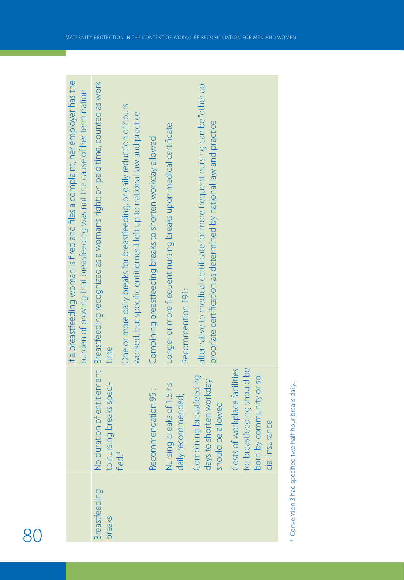|                         |                                                                                                            | If a breastfeeding woman is fired and files a complaint, her employer has the<br>burden of proving that breasfeeding was not the cause of her termination |
|-------------------------|------------------------------------------------------------------------------------------------------------|-----------------------------------------------------------------------------------------------------------------------------------------------------------|
| ireastfeeding<br>oreaks | to nursing breaks speci-                                                                                   | No duration of entitlement Breastfeeding recognized as a woman's right: on paid time, counted as work<br>time                                             |
|                         | fied*                                                                                                      | One or more daily breaks for breastfeeding, or daily reduction of hours<br>worked, but specific entitlement left up to national law and practice          |
|                         | Recommendation 95 :                                                                                        | Combining breastfeeding breaks to shorten workday allowed                                                                                                 |
|                         | Nursing breaks of 1.5 hs<br>daily recommended;                                                             | Longer or more frequent nursing breaks upon medical certificate<br>Recommention 191:                                                                      |
|                         | Combining breastfeeding<br>days to shorten workday<br>should be allowed                                    | alternative to medical certificate for more frequent nursing can be "other ap-<br>propriate certification as determined by national law and practice      |
|                         | for breastfeeding should be<br>Costs of workplace facilities<br>born by community or so-<br>cial insurance |                                                                                                                                                           |
|                         |                                                                                                            |                                                                                                                                                           |

\* Convention 3 had specified two half-hour breaks daily. \* Convention 3 had specified two half-hour breaks daily.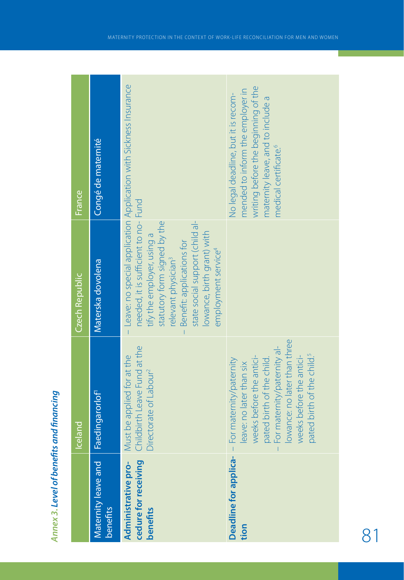| ١<br>ĺ<br>I<br>֖֖֖֖֖֧ׅ֪ׅ֖֧ׅ֖֧֪֪ׅ֧֪֧֚֚֚֚֚֚֚֚֚֚֚֚֚֚֚֚֚֚֚֚֚֚֚֚֚֬֝֝֝֓֞֓֞֬֓֞֝֬֝֬<br>١ |
|----------------------------------------------------------------------------------|
| t                                                                                |
|                                                                                  |
| t<br>ļ                                                                           |
|                                                                                  |
|                                                                                  |
| I                                                                                |
|                                                                                  |
|                                                                                  |
|                                                                                  |

|                                                                | Iceland                                                                                                                                                                                                                                                                           | <b>Czech Republic</b>                                                                                                                                                                                                                                                  | France                                                                                                                                                                                   |
|----------------------------------------------------------------|-----------------------------------------------------------------------------------------------------------------------------------------------------------------------------------------------------------------------------------------------------------------------------------|------------------------------------------------------------------------------------------------------------------------------------------------------------------------------------------------------------------------------------------------------------------------|------------------------------------------------------------------------------------------------------------------------------------------------------------------------------------------|
| Maternity leave and<br>benefits                                | Faedingarorlof <sup>1</sup>                                                                                                                                                                                                                                                       | Materska dovolena                                                                                                                                                                                                                                                      | Congé de maternité                                                                                                                                                                       |
| cedure for receiving<br>Administrative pro-<br><b>benefits</b> | Childbirth Leave Fund at the<br>Must be applied for at the<br>Directorate of Labour <sup>2</sup>                                                                                                                                                                                  | needed, it is sufficient to no- Fund<br>statutory form signed by the<br>state social support (child al-<br>lowance, birth grant) with<br>tify the employer, using a<br>Benefit: applications for<br>employment service <sup>4</sup><br>relevant physician <sup>3</sup> | - Leave: no special application Application with Sickness Insurance                                                                                                                      |
| tion                                                           | lowance: no later than three<br>- For maternity/paternity al-<br>pated birth of the child. <sup>5</sup><br>weeks before the antici-<br>weeks before the antici-<br><b>Deadline for applica-</b> - For maternity/paternity<br>pated birth of the child.<br>eave: no later than six |                                                                                                                                                                                                                                                                        | writing before the beginning of the<br>nended to inform the employer in<br>No legal deadline, but it is recom-<br>maternity leave, and to include a<br>medical certificate. <sup>6</sup> |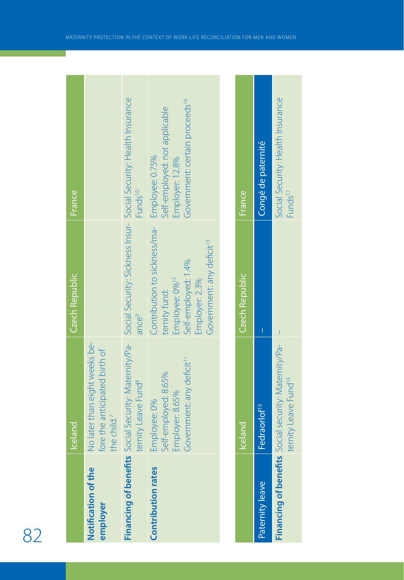|                                 | Iceland                                                                                          | Czech Republic                                                                                                                                                                | France                                                                                                                                       |
|---------------------------------|--------------------------------------------------------------------------------------------------|-------------------------------------------------------------------------------------------------------------------------------------------------------------------------------|----------------------------------------------------------------------------------------------------------------------------------------------|
| Notification of the<br>employer | No later than eight weeks be-<br>fore the anticipated birth of<br>the child. <sup>7</sup>        |                                                                                                                                                                               |                                                                                                                                              |
|                                 | ternity Leave Fund <sup>8</sup>                                                                  | ance <sup>9</sup>                                                                                                                                                             | Financing of benefits Social Security: Maternity/Pa-Bocial Security: Sickness Insur-Bocial Security: Health Insurance<br>Funds <sup>10</sup> |
| Contribution rates              | Government: any deficit <sup>11</sup><br>Self-employed: 8.65%<br>Employer: 8.65%<br>Employee: 0% | Contribution to sickness/ma- Employee: 0.75%<br>Government: any deficit <sup>13</sup><br>Self-employed: 1.4%<br>Employee: 0% <sup>12</sup><br>Employer: 2.3%<br>ternity fund: | Government: certain proceeds <sup>14</sup><br>Self-employed: not applicable<br><b>Employer: 12.8%</b>                                        |
|                                 |                                                                                                  |                                                                                                                                                                               |                                                                                                                                              |
|                                 | Iceland                                                                                          | Czech Republic                                                                                                                                                                | France <sub>1</sub>                                                                                                                          |
| Paternity leave                 | Fedraorlof <sup>15</sup>                                                                         |                                                                                                                                                                               | Congé de paternité                                                                                                                           |

**Contract Contract** 

**Contract Contract**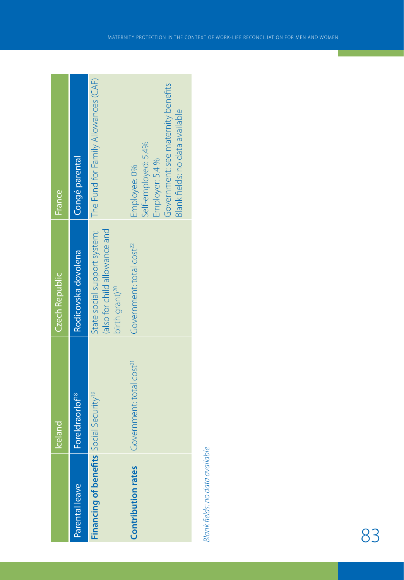| Czech Republic<br>Iceland | Rodicovska dovolena<br>Foreldraorlof <sup>18</sup><br>Parental leave | also for child allowance and<br>birth grant) <sup>20</sup><br>Financing of benefits Social Security <sup>19</sup> | Government: total cost <sup>22</sup><br>Government: total cost <sup>21</sup><br>Contribution rates                              |
|---------------------------|----------------------------------------------------------------------|-------------------------------------------------------------------------------------------------------------------|---------------------------------------------------------------------------------------------------------------------------------|
| France                    | Congé parental                                                       | state social support system; The Fund for Family Allowances (CAF)                                                 | Government: see maternity benefits<br>Blank fields: no data available<br>Self-employed: 5.4%<br>Employer: 5.4 %<br>Employee: 0% |

Blank fields: no data available Blank fields: no data available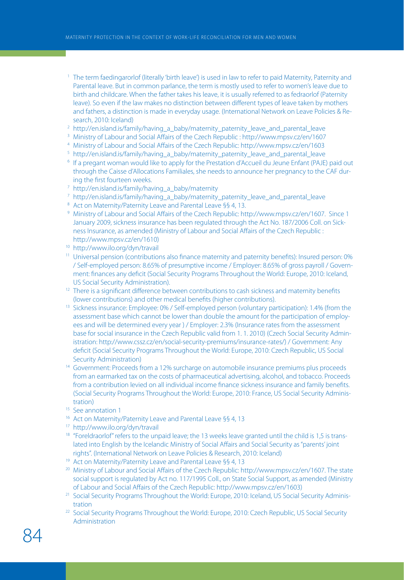- <sup>1</sup> The term faedingarorlof (literally 'birth leave') is used in law to refer to paid Maternity, Paternity and Parental leave. But in common parlance, the term is mostly used to refer to women's leave due to birth and childcare. When the father takes his leave, it is usually referred to as fedraorlof (Paternity leave). So even if the law makes no distinction between different types of leave taken by mothers and fathers, a distinction is made in everyday usage. (International Network on Leave Policies & Research, 2010: Iceland)
- <sup>2</sup> http://en.island.is/family/having\_a\_baby/maternity\_paternity\_leave\_and\_parental\_leave
- <sup>3</sup> Ministry of Labour and Social Affairs of the Czech Republic : http://www.mpsv.cz/en/1607
- <sup>4</sup> Ministry of Labour and Social Affairs of the Czech Republic: http://www.mpsv.cz/en/1603
- <sup>5</sup> http://en.island.is/family/having\_a\_baby/maternity\_paternity\_leave\_and\_parental\_leave
- <sup>6</sup> If a pregant woman would like to apply for the Prestation d'Accueil du Jeune Enfant (PAJE) paid out through the Caisse d'Allocations Familiales, she needs to announce her pregnancy to the CAF during the first fourteen weeks.
- <sup>7</sup> http://en.island.is/family/having\_a\_baby/maternity
- $7$  http://en.island.is/family/having a baby/maternity paternity leave and parental leave
- 8 Act on Maternity/Paternity Leave and Parental Leave §§ 4, 13.
- 9 Ministry of Labour and Social Affairs of the Czech Republic: http://www.mpsv.cz/en/1607. Since 1 January 2009, sickness insurance has been regulated through the Act No. 187/2006 Coll. on Sickness Insurance, as amended (Ministry of Labour and Social Affairs of the Czech Republic : http://www.mpsv.cz/en/1610)
- <sup>10</sup> http://www.ilo.org/dyn/travail
- <sup>11</sup> Universal pension (contributions also finance maternity and paternity benefits): Insured person: 0% / Self-employed person: 8.65% of presumptive income / Employer: 8.65% of gross payroll / Government: finances any deficit (Social Security Programs Throughout the World: Europe, 2010: Iceland, US Social Security Administration).
- <sup>12</sup> There is a significant difference between contributions to cash sickness and maternity benefits (lower contributions) and other medical benefits (higher contributions).
- <sup>13</sup> Sickness insurance: Employee: 0% / Self-employed person (voluntary participation): 1.4% (from the assessment base which cannot be lower than double the amount for the participation of employees and will be determined every year ) / Employer: 2.3% (Insurance rates from the assessment base for social insurance in the Czech Republic valid from 1. 1. 2010) (Czech Social Security Administration: http://www.cssz.cz/en/social-security-premiums/insurance-rates/) / Government: Any deficit (Social Security Programs Throughout the World: Europe, 2010: Czech Republic, US Social Security Administration)<br><sup>14</sup> Government: Proceeds from a 12% surcharge on automobile insurance premiums plus proceeds
- from an earmarked tax on the costs of pharmaceutical advertising, alcohol, and tobacco. Proceeds from a contribution levied on all individual income finance sickness insurance and family benefits. (Social Security Programs Throughout the World: Europe, 2010: France, US Social Security Administration)
- <sup>15</sup> See annotation 1
- <sup>16</sup> Act on Maternity/Paternity Leave and Parental Leave §§ 4, 13<br><sup>17</sup> http://www.ilo.org/dyn/travail
- 
- <sup>18</sup> "Foreldraorlof" refers to the unpaid leave; the 13 weeks leave granted until the child is 1,5 is translated into English by the Icelandic Ministry of Social Affairs and Social Security as "parents' joint rights". (International Network on Leave Policies & Research, 2010: Iceland)
- 
- <sup>19</sup> Act on Maternity/Paternity Leave and Parental Leave §§ 4, 13<br><sup>20</sup> Ministry of Labour and Social Affairs of the Czech Republic: http://www.mpsv.cz/en/1607. The state social support is regulated by Act no. 117/1995 Coll., on State Social Support, as amended (Ministry of Labour and Social Affairs of the Czech Republic: http://www.mpsv.cz/en/1603)
- <sup>21</sup> Social Security Programs Throughout the World: Europe, 2010: Iceland, US Social Security Administration
- <sup>22</sup> Social Security Programs Throughout the World: Europe, 2010: Czech Republic, US Social Security Administration